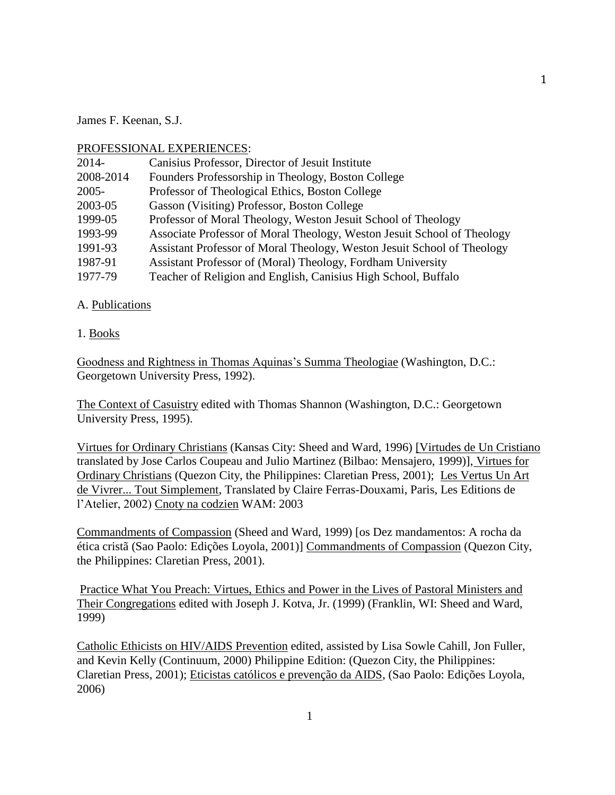James F. Keenan, S.J.

# PROFESSIONAL EXPERIENCES:

| $2014 -$  | Canisius Professor, Director of Jesuit Institute                        |
|-----------|-------------------------------------------------------------------------|
| 2008-2014 | Founders Professorship in Theology, Boston College                      |
| $2005 -$  | Professor of Theological Ethics, Boston College                         |
| 2003-05   | Gasson (Visiting) Professor, Boston College                             |
| 1999-05   | Professor of Moral Theology, Weston Jesuit School of Theology           |
| 1993-99   | Associate Professor of Moral Theology, Weston Jesuit School of Theology |
| 1991-93   | Assistant Professor of Moral Theology, Weston Jesuit School of Theology |
| 1987-91   | Assistant Professor of (Moral) Theology, Fordham University             |
| 1977-79   | Teacher of Religion and English, Canisius High School, Buffalo          |

# A. Publications

# 1. Books

Goodness and Rightness in Thomas Aquinas's Summa Theologiae (Washington, D.C.: Georgetown University Press, 1992).

The Context of Casuistry edited with Thomas Shannon (Washington, D.C.: Georgetown University Press, 1995).

Virtues for Ordinary Christians (Kansas City: Sheed and Ward, 1996) [Virtudes de Un Cristiano translated by Jose Carlos Coupeau and Julio Martinez (Bilbao: Mensajero, 1999)], Virtues for Ordinary Christians (Quezon City, the Philippines: Claretian Press, 2001); Les Vertus Un Art de Vivrer... Tout Simplement, Translated by Claire Ferras-Douxami, Paris, Les Editions de l'Atelier, 2002) Cnoty na codzien WAM: 2003

Commandments of Compassion (Sheed and Ward, 1999) [os Dez mandamentos: A rocha da ética cristã (Sao Paolo: Edições Loyola, 2001)] Commandments of Compassion (Quezon City, the Philippines: Claretian Press, 2001).

Practice What You Preach: Virtues, Ethics and Power in the Lives of Pastoral Ministers and Their Congregations edited with Joseph J. Kotva, Jr. (1999) (Franklin, WI: Sheed and Ward, 1999)

Catholic Ethicists on HIV/AIDS Prevention edited, assisted by Lisa Sowle Cahill, Jon Fuller, and Kevin Kelly (Continuum, 2000) Philippine Edition: (Quezon City, the Philippines: Claretian Press, 2001); Eticistas católicos e prevenção da AIDS, (Sao Paolo: Edições Loyola, 2006)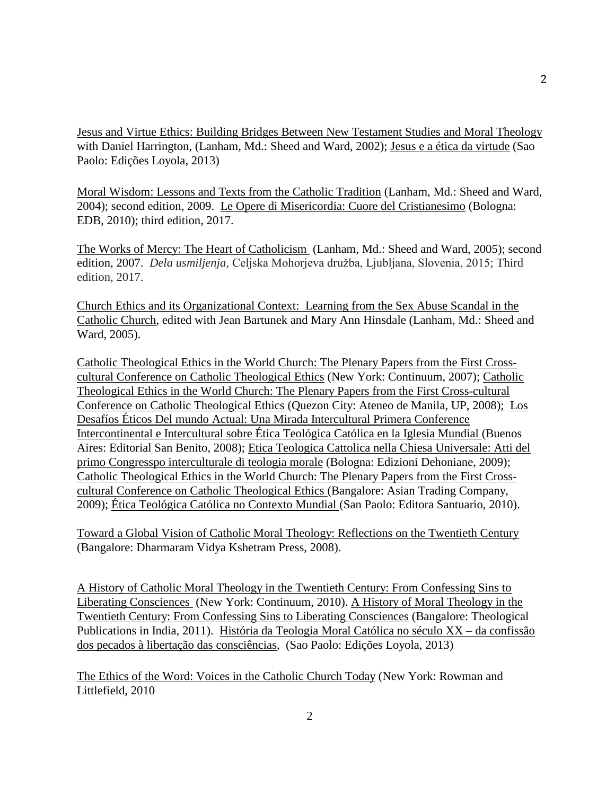Jesus and Virtue Ethics: Building Bridges Between New Testament Studies and Moral Theology with Daniel Harrington, (Lanham, Md.: Sheed and Ward, 2002); Jesus e a ética da virtude (Sao Paolo: Edições Loyola, 2013)

Moral Wisdom: Lessons and Texts from the Catholic Tradition (Lanham, Md.: Sheed and Ward, 2004); second edition, 2009. Le Opere di Misericordia: Cuore del Cristianesimo (Bologna: EDB, 2010); third edition, 2017.

The Works of Mercy: The Heart of Catholicism (Lanham, Md.: Sheed and Ward, 2005); second edition, 2007. *Dela usmiljenja,* Celjska Mohorjeva družba, Ljubljana, Slovenia, 2015; Third edition, 2017.

Church Ethics and its Organizational Context: Learning from the Sex Abuse Scandal in the Catholic Church, edited with Jean Bartunek and Mary Ann Hinsdale (Lanham, Md.: Sheed and Ward, 2005).

Catholic Theological Ethics in the World Church: The Plenary Papers from the First Crosscultural Conference on Catholic Theological Ethics (New York: Continuum, 2007); Catholic Theological Ethics in the World Church: The Plenary Papers from the First Cross-cultural Conference on Catholic Theological Ethics (Quezon City: Ateneo de Manila, UP, 2008); Los Desafíos Éticos Del mundo Actual: Una Mirada Intercultural Primera Conference Intercontinental e Intercultural sobre Ética Teológica Católica en la Iglesia Mundial (Buenos Aires: Editorial San Benito, 2008); Etica Teologica Cattolica nella Chiesa Universale: Atti del primo Congresspo interculturale di teologia morale (Bologna: Edizioni Dehoniane, 2009); Catholic Theological Ethics in the World Church: The Plenary Papers from the First Crosscultural Conference on Catholic Theological Ethics (Bangalore: Asian Trading Company, 2009); Ética Teológica Católica no Contexto Mundial (San Paolo: Editora Santuario, 2010).

Toward a Global Vision of Catholic Moral Theology: Reflections on the Twentieth Century (Bangalore: Dharmaram Vidya Kshetram Press, 2008).

A History of Catholic Moral Theology in the Twentieth Century: From Confessing Sins to Liberating Consciences (New York: Continuum, 2010). A History of Moral Theology in the Twentieth Century: From Confessing Sins to Liberating Consciences (Bangalore: Theological Publications in India, 2011). História da Teologia Moral Católica no século XX – da confissão dos pecados à libertação das consciências, (Sao Paolo: Edições Loyola, 2013)

The Ethics of the Word: Voices in the Catholic Church Today (New York: Rowman and Littlefield, 2010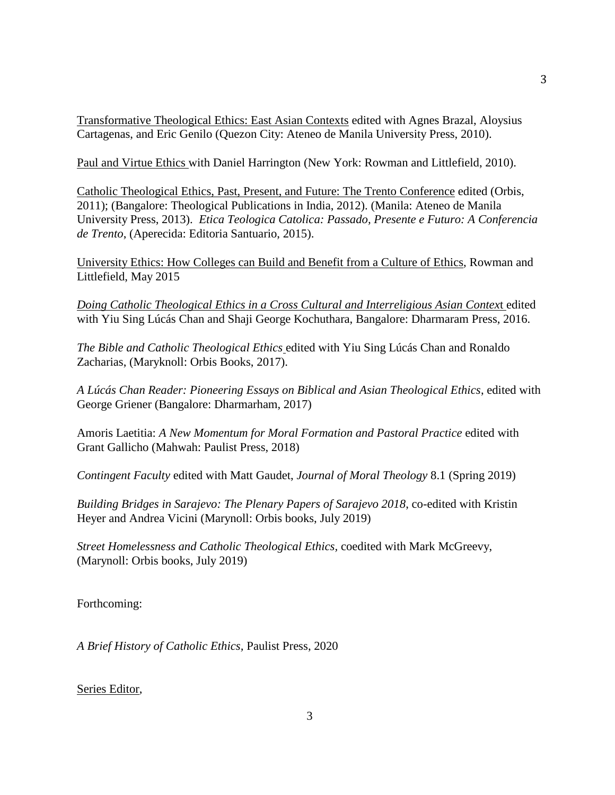Transformative Theological Ethics: East Asian Contexts edited with Agnes Brazal, Aloysius Cartagenas, and Eric Genilo (Quezon City: Ateneo de Manila University Press, 2010).

Paul and Virtue Ethics with Daniel Harrington (New York: Rowman and Littlefield, 2010).

Catholic Theological Ethics, Past, Present, and Future: The Trento Conference edited (Orbis, 2011); (Bangalore: Theological Publications in India, 2012). (Manila: Ateneo de Manila University Press, 2013). *Etica Teologica Catolica: Passado, Presente e Futuro: A Conferencia de Trento*, (Aperecida: Editoria Santuario, 2015).

University Ethics: How Colleges can Build and Benefit from a Culture of Ethics, Rowman and Littlefield, May 2015

*Doing Catholic Theological Ethics in a Cross Cultural and Interreligious Asian Contex*t edited with Yiu Sing Lúcás Chan and Shaji George Kochuthara, Bangalore: Dharmaram Press, 2016.

*The Bible and Catholic Theological Ethics* edited with Yiu Sing Lúcás Chan and Ronaldo Zacharias, (Maryknoll: Orbis Books, 2017).

*A Lúcás Chan Reader: Pioneering Essays on Biblical and Asian Theological Ethics*, edited with George Griener (Bangalore: Dharmarham, 2017)

Amoris Laetitia: *A New Momentum for Moral Formation and Pastoral Practice* edited with Grant Gallicho (Mahwah: Paulist Press, 2018)

*Contingent Faculty* edited with Matt Gaudet, *Journal of Moral Theology* 8.1 (Spring 2019)

*Building Bridges in Sarajevo: The Plenary Papers of Sarajevo 2018*, co-edited with Kristin Heyer and Andrea Vicini (Marynoll: Orbis books, July 2019)

*Street Homelessness and Catholic Theological Ethics,* coedited with Mark McGreevy, (Marynoll: Orbis books, July 2019)

Forthcoming:

*A Brief History of Catholic Ethics,* Paulist Press, 2020

Series Editor,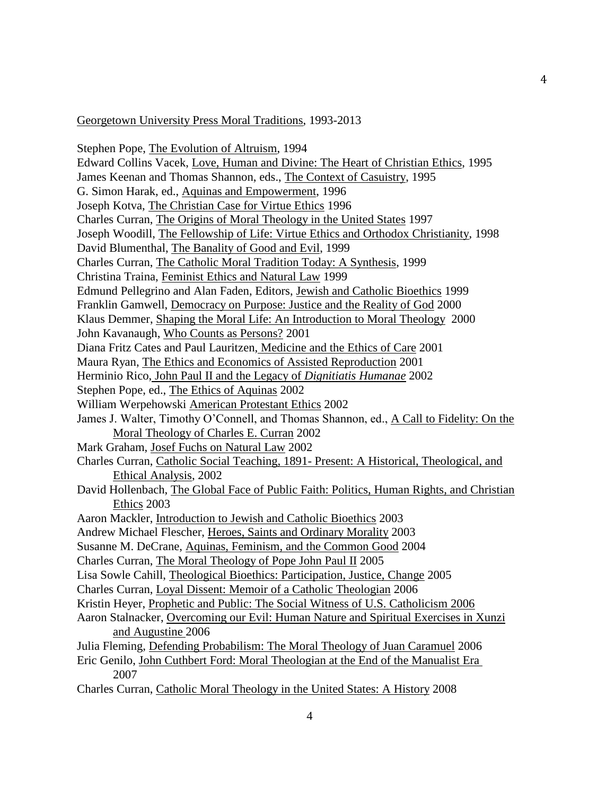#### Georgetown University Press Moral Traditions, 1993-2013

Stephen Pope, The Evolution of Altruism, 1994 Edward Collins Vacek, Love, Human and Divine: The Heart of Christian Ethics, 1995 James Keenan and Thomas Shannon, eds., The Context of Casuistry, 1995 G. Simon Harak, ed., Aquinas and Empowerment, 1996 Joseph Kotva, The Christian Case for Virtue Ethics 1996 Charles Curran, The Origins of Moral Theology in the United States 1997 Joseph Woodill, The Fellowship of Life: Virtue Ethics and Orthodox Christianity, 1998 David Blumenthal, The Banality of Good and Evil, 1999 Charles Curran, The Catholic Moral Tradition Today: A Synthesis, 1999 Christina Traina, Feminist Ethics and Natural Law 1999 Edmund Pellegrino and Alan Faden, Editors, Jewish and Catholic Bioethics 1999 Franklin Gamwell, Democracy on Purpose: Justice and the Reality of God 2000 Klaus Demmer, Shaping the Moral Life: An Introduction to Moral Theology 2000 John Kavanaugh, Who Counts as Persons? 2001 Diana Fritz Cates and Paul Lauritzen, Medicine and the Ethics of Care 2001 Maura Ryan, The Ethics and Economics of Assisted Reproduction 2001 Herminio Rico, John Paul II and the Legacy of *Dignitiatis Humanae* 2002 Stephen Pope, ed., The Ethics of Aquinas 2002 William Werpehowski American Protestant Ethics 2002 James J. Walter, Timothy O'Connell, and Thomas Shannon, ed., A Call to Fidelity: On the Moral Theology of Charles E. Curran 2002 Mark Graham, Josef Fuchs on Natural Law 2002 Charles Curran, Catholic Social Teaching, 1891- Present: A Historical, Theological, and Ethical Analysis, 2002 David Hollenbach, The Global Face of Public Faith: Politics, Human Rights, and Christian Ethics 2003 Aaron Mackler, Introduction to Jewish and Catholic Bioethics 2003 Andrew Michael Flescher, Heroes, Saints and Ordinary Morality 2003 Susanne M. DeCrane, Aquinas, Feminism, and the Common Good 2004 Charles Curran, The Moral Theology of Pope John Paul II 2005 Lisa Sowle Cahill, Theological Bioethics: Participation, Justice, Change 2005 Charles Curran, Loyal Dissent: Memoir of a Catholic Theologian 2006 Kristin Heyer, Prophetic and Public: The Social Witness of U.S. Catholicism 2006 Aaron Stalnacker, Overcoming our Evil: Human Nature and Spiritual Exercises in Xunzi and Augustine 2006 Julia Fleming, Defending Probabilism: The Moral Theology of Juan Caramuel 2006 Eric Genilo, John Cuthbert Ford: Moral Theologian at the End of the Manualist Era 2007 Charles Curran, Catholic Moral Theology in the United States: A History 2008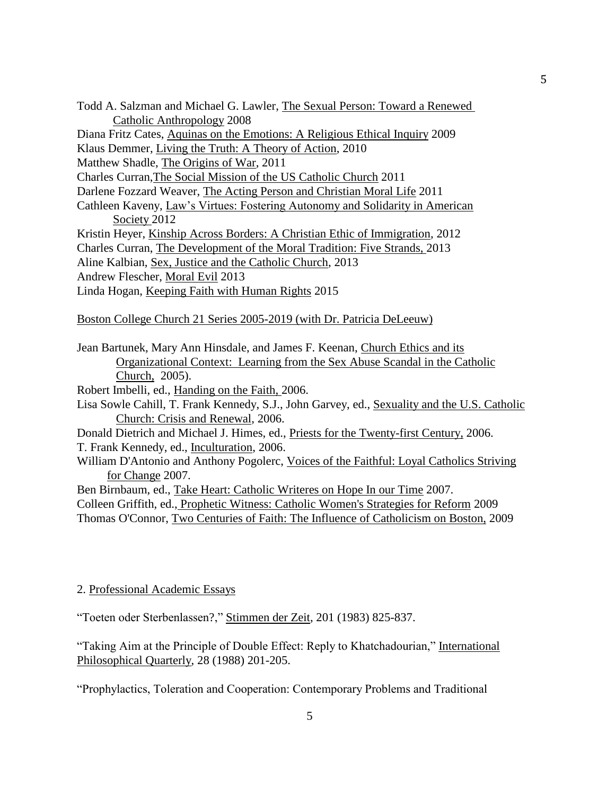- Todd A. Salzman and Michael G. Lawler, The Sexual Person: Toward a Renewed Catholic Anthropology 2008
- Diana Fritz Cates, Aquinas on the Emotions: A Religious Ethical Inquiry 2009
- Klaus Demmer, Living the Truth: A Theory of Action, 2010

Matthew Shadle, The Origins of War, 2011

Charles Curran,The Social Mission of the US Catholic Church 2011

Darlene Fozzard Weaver, The Acting Person and Christian Moral Life 2011

Cathleen Kaveny, Law's Virtues: Fostering Autonomy and Solidarity in American Society 2012

Kristin Heyer, Kinship Across Borders: A Christian Ethic of Immigration, 2012

Charles Curran, The Development of the Moral Tradition: Five Strands, 2013

Aline Kalbian, Sex, Justice and the Catholic Church, 2013

- Andrew Flescher, Moral Evil 2013
- Linda Hogan, Keeping Faith with Human Rights 2015

Boston College Church 21 Series 2005-2019 (with Dr. Patricia DeLeeuw)

Jean Bartunek, Mary Ann Hinsdale, and James F. Keenan, Church Ethics and its Organizational Context: Learning from the Sex Abuse Scandal in the Catholic Church, 2005).

Robert Imbelli, ed., Handing on the Faith, 2006.

Lisa Sowle Cahill, T. Frank Kennedy, S.J., John Garvey, ed., Sexuality and the U.S. Catholic Church: Crisis and Renewal, 2006.

Donald Dietrich and Michael J. Himes, ed., Priests for the Twenty-first Century, 2006. T. Frank Kennedy, ed., Inculturation, 2006.

William D'Antonio and Anthony Pogolerc, Voices of the Faithful: Loyal Catholics Striving for Change 2007.

Ben Birnbaum, ed., Take Heart: Catholic Writeres on Hope In our Time 2007.

Colleen Griffith, ed., Prophetic Witness: Catholic Women's Strategies for Reform 2009

Thomas O'Connor, Two Centuries of Faith: The Influence of Catholicism on Boston, 2009

# 2. Professional Academic Essays

"Toeten oder Sterbenlassen?," Stimmen der Zeit, 201 (1983) 825-837.

"Taking Aim at the Principle of Double Effect: Reply to Khatchadourian," International Philosophical Quarterly, 28 (1988) 201-205.

"Prophylactics, Toleration and Cooperation: Contemporary Problems and Traditional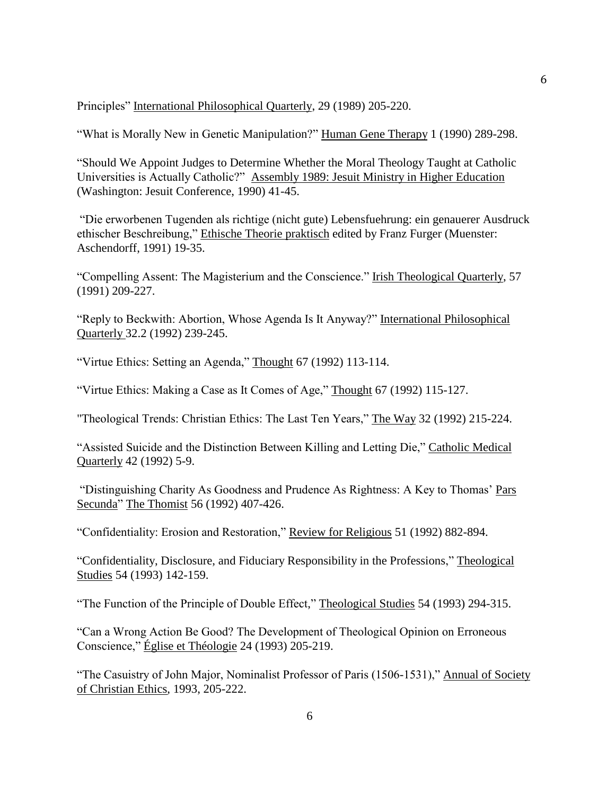Principles" International Philosophical Quarterly, 29 (1989) 205-220.

"What is Morally New in Genetic Manipulation?" Human Gene Therapy 1 (1990) 289-298.

"Should We Appoint Judges to Determine Whether the Moral Theology Taught at Catholic Universities is Actually Catholic?" Assembly 1989: Jesuit Ministry in Higher Education (Washington: Jesuit Conference, 1990) 41-45.

"Die erworbenen Tugenden als richtige (nicht gute) Lebensfuehrung: ein genauerer Ausdruck ethischer Beschreibung," Ethische Theorie praktisch edited by Franz Furger (Muenster: Aschendorff, 1991) 19-35.

"Compelling Assent: The Magisterium and the Conscience." Irish Theological Quarterly, 57 (1991) 209-227.

"Reply to Beckwith: Abortion, Whose Agenda Is It Anyway?" International Philosophical Quarterly 32.2 (1992) 239-245.

"Virtue Ethics: Setting an Agenda," Thought 67 (1992) 113-114.

"Virtue Ethics: Making a Case as It Comes of Age," Thought 67 (1992) 115-127.

"Theological Trends: Christian Ethics: The Last Ten Years," The Way 32 (1992) 215-224.

"Assisted Suicide and the Distinction Between Killing and Letting Die," Catholic Medical Quarterly 42 (1992) 5-9.

"Distinguishing Charity As Goodness and Prudence As Rightness: A Key to Thomas' Pars Secunda" The Thomist 56 (1992) 407-426.

"Confidentiality: Erosion and Restoration," Review for Religious 51 (1992) 882-894.

"Confidentiality, Disclosure, and Fiduciary Responsibility in the Professions," Theological Studies 54 (1993) 142-159.

"The Function of the Principle of Double Effect," Theological Studies 54 (1993) 294-315.

"Can a Wrong Action Be Good? The Development of Theological Opinion on Erroneous Conscience," Église et Théologie 24 (1993) 205-219.

"The Casuistry of John Major, Nominalist Professor of Paris (1506-1531)," Annual of Society of Christian Ethics, 1993, 205-222.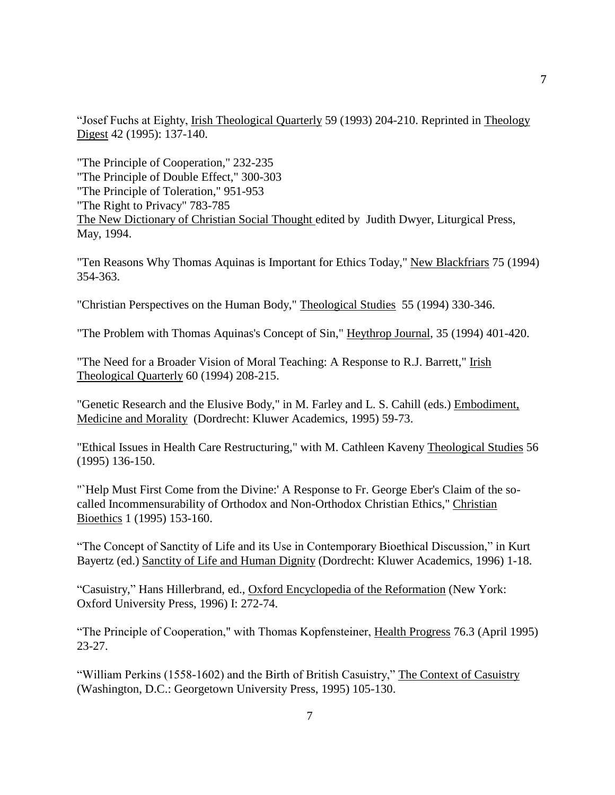"Josef Fuchs at Eighty, Irish Theological Quarterly 59 (1993) 204-210. Reprinted in Theology Digest 42 (1995): 137-140.

"The Principle of Cooperation," 232-235 "The Principle of Double Effect," 300-303 "The Principle of Toleration," 951-953 "The Right to Privacy" 783-785 The New Dictionary of Christian Social Thought edited by Judith Dwyer, Liturgical Press, May, 1994.

"Ten Reasons Why Thomas Aquinas is Important for Ethics Today," New Blackfriars 75 (1994) 354-363.

"Christian Perspectives on the Human Body," Theological Studies 55 (1994) 330-346.

"The Problem with Thomas Aquinas's Concept of Sin," Heythrop Journal, 35 (1994) 401-420.

"The Need for a Broader Vision of Moral Teaching: A Response to R.J. Barrett," Irish Theological Quarterly 60 (1994) 208-215.

"Genetic Research and the Elusive Body," in M. Farley and L. S. Cahill (eds.) Embodiment, Medicine and Morality (Dordrecht: Kluwer Academics, 1995) 59-73.

"Ethical Issues in Health Care Restructuring," with M. Cathleen Kaveny Theological Studies 56 (1995) 136-150.

"`Help Must First Come from the Divine:' A Response to Fr. George Eber's Claim of the socalled Incommensurability of Orthodox and Non-Orthodox Christian Ethics," Christian Bioethics 1 (1995) 153-160.

"The Concept of Sanctity of Life and its Use in Contemporary Bioethical Discussion," in Kurt Bayertz (ed.) Sanctity of Life and Human Dignity (Dordrecht: Kluwer Academics, 1996) 1-18.

"Casuistry," Hans Hillerbrand, ed., Oxford Encyclopedia of the Reformation (New York: Oxford University Press, 1996) I: 272-74.

"The Principle of Cooperation," with Thomas Kopfensteiner, Health Progress 76.3 (April 1995) 23-27.

"William Perkins (1558-1602) and the Birth of British Casuistry," The Context of Casuistry (Washington, D.C.: Georgetown University Press, 1995) 105-130.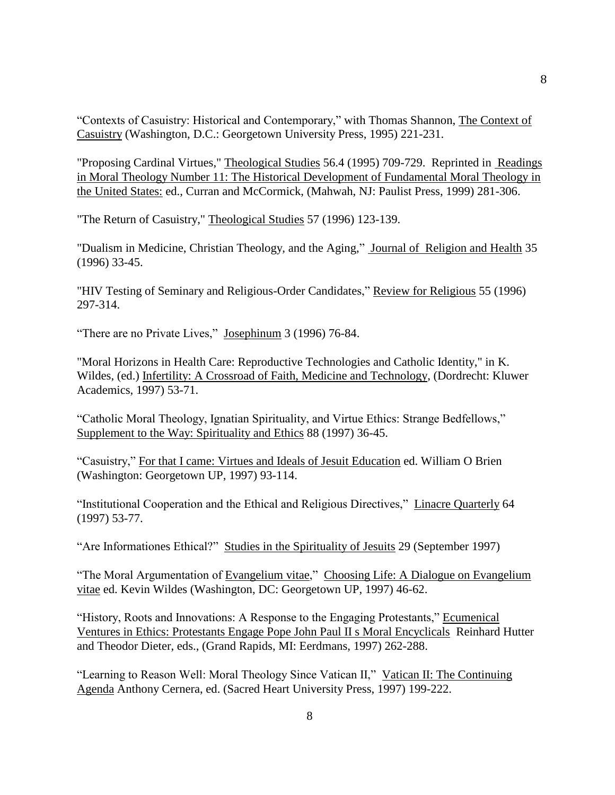"Contexts of Casuistry: Historical and Contemporary," with Thomas Shannon, The Context of Casuistry (Washington, D.C.: Georgetown University Press, 1995) 221-231.

"Proposing Cardinal Virtues," Theological Studies 56.4 (1995) 709-729. Reprinted in Readings in Moral Theology Number 11: The Historical Development of Fundamental Moral Theology in the United States: ed., Curran and McCormick, (Mahwah, NJ: Paulist Press, 1999) 281-306.

"The Return of Casuistry," Theological Studies 57 (1996) 123-139.

"Dualism in Medicine, Christian Theology, and the Aging," Journal of Religion and Health 35 (1996) 33-45.

"HIV Testing of Seminary and Religious-Order Candidates," Review for Religious 55 (1996) 297-314.

"There are no Private Lives," Josephinum 3 (1996) 76-84.

"Moral Horizons in Health Care: Reproductive Technologies and Catholic Identity," in K. Wildes, (ed.) Infertility: A Crossroad of Faith, Medicine and Technology, (Dordrecht: Kluwer Academics, 1997) 53-71.

"Catholic Moral Theology, Ignatian Spirituality, and Virtue Ethics: Strange Bedfellows," Supplement to the Way: Spirituality and Ethics 88 (1997) 36-45.

"Casuistry," For that I came: Virtues and Ideals of Jesuit Education ed. William O Brien (Washington: Georgetown UP, 1997) 93-114.

"Institutional Cooperation and the Ethical and Religious Directives," Linacre Quarterly 64 (1997) 53-77.

"Are Informationes Ethical?" Studies in the Spirituality of Jesuits 29 (September 1997)

"The Moral Argumentation of Evangelium vitae," Choosing Life: A Dialogue on Evangelium vitae ed. Kevin Wildes (Washington, DC: Georgetown UP, 1997) 46-62.

"History, Roots and Innovations: A Response to the Engaging Protestants," Ecumenical Ventures in Ethics: Protestants Engage Pope John Paul II s Moral Encyclicals Reinhard Hutter and Theodor Dieter, eds., (Grand Rapids, MI: Eerdmans, 1997) 262-288.

"Learning to Reason Well: Moral Theology Since Vatican II," Vatican II: The Continuing Agenda Anthony Cernera, ed. (Sacred Heart University Press, 1997) 199-222.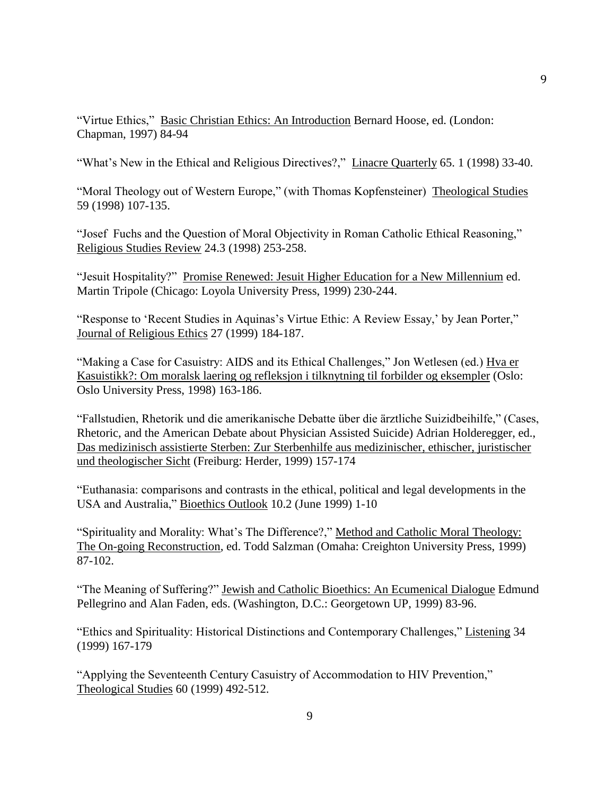"Virtue Ethics," Basic Christian Ethics: An Introduction Bernard Hoose, ed. (London: Chapman, 1997) 84-94

"What's New in the Ethical and Religious Directives?," Linacre Quarterly 65. 1 (1998) 33-40.

"Moral Theology out of Western Europe," (with Thomas Kopfensteiner) Theological Studies 59 (1998) 107-135.

"Josef Fuchs and the Question of Moral Objectivity in Roman Catholic Ethical Reasoning," Religious Studies Review 24.3 (1998) 253-258.

"Jesuit Hospitality?" Promise Renewed: Jesuit Higher Education for a New Millennium ed. Martin Tripole (Chicago: Loyola University Press, 1999) 230-244.

"Response to 'Recent Studies in Aquinas's Virtue Ethic: A Review Essay,' by Jean Porter," Journal of Religious Ethics 27 (1999) 184-187.

"Making a Case for Casuistry: AIDS and its Ethical Challenges," Jon Wetlesen (ed.) Hva er Kasuistikk?: Om moralsk laering og refleksjon i tilknytning til forbilder og eksempler (Oslo: Oslo University Press, 1998) 163-186.

"Fallstudien, Rhetorik und die amerikanische Debatte über die ärztliche Suizidbeihilfe," (Cases, Rhetoric, and the American Debate about Physician Assisted Suicide) Adrian Holderegger, ed., Das medizinisch assistierte Sterben: Zur Sterbenhilfe aus medizinischer, ethischer, juristischer und theologischer Sicht (Freiburg: Herder, 1999) 157-174

"Euthanasia: comparisons and contrasts in the ethical, political and legal developments in the USA and Australia," Bioethics Outlook 10.2 (June 1999) 1-10

"Spirituality and Morality: What's The Difference?," Method and Catholic Moral Theology: The On-going Reconstruction, ed. Todd Salzman (Omaha: Creighton University Press, 1999) 87-102.

"The Meaning of Suffering?" Jewish and Catholic Bioethics: An Ecumenical Dialogue Edmund Pellegrino and Alan Faden, eds. (Washington, D.C.: Georgetown UP, 1999) 83-96.

"Ethics and Spirituality: Historical Distinctions and Contemporary Challenges," Listening 34 (1999) 167-179

"Applying the Seventeenth Century Casuistry of Accommodation to HIV Prevention," Theological Studies 60 (1999) 492-512.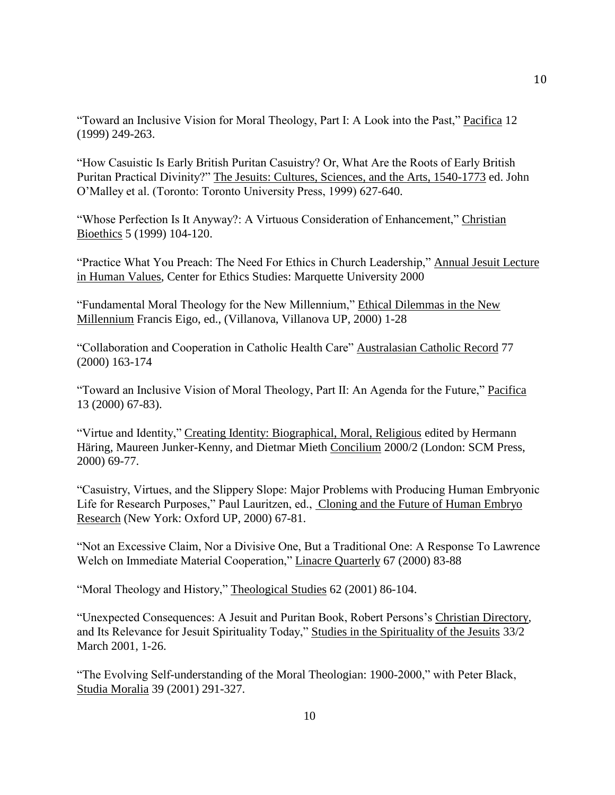"Toward an Inclusive Vision for Moral Theology, Part I: A Look into the Past," Pacifica 12 (1999) 249-263.

"How Casuistic Is Early British Puritan Casuistry? Or, What Are the Roots of Early British Puritan Practical Divinity?" The Jesuits: Cultures, Sciences, and the Arts, 1540-1773 ed. John O'Malley et al. (Toronto: Toronto University Press, 1999) 627-640.

"Whose Perfection Is It Anyway?: A Virtuous Consideration of Enhancement," Christian Bioethics 5 (1999) 104-120.

"Practice What You Preach: The Need For Ethics in Church Leadership," Annual Jesuit Lecture in Human Values, Center for Ethics Studies: Marquette University 2000

"Fundamental Moral Theology for the New Millennium," Ethical Dilemmas in the New Millennium Francis Eigo, ed., (Villanova, Villanova UP, 2000) 1-28

"Collaboration and Cooperation in Catholic Health Care" Australasian Catholic Record 77 (2000) 163-174

"Toward an Inclusive Vision of Moral Theology, Part II: An Agenda for the Future," Pacifica 13 (2000) 67-83).

"Virtue and Identity," Creating Identity: Biographical, Moral, Religious edited by Hermann Häring, Maureen Junker-Kenny, and Dietmar Mieth Concilium 2000/2 (London: SCM Press, 2000) 69-77.

"Casuistry, Virtues, and the Slippery Slope: Major Problems with Producing Human Embryonic Life for Research Purposes," Paul Lauritzen, ed., Cloning and the Future of Human Embryo Research (New York: Oxford UP, 2000) 67-81.

"Not an Excessive Claim, Nor a Divisive One, But a Traditional One: A Response To Lawrence Welch on Immediate Material Cooperation," Linacre Quarterly 67 (2000) 83-88

"Moral Theology and History," Theological Studies 62 (2001) 86-104.

"Unexpected Consequences: A Jesuit and Puritan Book, Robert Persons's Christian Directory, and Its Relevance for Jesuit Spirituality Today," Studies in the Spirituality of the Jesuits 33/2 March 2001, 1-26.

"The Evolving Self-understanding of the Moral Theologian: 1900-2000," with Peter Black, Studia Moralia 39 (2001) 291-327.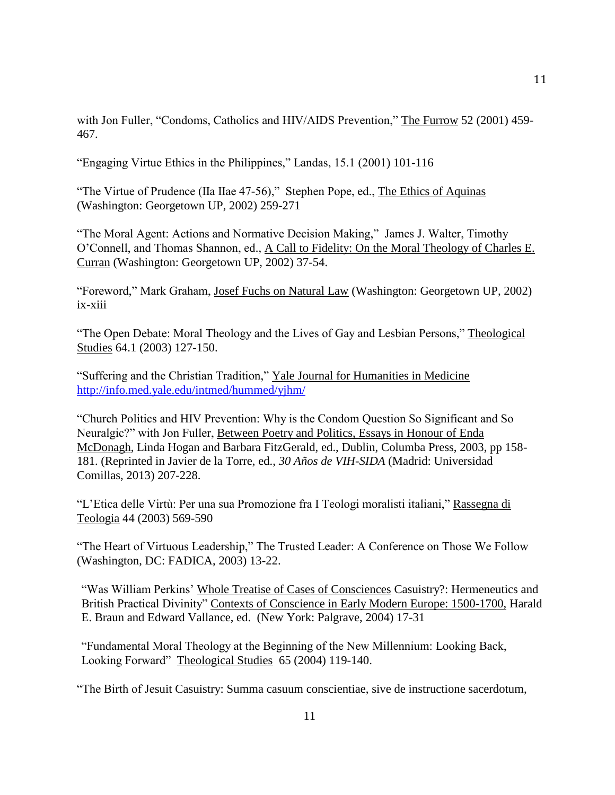with Jon Fuller, "Condoms, Catholics and HIV/AIDS Prevention," The Furrow 52 (2001) 459-467.

"Engaging Virtue Ethics in the Philippines," Landas, 15.1 (2001) 101-116

"The Virtue of Prudence (IIa IIae 47-56)," Stephen Pope, ed., The Ethics of Aquinas (Washington: Georgetown UP, 2002) 259-271

"The Moral Agent: Actions and Normative Decision Making," James J. Walter, Timothy O'Connell, and Thomas Shannon, ed., A Call to Fidelity: On the Moral Theology of Charles E. Curran (Washington: Georgetown UP, 2002) 37-54.

"Foreword," Mark Graham, Josef Fuchs on Natural Law (Washington: Georgetown UP, 2002) ix-xiii

"The Open Debate: Moral Theology and the Lives of Gay and Lesbian Persons," Theological Studies 64.1 (2003) 127-150.

"Suffering and the Christian Tradition," Yale Journal for Humanities in Medicine <http://info.med.yale.edu/intmed/hummed/yjhm/>

"Church Politics and HIV Prevention: Why is the Condom Question So Significant and So Neuralgic?" with Jon Fuller, Between Poetry and Politics, Essays in Honour of Enda McDonagh, Linda Hogan and Barbara FitzGerald, ed., Dublin, Columba Press, 2003, pp 158- 181. (Reprinted in Javier de la Torre, ed., *30 Años de VIH-SIDA* (Madrid: Universidad Comillas, 2013) 207-228.

"L'Etica delle Virtù: Per una sua Promozione fra I Teologi moralisti italiani," Rassegna di Teologia 44 (2003) 569-590

"The Heart of Virtuous Leadership," The Trusted Leader: A Conference on Those We Follow (Washington, DC: FADICA, 2003) 13-22.

"Was William Perkins' Whole Treatise of Cases of Consciences Casuistry?: Hermeneutics and British Practical Divinity" Contexts of Conscience in Early Modern Europe: 1500-1700, Harald E. Braun and Edward Vallance, ed. (New York: Palgrave, 2004) 17-31

"Fundamental Moral Theology at the Beginning of the New Millennium: Looking Back, Looking Forward" Theological Studies 65 (2004) 119-140.

"The Birth of Jesuit Casuistry: Summa casuum conscientiae, sive de instructione sacerdotum,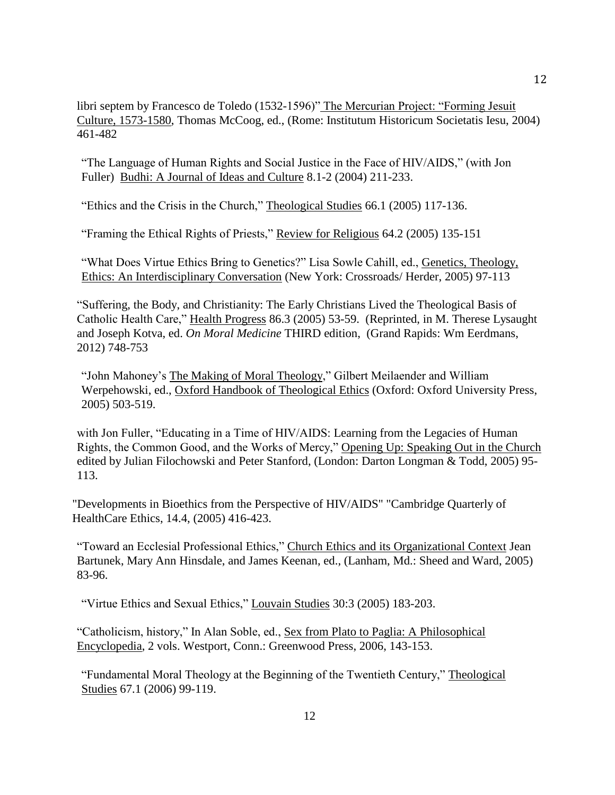libri septem by Francesco de Toledo (1532-1596)" The Mercurian Project: "Forming Jesuit Culture, 1573-1580, Thomas McCoog, ed., (Rome: Institutum Historicum Societatis Iesu, 2004) 461-482

"The Language of Human Rights and Social Justice in the Face of HIV/AIDS," (with Jon Fuller) Budhi: A Journal of Ideas and Culture 8.1-2 (2004) 211-233.

"Ethics and the Crisis in the Church," Theological Studies 66.1 (2005) 117-136.

"Framing the Ethical Rights of Priests," Review for Religious 64.2 (2005) 135-151

"What Does Virtue Ethics Bring to Genetics?" Lisa Sowle Cahill, ed., Genetics, Theology, Ethics: An Interdisciplinary Conversation (New York: Crossroads/ Herder, 2005) 97-113

"Suffering, the Body, and Christianity: The Early Christians Lived the Theological Basis of Catholic Health Care," Health Progress 86.3 (2005) 53-59. (Reprinted, in M. Therese Lysaught and Joseph Kotva, ed. *On Moral Medicine* THIRD edition, (Grand Rapids: Wm Eerdmans, 2012) 748-753

"John Mahoney's The Making of Moral Theology," Gilbert Meilaender and William Werpehowski, ed., Oxford Handbook of Theological Ethics (Oxford: Oxford University Press, 2005) 503-519.

with Jon Fuller, "Educating in a Time of HIV/AIDS: Learning from the Legacies of Human Rights, the Common Good, and the Works of Mercy," Opening Up: Speaking Out in the Church edited by Julian Filochowski and Peter Stanford, (London: Darton Longman & Todd, 2005) 95- 113.

"Developments in Bioethics from the Perspective of HIV/AIDS" "Cambridge Quarterly of HealthCare Ethics, 14.4, (2005) 416-423.

"Toward an Ecclesial Professional Ethics," Church Ethics and its Organizational Context Jean Bartunek, Mary Ann Hinsdale, and James Keenan, ed., (Lanham, Md.: Sheed and Ward, 2005) 83-96.

"Virtue Ethics and Sexual Ethics," Louvain Studies 30:3 (2005) 183-203.

"Catholicism, history," In Alan Soble, ed., Sex from Plato to Paglia: A Philosophical Encyclopedia, 2 vols. Westport, Conn.: Greenwood Press, 2006, 143-153.

"Fundamental Moral Theology at the Beginning of the Twentieth Century," Theological Studies 67.1 (2006) 99-119.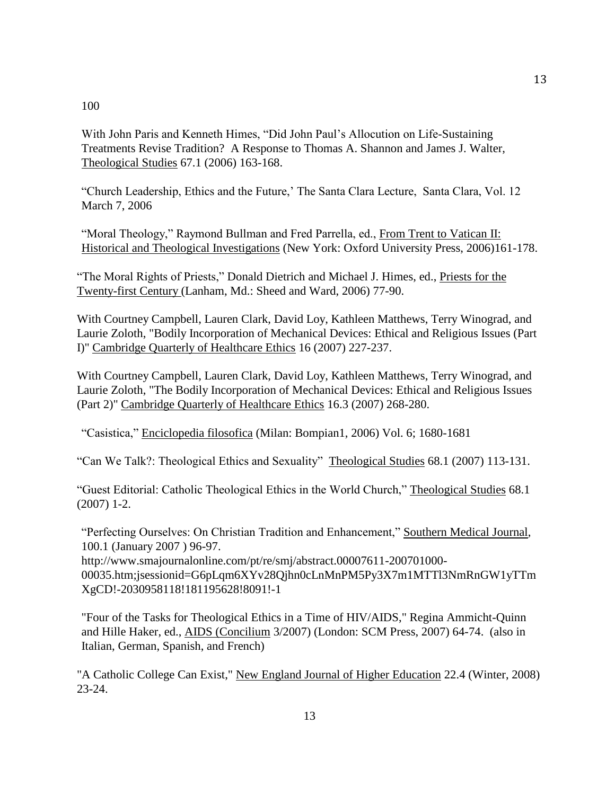## 100

With John Paris and Kenneth Himes, "Did John Paul's Allocution on Life-Sustaining Treatments Revise Tradition? A Response to Thomas A. Shannon and James J. Walter, Theological Studies 67.1 (2006) 163-168.

"Church Leadership, Ethics and the Future,' The Santa Clara Lecture, Santa Clara, Vol. 12 March 7, 2006

"Moral Theology," Raymond Bullman and Fred Parrella, ed., From Trent to Vatican II: Historical and Theological Investigations (New York: Oxford University Press, 2006)161-178.

"The Moral Rights of Priests," Donald Dietrich and Michael J. Himes, ed., Priests for the Twenty-first Century (Lanham, Md.: Sheed and Ward, 2006) 77-90.

With Courtney Campbell, Lauren Clark, David Loy, Kathleen Matthews, Terry Winograd, and Laurie Zoloth, "Bodily Incorporation of Mechanical Devices: Ethical and Religious Issues (Part I)" Cambridge Quarterly of Healthcare Ethics 16 (2007) 227-237.

With Courtney Campbell, Lauren Clark, David Loy, Kathleen Matthews, Terry Winograd, and Laurie Zoloth, "The Bodily Incorporation of Mechanical Devices: Ethical and Religious Issues (Part 2)" Cambridge Quarterly of Healthcare Ethics 16.3 (2007) 268-280.

"Casistica," Enciclopedia filosofica (Milan: Bompian1, 2006) Vol. 6; 1680-1681

"Can We Talk?: Theological Ethics and Sexuality" Theological Studies 68.1 (2007) 113-131.

"Guest Editorial: Catholic Theological Ethics in the World Church," Theological Studies 68.1 (2007) 1-2.

"Perfecting Ourselves: On Christian Tradition and Enhancement," Southern Medical Journal, 100.1 (January 2007 ) 96-97.

http://www.smajournalonline.com/pt/re/smj/abstract.00007611-200701000- 00035.htm;jsessionid=G6pLqm6XYv28Qjhn0cLnMnPM5Py3X7m1MTTl3NmRnGW1yTTm XgCD!-2030958118!181195628!8091!-1

"Four of the Tasks for Theological Ethics in a Time of HIV/AIDS," Regina Ammicht-Quinn and Hille Haker, ed., AIDS (Concilium 3/2007) (London: SCM Press, 2007) 64-74. (also in Italian, German, Spanish, and French)

"A Catholic College Can Exist," New England Journal of Higher Education 22.4 (Winter, 2008) 23-24.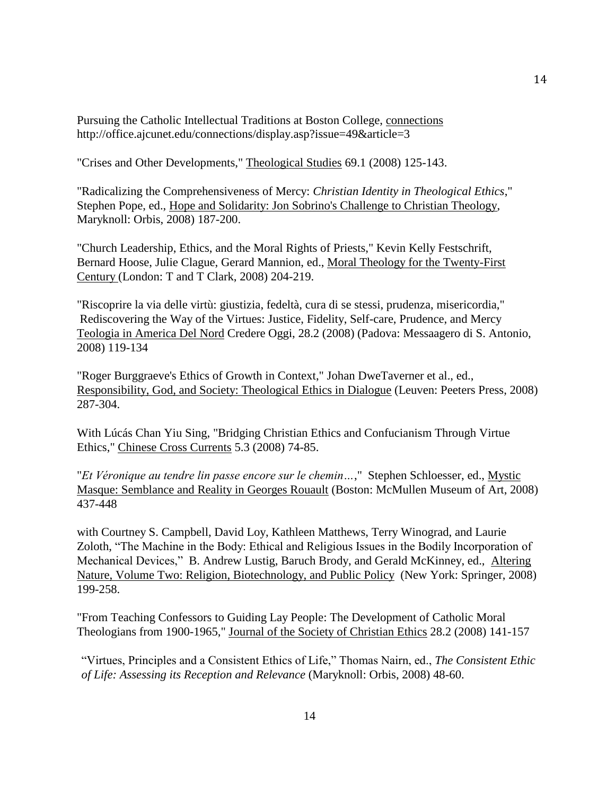Pursuing the Catholic Intellectual Traditions at Boston College, connections http://office.ajcunet.edu/connections/display.asp?issue=49&article=3

"Crises and Other Developments," Theological Studies 69.1 (2008) 125-143.

"Radicalizing the Comprehensiveness of Mercy: *Christian Identity in Theological Ethics*," Stephen Pope, ed., Hope and Solidarity: Jon Sobrino's Challenge to Christian Theology, Maryknoll: Orbis, 2008) 187-200.

"Church Leadership, Ethics, and the Moral Rights of Priests," Kevin Kelly Festschrift, Bernard Hoose, Julie Clague, Gerard Mannion, ed., Moral Theology for the Twenty-First Century (London: T and T Clark, 2008) 204-219.

"Riscoprire la via delle virtù: giustizia, fedeltà, cura di se stessi, prudenza, misericordia," Rediscovering the Way of the Virtues: Justice, Fidelity, Self-care, Prudence, and Mercy Teologia in America Del Nord Credere Oggi, 28.2 (2008) (Padova: Messaagero di S. Antonio, 2008) 119-134

"Roger Burggraeve's Ethics of Growth in Context," Johan DweTaverner et al., ed., Responsibility, God, and Society: Theological Ethics in Dialogue (Leuven: Peeters Press, 2008) 287-304.

With Lúcás Chan Yiu Sing, "Bridging Christian Ethics and Confucianism Through Virtue Ethics," Chinese Cross Currents 5.3 (2008) 74-85.

"*Et Véronique au tendre lin passe encore sur le chemin…*," Stephen Schloesser, ed., Mystic Masque: Semblance and Reality in Georges Rouault (Boston: McMullen Museum of Art, 2008) 437-448

with Courtney S. Campbell, David Loy, Kathleen Matthews, Terry Winograd, and Laurie Zoloth, "The Machine in the Body: Ethical and Religious Issues in the Bodily Incorporation of Mechanical Devices," B. Andrew Lustig, Baruch Brody, and Gerald McKinney, ed., Altering Nature, Volume Two: Religion, Biotechnology, and Public Policy (New York: Springer, 2008) 199-258.

"From Teaching Confessors to Guiding Lay People: The Development of Catholic Moral Theologians from 1900-1965," Journal of the Society of Christian Ethics 28.2 (2008) 141-157

"Virtues, Principles and a Consistent Ethics of Life," Thomas Nairn, ed., *The Consistent Ethic of Life: Assessing its Reception and Relevance* (Maryknoll: Orbis, 2008) 48-60.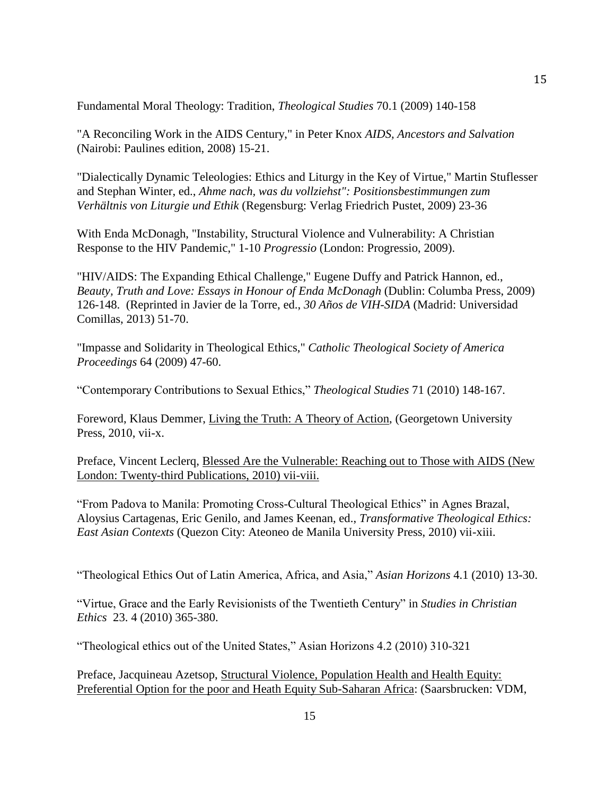Fundamental Moral Theology: Tradition, *Theological Studies* 70.1 (2009) 140-158

"A Reconciling Work in the AIDS Century," in Peter Knox *AIDS, Ancestors and Salvation* (Nairobi: Paulines edition, 2008) 15-21.

"Dialectically Dynamic Teleologies: Ethics and Liturgy in the Key of Virtue," Martin Stuflesser and Stephan Winter, ed., *Ahme nach, was du vollziehst": Positionsbestimmungen zum Verhältnis von Liturgie und Ethik* (Regensburg: Verlag Friedrich Pustet, 2009) 23-36

With Enda McDonagh, "Instability, Structural Violence and Vulnerability: A Christian Response to the HIV Pandemic," 1-10 *Progressio* (London: Progressio, 2009).

"HIV/AIDS: The Expanding Ethical Challenge," Eugene Duffy and Patrick Hannon, ed., *Beauty, Truth and Love: Essays in Honour of Enda McDonagh* (Dublin: Columba Press, 2009) 126-148. (Reprinted in Javier de la Torre, ed., *30 Años de VIH-SIDA* (Madrid: Universidad Comillas, 2013) 51-70.

"Impasse and Solidarity in Theological Ethics," *Catholic Theological Society of America Proceedings* 64 (2009) 47-60.

"Contemporary Contributions to Sexual Ethics," *Theological Studies* 71 (2010) 148-167.

Foreword, Klaus Demmer, Living the Truth: A Theory of Action, (Georgetown University Press, 2010, vii-x.

Preface, Vincent Leclerq, Blessed Are the Vulnerable: Reaching out to Those with AIDS (New London: Twenty-third Publications, 2010) vii-viii.

"From Padova to Manila: Promoting Cross-Cultural Theological Ethics" in Agnes Brazal, Aloysius Cartagenas, Eric Genilo, and James Keenan, ed., *Transformative Theological Ethics: East Asian Contexts* (Quezon City: Ateoneo de Manila University Press, 2010) vii-xiii.

"Theological Ethics Out of Latin America, Africa, and Asia," *Asian Horizons* 4.1 (2010) 13-30.

"Virtue, Grace and the Early Revisionists of the Twentieth Century" in *Studies in Christian Ethics* 23. 4 (2010) 365-380.

"Theological ethics out of the United States," Asian Horizons 4.2 (2010) 310-321

Preface, Jacquineau Azetsop, Structural Violence, Population Health and Health Equity: Preferential Option for the poor and Heath Equity Sub-Saharan Africa: (Saarsbrucken: VDM,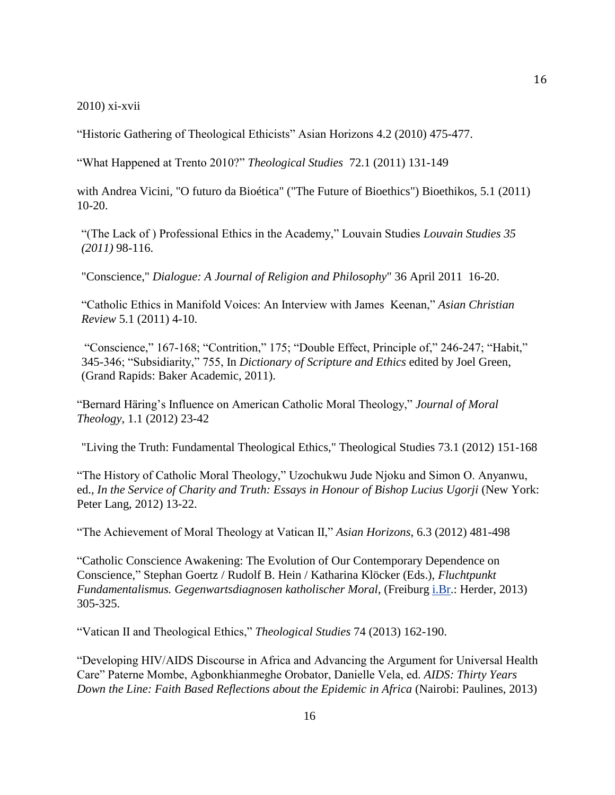2010) xi-xvii

"Historic Gathering of Theological Ethicists" Asian Horizons 4.2 (2010) 475-477.

"What Happened at Trento 2010?" *Theological Studies* 72.1 (2011) 131-149

with Andrea Vicini, "O futuro da Bioética" ("The Future of Bioethics") Bioethikos, 5.1 (2011) 10-20.

"(The Lack of ) Professional Ethics in the Academy," Louvain Studies *Louvain Studies 35 (2011)* 98-116.

"Conscience," *Dialogue: A Journal of Religion and Philosophy*" 36 April 2011 16-20.

"Catholic Ethics in Manifold Voices: An Interview with James Keenan," *Asian Christian Review* 5.1 (2011) 4-10.

"Conscience," 167-168; "Contrition," 175; "Double Effect, Principle of," 246-247; "Habit," 345-346; "Subsidiarity," 755, In *Dictionary of Scripture and Ethics* edited by Joel Green, (Grand Rapids: Baker Academic, 2011).

"Bernard Häring's Influence on American Catholic Moral Theology," *Journal of Moral Theology*, 1.1 (2012) 23-42

"Living the Truth: Fundamental Theological Ethics," Theological Studies 73.1 (2012) 151-168

"The History of Catholic Moral Theology," Uzochukwu Jude Njoku and Simon O. Anyanwu, ed., *In the Service of Charity and Truth: Essays in Honour of Bishop Lucius Ugorji* (New York: Peter Lang, 2012) 13-22.

"The Achievement of Moral Theology at Vatican II," *Asian Horizons*, 6.3 (2012) 481-498

"Catholic Conscience Awakening: The Evolution of Our Contemporary Dependence on Conscience," Stephan Goertz / Rudolf B. Hein / Katharina Klöcker (Eds.), *Fluchtpunkt Fundamentalismus. Gegenwartsdiagnosen katholischer Moral*, (Freiburg [i.Br.](http://i.br/): Herder, 2013) 305-325.

"Vatican II and Theological Ethics," *Theological Studies* 74 (2013) 162-190.

"Developing HIV/AIDS Discourse in Africa and Advancing the Argument for Universal Health Care" Paterne Mombe, Agbonkhianmeghe Orobator, Danielle Vela, ed. *AIDS: Thirty Years Down the Line: Faith Based Reflections about the Epidemic in Africa* (Nairobi: Paulines, 2013)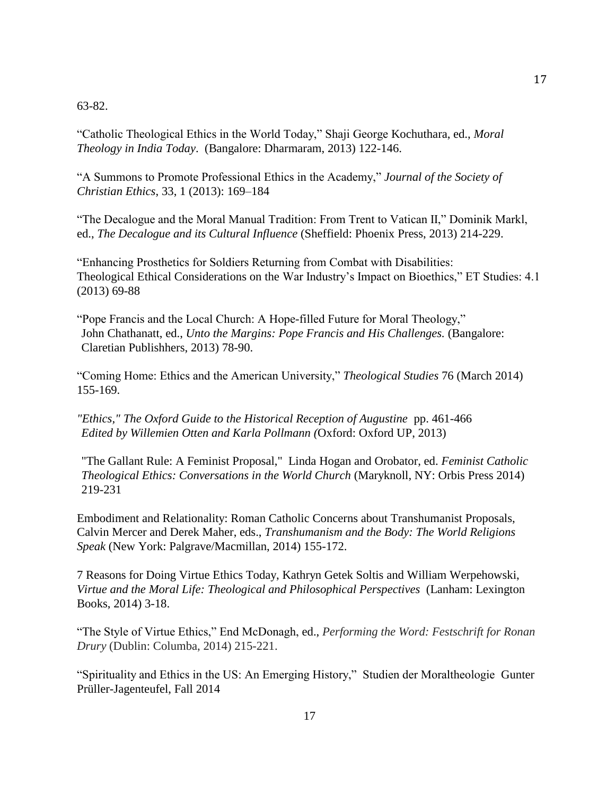## 63-82.

"Catholic Theological Ethics in the World Today," Shaji George Kochuthara, ed., *Moral Theology in India Today*. (Bangalore: Dharmaram, 2013) 122-146.

"A Summons to Promote Professional Ethics in the Academy," *Journal of the Society of Christian Ethics*, 33, 1 (2013): 169–184

"The Decalogue and the Moral Manual Tradition: From Trent to Vatican II," Dominik Markl, ed., *The Decalogue and its Cultural Influence* (Sheffield: Phoenix Press, 2013) 214-229.

"Enhancing Prosthetics for Soldiers Returning from Combat with Disabilities: Theological Ethical Considerations on the War Industry's Impact on Bioethics," ET Studies: 4.1 (2013) 69-88

"Pope Francis and the Local Church: A Hope-filled Future for Moral Theology," John Chathanatt, ed., *Unto the Margins: Pope Francis and His Challenges.* (Bangalore: Claretian Publishhers, 2013) 78-90.

"Coming Home: Ethics and the American University," *Theological Studies* 76 (March 2014) 155-169.

*"Ethics," The Oxford Guide to the Historical Reception of Augustine* pp. 461-466 *Edited by Willemien Otten and Karla Pollmann (*Oxford: Oxford UP, 2013)

"The Gallant Rule: A Feminist Proposal," Linda Hogan and Orobator, ed. *Feminist Catholic Theological Ethics: Conversations in the World Church* (Maryknoll, NY: Orbis Press 2014) 219-231

Embodiment and Relationality: Roman Catholic Concerns about Transhumanist Proposals, Calvin Mercer and Derek Maher, eds., *Transhumanism and the Body: The World Religions Speak* (New York: Palgrave/Macmillan, 2014) 155-172.

7 Reasons for Doing Virtue Ethics Today, Kathryn Getek Soltis and William Werpehowski, *Virtue and the Moral Life: Theological and Philosophical Perspectives* (Lanham: Lexington Books, 2014) 3-18.

"The Style of Virtue Ethics," End McDonagh, ed., *Performing the Word: Festschrift for Ronan Drury* (Dublin: Columba, 2014) 215-221.

"Spirituality and Ethics in the US: An Emerging History," Studien der Moraltheologie Gunter Prüller-Jagenteufel, Fall 2014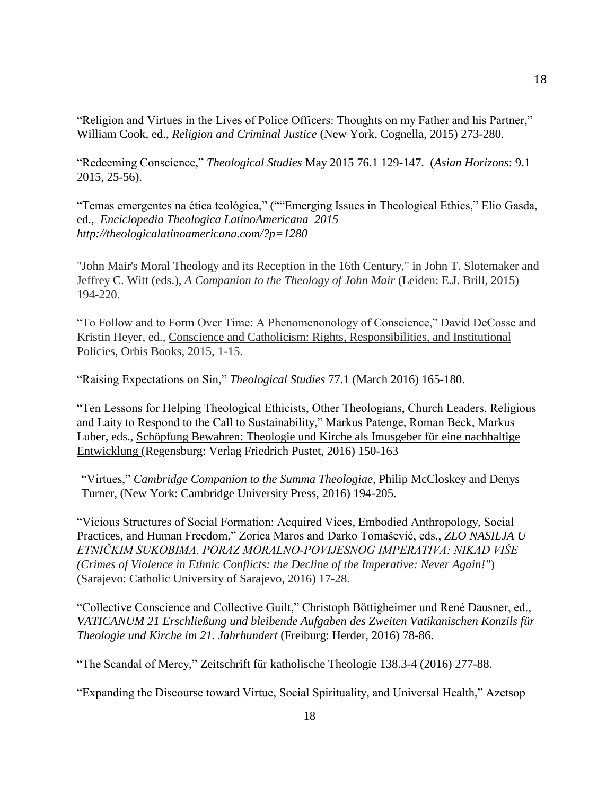"Religion and Virtues in the Lives of Police Officers: Thoughts on my Father and his Partner," William Cook, ed., *Religion and Criminal Justice* (New York, Cognella, 2015) 273-280.

"Redeeming Conscience," *Theological Studies* May 2015 76.1 129-147. (*Asian Horizons*: 9.1 2015, 25-56).

"Temas emergentes na ética teológica," (""Emerging Issues in Theological Ethics," Elio Gasda, ed., *Enciclopedia Theologica LatinoAmericana 2015 http://theologicalatinoamericana.com/?p=1280*

"John Mair's Moral Theology and its Reception in the 16th Century," in John T. Slotemaker and Jeffrey C. Witt (eds.), *A Companion to the Theology of John Mair* (Leiden: E.J. Brill, 2015) 194-220.

"To Follow and to Form Over Time: A Phenomenonology of Conscience," David DeCosse and Kristin Heyer, ed., Conscience and Catholicism: Rights, Responsibilities, and Institutional Policies, Orbis Books, 2015, 1-15.

"Raising Expectations on Sin," *Theological Studies* 77.1 (March 2016) 165-180.

"Ten Lessons for Helping Theological Ethicists, Other Theologians, Church Leaders, Religious and Laity to Respond to the Call to Sustainability," Markus Patenge, Roman Beck, Markus Luber, eds., Schöpfung Bewahren: Theologie und Kirche als Imusgeber für eine nachhaltige Entwicklung (Regensburg: Verlag Friedrich Pustet, 2016) 150-163

"Virtues," *Cambridge Companion to the Summa Theologiae,* Philip McCloskey and Denys Turner, (New York: Cambridge University Press, 2016) 194-205.

"Vicious Structures of Social Formation: Acquired Vices, Embodied Anthropology, Social Practices, and Human Freedom," Zorica Maros and Darko Tomašević, eds., *ZLO NASILJA U ETNIČKIM SUKOBIMA. PORAZ MORALNO-POVIJESNOG IMPERATIVA: NIKAD VIŠE (Crimes of Violence in Ethnic Conflicts: the Decline of the Imperative: Never Again!"*) (Sarajevo: Catholic University of Sarajevo, 2016) 17-28.

"Collective Conscience and Collective Guilt," Christoph Böttigheimer und René Dausner, ed., *VATICANUM 21 Erschließung und bleibende Aufgaben des Zweiten Vatikanischen Konzils für Theologie und Kirche im 21. Jahrhundert* (Freiburg: Herder, 2016) 78-86.

"The Scandal of Mercy," Zeitschrift für katholische Theologie 138.3-4 (2016) 277-88.

"Expanding the Discourse toward Virtue, Social Spirituality, and Universal Health," Azetsop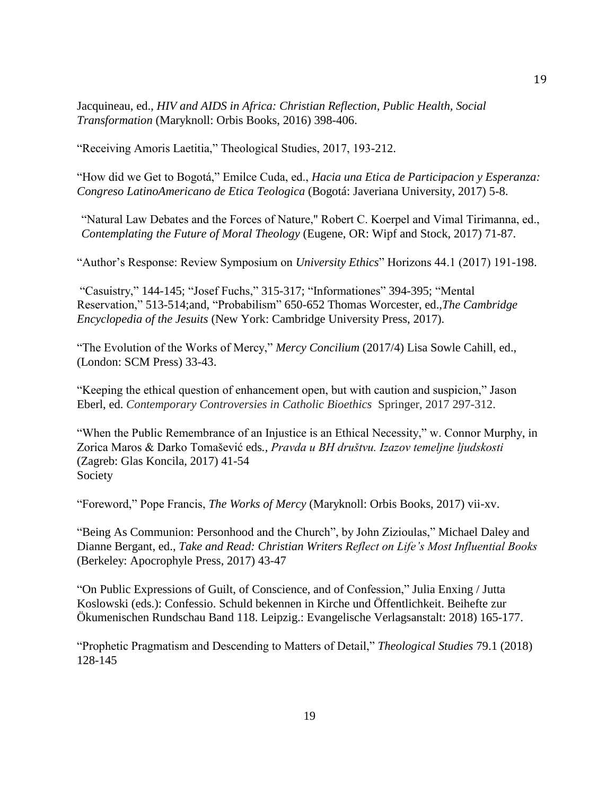Jacquineau, ed., *HIV and AIDS in Africa: Christian Reflection, Public Health, Social Transformation* (Maryknoll: Orbis Books, 2016) 398-406.

"Receiving Amoris Laetitia," Theological Studies, 2017, 193-212.

"How did we Get to Bogotá," Emilce Cuda, ed., *Hacia una Etica de Participacion y Esperanza: Congreso LatinoAmericano de Etica Teologica* (Bogotá: Javeriana University, 2017) 5-8.

"Natural Law Debates and the Forces of Nature," Robert C. Koerpel and Vimal Tirimanna, ed., *Contemplating the Future of Moral Theology* (Eugene, OR: Wipf and Stock, 2017) 71-87.

"Author's Response: Review Symposium on *University Ethics*" Horizons 44.1 (2017) 191-198.

"Casuistry," 144-145; "Josef Fuchs," 315-317; "Informationes" 394-395; "Mental Reservation," 513-514;and, "Probabilism" 650-652 Thomas Worcester, ed.,*The Cambridge Encyclopedia of the Jesuits* (New York: Cambridge University Press, 2017).

"The Evolution of the Works of Mercy," *Mercy Concilium* (2017/4) Lisa Sowle Cahill, ed., (London: SCM Press) 33-43.

"Keeping the ethical question of enhancement open, but with caution and suspicion," Jason Eberl, ed. *Contemporary Controversies in Catholic Bioethics* Springer, 2017 297-312.

"When the Public Remembrance of an Injustice is an Ethical Necessity," w. Connor Murphy, in Zorica Maros & Darko Tomašević eds*., Pravda u BH društvu. Izazov temeljne ljudskosti* (Zagreb: Glas Koncila, 2017) 41-54 Society

"Foreword," Pope Francis, *The Works of Mercy* (Maryknoll: Orbis Books, 2017) vii-xv.

"Being As Communion: Personhood and the Church", by John Zizioulas," Michael Daley and Dianne Bergant, ed., *Take and Read: Christian Writers Reflect on Life's Most Influential Books* (Berkeley: Apocrophyle Press, 2017) 43-47

"On Public Expressions of Guilt, of Conscience, and of Confession," Julia Enxing / Jutta Koslowski (eds.): Confessio. Schuld bekennen in Kirche und Öffentlichkeit. Beihefte zur Ökumenischen Rundschau Band 118. Leipzig.: Evangelische Verlagsanstalt: 2018) 165-177.

"Prophetic Pragmatism and Descending to Matters of Detail," *Theological Studies* 79.1 (2018) 128-145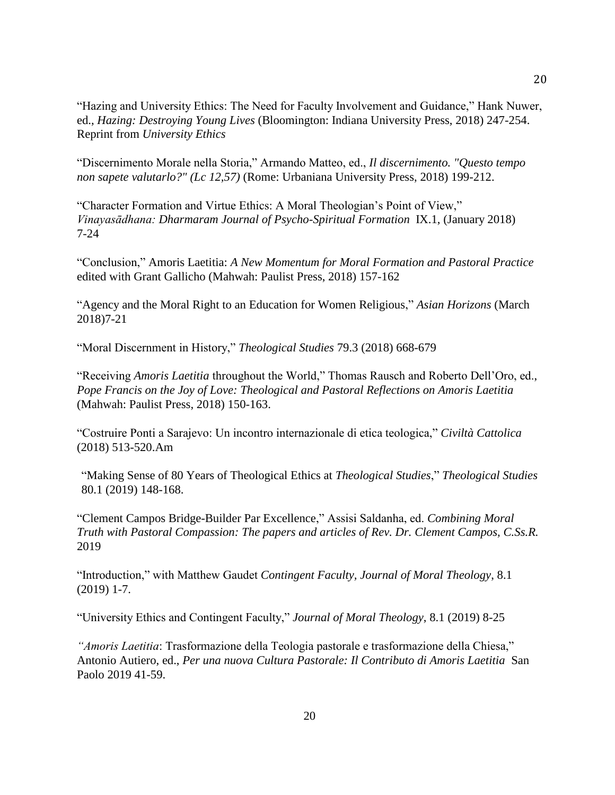"Hazing and University Ethics: The Need for Faculty Involvement and Guidance," Hank Nuwer, ed., *Hazing: Destroying Young Lives* (Bloomington: Indiana University Press, 2018) 247-254. Reprint from *University Ethics*

"Discernimento Morale nella Storia," Armando Matteo, ed., *Il discernimento. "Questo tempo non sapete valutarlo?" (Lc 12,57)* (Rome: Urbaniana University Press, 2018) 199-212.

"Character Formation and Virtue Ethics: A Moral Theologian's Point of View," *Vinayasādhana: Dharmaram Journal of Psycho-Spiritual Formation* IX.1, (January 2018) 7-24

"Conclusion," Amoris Laetitia: *A New Momentum for Moral Formation and Pastoral Practice* edited with Grant Gallicho (Mahwah: Paulist Press, 2018) 157-162

"Agency and the Moral Right to an Education for Women Religious," *Asian Horizons* (March 2018)7-21

"Moral Discernment in History," *Theological Studies* 79.3 (2018) 668-679

"Receiving *Amoris Laetitia* throughout the World," Thomas Rausch and Roberto Dell'Oro, ed., *Pope Francis on the Joy of Love: Theological and Pastoral Reflections on Amoris Laetitia*  (Mahwah: Paulist Press, 2018) 150-163.

"Costruire Ponti a Sarajevo: Un incontro internazionale di etica teologica," *Civiltà Cattolica*  (2018) 513-520.Am

"Making Sense of 80 Years of Theological Ethics at *Theological Studies*," *Theological Studies*  80.1 (2019) 148-168.

"Clement Campos Bridge-Builder Par Excellence," Assisi Saldanha, ed. *Combining Moral Truth with Pastoral Compassion: The papers and articles of Rev. Dr. Clement Campos, C.Ss.R.* 2019

"Introduction," with Matthew Gaudet *Contingent Faculty, Journal of Moral Theology*, 8.1 (2019) 1-7.

"University Ethics and Contingent Faculty," *Journal of Moral Theology*, 8.1 (2019) 8-25

*"Amoris Laetitia*: Trasformazione della Teologia pastorale e trasformazione della Chiesa," Antonio Autiero, ed., *Per una nuova Cultura Pastorale: Il Contributo di Amoris Laetitia* San Paolo 2019 41-59.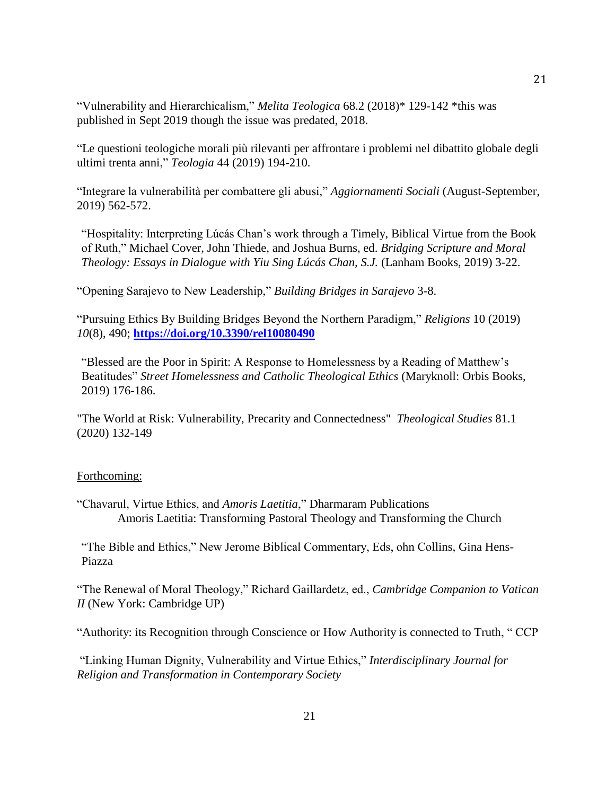"Vulnerability and Hierarchicalism," *Melita Teologica* 68.2 (2018)\* 129-142 \*this was published in Sept 2019 though the issue was predated, 2018.

"Le questioni teologiche morali più rilevanti per affrontare i problemi nel dibattito globale degli ultimi trenta anni," *Teologia* 44 (2019) 194-210.

"Integrare la vulnerabilità per combattere gli abusi," *Aggiornamenti Sociali* (August-September, 2019) 562-572.

"Hospitality: Interpreting Lúcás Chan's work through a Timely, Biblical Virtue from the Book of Ruth," Michael Cover, John Thiede, and Joshua Burns, ed. *Bridging Scripture and Moral Theology: Essays in Dialogue with Yiu Sing Lúcás Chan, S.J.* (Lanham Books, 2019) 3-22.

"Opening Sarajevo to New Leadership," *Building Bridges in Sarajevo* 3-8.

"Pursuing Ethics By Building Bridges Beyond the Northern Paradigm," *Religions* 10 (2019) *10*(8), 490; **<https://doi.org/10.3390/rel10080490>**

"Blessed are the Poor in Spirit: A Response to Homelessness by a Reading of Matthew's Beatitudes" *Street Homelessness and Catholic Theological Ethics* (Maryknoll: Orbis Books, 2019) 176-186.

"The World at Risk: Vulnerability, Precarity and Connectedness" *Theological Studies* 81.1 (2020) 132-149

# Forthcoming:

"Chavarul, Virtue Ethics, and *Amoris Laetitia*," Dharmaram Publications Amoris Laetitia: Transforming Pastoral Theology and Transforming the Church

"The Bible and Ethics," New Jerome Biblical Commentary, Eds, ohn Collins, Gina Hens-Piazza

"The Renewal of Moral Theology," Richard Gaillardetz, ed., *Cambridge Companion to Vatican II* (New York: Cambridge UP)

"Authority: its Recognition through Conscience or How Authority is connected to Truth, " CCP

"Linking Human Dignity, Vulnerability and Virtue Ethics," *Interdisciplinary Journal for Religion and Transformation in Contemporary Society*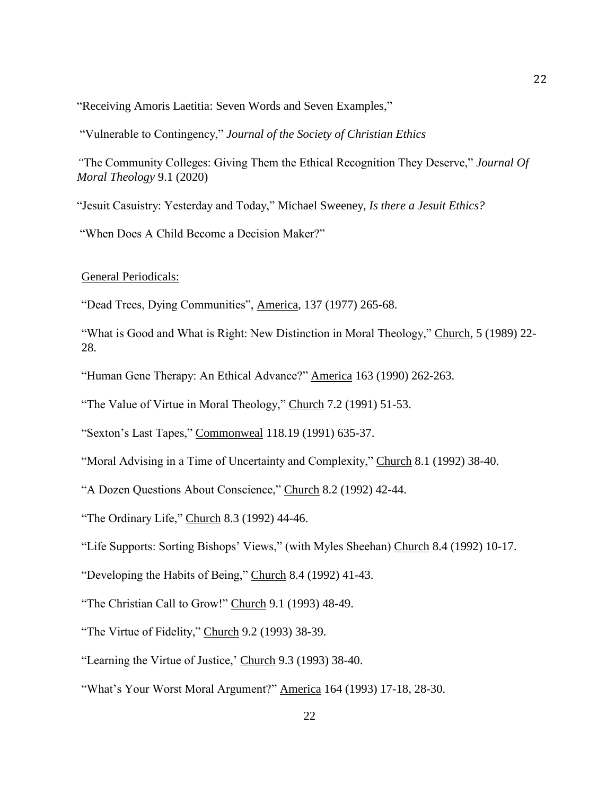"Receiving Amoris Laetitia: Seven Words and Seven Examples,"

"Vulnerable to Contingency," *Journal of the Society of Christian Ethics*

*"*The Community Colleges: Giving Them the Ethical Recognition They Deserve," *Journal Of Moral Theology* 9.1 (2020)

"Jesuit Casuistry: Yesterday and Today," Michael Sweeney, *Is there a Jesuit Ethics?*

"When Does A Child Become a Decision Maker?"

General Periodicals:

"Dead Trees, Dying Communities", America, 137 (1977) 265-68.

"What is Good and What is Right: New Distinction in Moral Theology," Church, 5 (1989) 22- 28.

"Human Gene Therapy: An Ethical Advance?" America 163 (1990) 262-263.

"The Value of Virtue in Moral Theology," Church 7.2 (1991) 51-53.

"Sexton's Last Tapes," Commonweal 118.19 (1991) 635-37.

"Moral Advising in a Time of Uncertainty and Complexity," Church 8.1 (1992) 38-40.

"A Dozen Questions About Conscience," Church 8.2 (1992) 42-44.

"The Ordinary Life," Church 8.3 (1992) 44-46.

"Life Supports: Sorting Bishops' Views," (with Myles Sheehan) Church 8.4 (1992) 10-17.

"Developing the Habits of Being," Church 8.4 (1992) 41-43.

"The Christian Call to Grow!" Church 9.1 (1993) 48-49.

"The Virtue of Fidelity," Church 9.2 (1993) 38-39.

"Learning the Virtue of Justice,' Church 9.3 (1993) 38-40.

"What's Your Worst Moral Argument?" America 164 (1993) 17-18, 28-30.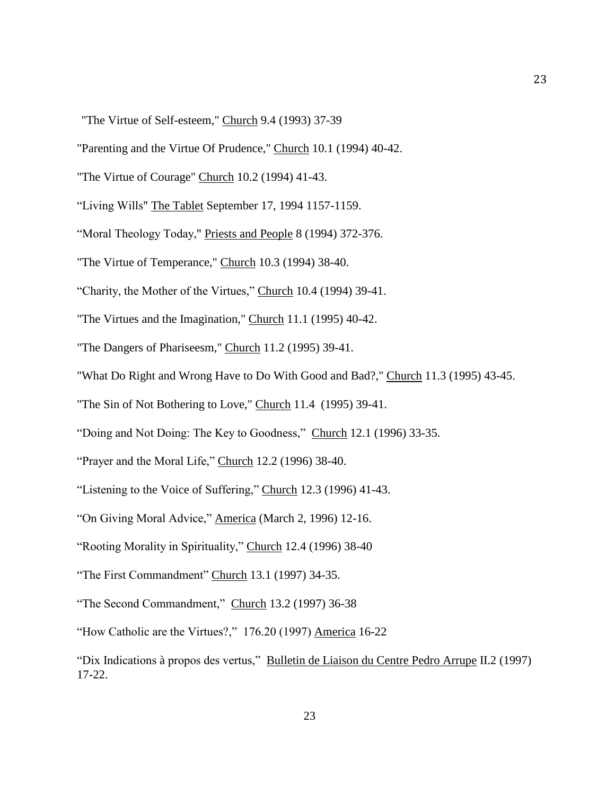"The Virtue of Self-esteem," Church 9.4 (1993) 37-39

"Parenting and the Virtue Of Prudence," Church 10.1 (1994) 40-42.

"The Virtue of Courage" Church 10.2 (1994) 41-43.

"Living Wills" The Tablet September 17, 1994 1157-1159.

"Moral Theology Today," Priests and People 8 (1994) 372-376.

"The Virtue of Temperance," Church 10.3 (1994) 38-40.

"Charity, the Mother of the Virtues," Church 10.4 (1994) 39-41.

"The Virtues and the Imagination," Church 11.1 (1995) 40-42.

"The Dangers of Phariseesm," Church 11.2 (1995) 39-41.

"What Do Right and Wrong Have to Do With Good and Bad?," Church 11.3 (1995) 43-45.

"The Sin of Not Bothering to Love," Church 11.4 (1995) 39-41.

"Doing and Not Doing: The Key to Goodness," Church 12.1 (1996) 33-35.

"Prayer and the Moral Life," Church 12.2 (1996) 38-40.

"Listening to the Voice of Suffering," Church 12.3 (1996) 41-43.

"On Giving Moral Advice," America (March 2, 1996) 12-16.

"Rooting Morality in Spirituality," Church 12.4 (1996) 38-40

"The First Commandment" Church 13.1 (1997) 34-35.

"The Second Commandment," Church 13.2 (1997) 36-38

"How Catholic are the Virtues?," 176.20 (1997) America 16-22

"Dix Indications à propos des vertus," Bulletin de Liaison du Centre Pedro Arrupe II.2 (1997) 17-22.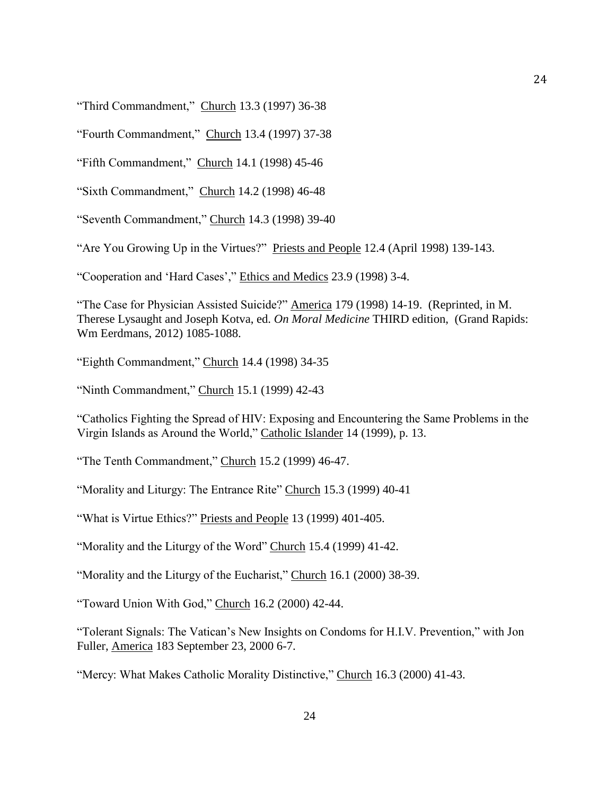"Third Commandment," Church 13.3 (1997) 36-38

"Fourth Commandment," Church 13.4 (1997) 37-38

"Fifth Commandment," Church 14.1 (1998) 45-46

"Sixth Commandment," Church 14.2 (1998) 46-48

"Seventh Commandment," Church 14.3 (1998) 39-40

"Are You Growing Up in the Virtues?" Priests and People 12.4 (April 1998) 139-143.

"Cooperation and 'Hard Cases'," Ethics and Medics 23.9 (1998) 3-4.

"The Case for Physician Assisted Suicide?" America 179 (1998) 14-19. (Reprinted, in M. Therese Lysaught and Joseph Kotva, ed. *On Moral Medicine* THIRD edition, (Grand Rapids: Wm Eerdmans, 2012) 1085-1088.

"Eighth Commandment," Church 14.4 (1998) 34-35

"Ninth Commandment," Church 15.1 (1999) 42-43

"Catholics Fighting the Spread of HIV: Exposing and Encountering the Same Problems in the Virgin Islands as Around the World," Catholic Islander 14 (1999), p. 13.

"The Tenth Commandment," Church 15.2 (1999) 46-47.

"Morality and Liturgy: The Entrance Rite" Church 15.3 (1999) 40-41

"What is Virtue Ethics?" Priests and People 13 (1999) 401-405.

"Morality and the Liturgy of the Word" Church 15.4 (1999) 41-42.

"Morality and the Liturgy of the Eucharist," Church 16.1 (2000) 38-39.

"Toward Union With God," Church 16.2 (2000) 42-44.

"Tolerant Signals: The Vatican's New Insights on Condoms for H.I.V. Prevention," with Jon Fuller, America 183 September 23, 2000 6-7.

"Mercy: What Makes Catholic Morality Distinctive," Church 16.3 (2000) 41-43.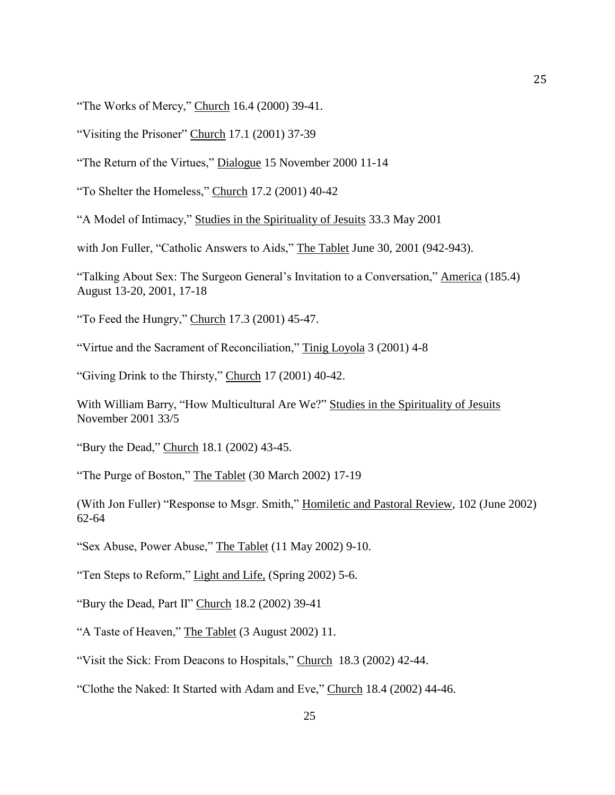"The Works of Mercy," Church 16.4 (2000) 39-41.

"Visiting the Prisoner" Church 17.1 (2001) 37-39

"The Return of the Virtues," Dialogue 15 November 2000 11-14

"To Shelter the Homeless," Church 17.2 (2001) 40-42

"A Model of Intimacy," Studies in the Spirituality of Jesuits 33.3 May 2001

with Jon Fuller, "Catholic Answers to Aids," The Tablet June 30, 2001 (942-943).

"Talking About Sex: The Surgeon General's Invitation to a Conversation," America (185.4) August 13-20, 2001, 17-18

"To Feed the Hungry," Church 17.3 (2001) 45-47.

"Virtue and the Sacrament of Reconciliation," Tinig Loyola 3 (2001) 4-8

"Giving Drink to the Thirsty," Church 17 (2001) 40-42.

With William Barry, "How Multicultural Are We?" Studies in the Spirituality of Jesuits November 2001 33/5

"Bury the Dead," Church 18.1 (2002) 43-45.

"The Purge of Boston," The Tablet (30 March 2002) 17-19

(With Jon Fuller) "Response to Msgr. Smith," Homiletic and Pastoral Review, 102 (June 2002) 62-64

"Sex Abuse, Power Abuse," The Tablet (11 May 2002) 9-10.

"Ten Steps to Reform," Light and Life, (Spring 2002) 5-6.

"Bury the Dead, Part II" Church 18.2 (2002) 39-41

"A Taste of Heaven," The Tablet (3 August 2002) 11.

"Visit the Sick: From Deacons to Hospitals," Church 18.3 (2002) 42-44.

"Clothe the Naked: It Started with Adam and Eve," Church 18.4 (2002) 44-46.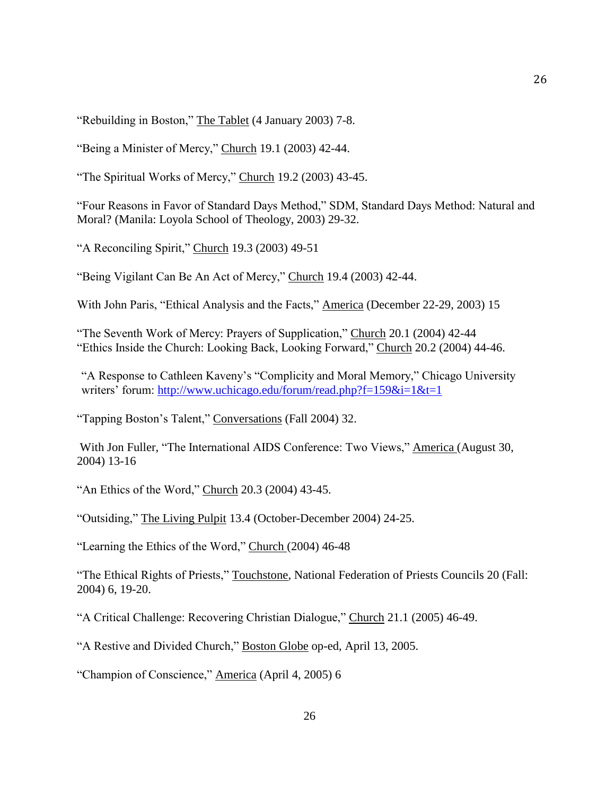"Rebuilding in Boston," The Tablet (4 January 2003) 7-8.

"Being a Minister of Mercy," Church 19.1 (2003) 42-44.

"The Spiritual Works of Mercy," Church 19.2 (2003) 43-45.

"Four Reasons in Favor of Standard Days Method," SDM, Standard Days Method: Natural and Moral? (Manila: Loyola School of Theology, 2003) 29-32.

"A Reconciling Spirit," Church 19.3 (2003) 49-51

"Being Vigilant Can Be An Act of Mercy," Church 19.4 (2003) 42-44.

With John Paris, "Ethical Analysis and the Facts," America (December 22-29, 2003) 15

"The Seventh Work of Mercy: Prayers of Supplication," Church 20.1 (2004) 42-44 "Ethics Inside the Church: Looking Back, Looking Forward," Church 20.2 (2004) 44-46.

"A Response to Cathleen Kaveny's "Complicity and Moral Memory," Chicago University writers' forum: http://www.uchicago.edu/forum/read.php?f=159&i=1&t=1

"Tapping Boston's Talent," Conversations (Fall 2004) 32.

With Jon Fuller, "The International AIDS Conference: Two Views," America (August 30, 2004) 13-16

"An Ethics of the Word," Church 20.3 (2004) 43-45.

"Outsiding," The Living Pulpit 13.4 (October-December 2004) 24-25.

"Learning the Ethics of the Word," Church (2004) 46-48

"The Ethical Rights of Priests," Touchstone, National Federation of Priests Councils 20 (Fall: 2004) 6, 19-20.

"A Critical Challenge: Recovering Christian Dialogue," Church 21.1 (2005) 46-49.

"A Restive and Divided Church," Boston Globe op-ed, April 13, 2005.

"Champion of Conscience," America (April 4, 2005) 6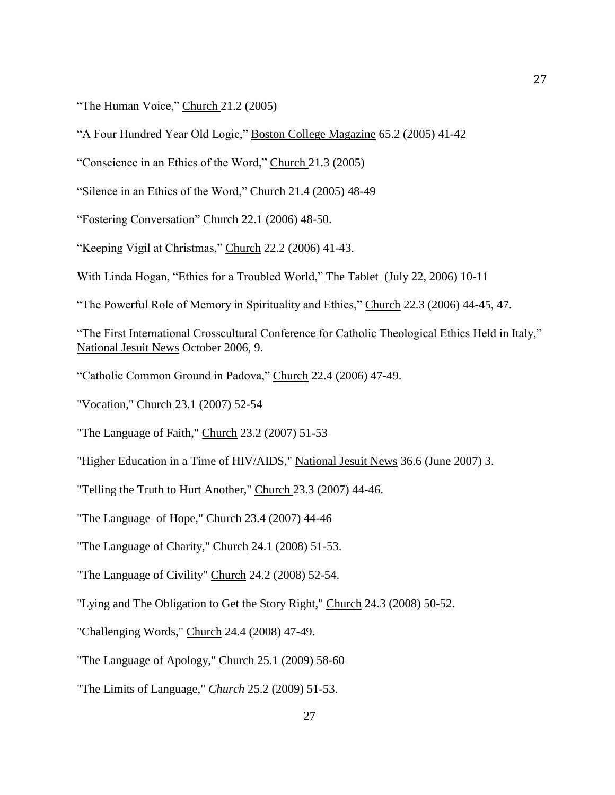"The Human Voice," Church 21.2 (2005)

"A Four Hundred Year Old Logic," Boston College Magazine 65.2 (2005) 41-42

"Conscience in an Ethics of the Word," Church 21.3 (2005)

"Silence in an Ethics of the Word," Church 21.4 (2005) 48-49

"Fostering Conversation" Church 22.1 (2006) 48-50.

"Keeping Vigil at Christmas," Church 22.2 (2006) 41-43.

With Linda Hogan, "Ethics for a Troubled World," The Tablet (July 22, 2006) 10-11

"The Powerful Role of Memory in Spirituality and Ethics," Church 22.3 (2006) 44-45, 47.

"The First International Crosscultural Conference for Catholic Theological Ethics Held in Italy," National Jesuit News October 2006, 9.

"Catholic Common Ground in Padova," Church 22.4 (2006) 47-49.

"Vocation," Church 23.1 (2007) 52-54

"The Language of Faith," Church 23.2 (2007) 51-53

"Higher Education in a Time of HIV/AIDS," National Jesuit News 36.6 (June 2007) 3.

"Telling the Truth to Hurt Another," Church 23.3 (2007) 44-46.

"The Language of Hope," Church 23.4 (2007) 44-46

"The Language of Charity," Church 24.1 (2008) 51-53.

"The Language of Civility" Church 24.2 (2008) 52-54.

"Lying and The Obligation to Get the Story Right," Church 24.3 (2008) 50-52.

"Challenging Words," Church 24.4 (2008) 47-49.

"The Language of Apology," Church 25.1 (2009) 58-60

"The Limits of Language," *Church* 25.2 (2009) 51-53.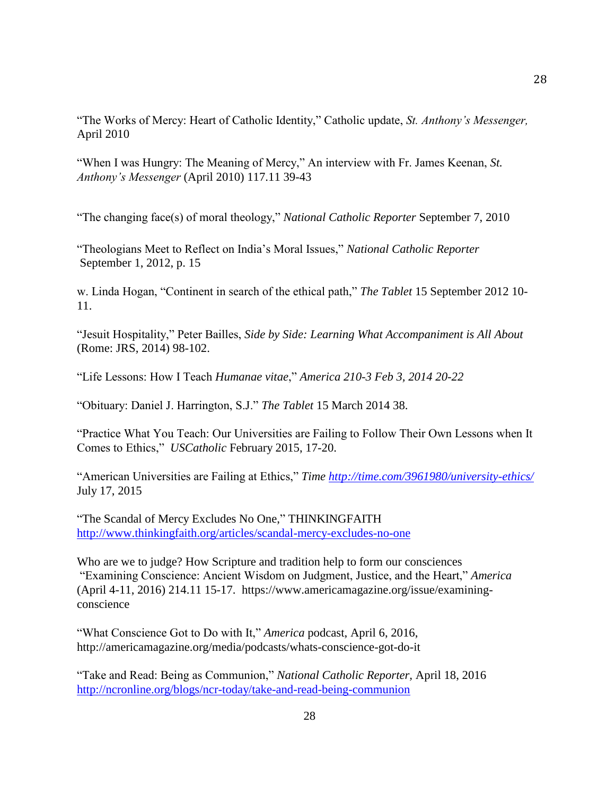"The Works of Mercy: Heart of Catholic Identity," Catholic update, *St. Anthony's Messenger,* April 2010

"When I was Hungry: The Meaning of Mercy," An interview with Fr. James Keenan, *St. Anthony's Messenger* (April 2010) 117.11 39-43

"The changing face(s) of moral theology," *National Catholic Reporter* September 7, 2010

"Theologians Meet to Reflect on India's Moral Issues," *National Catholic Reporter* September 1, 2012, p. 15

w. Linda Hogan, "Continent in search of the ethical path," *The Tablet* 15 September 2012 10- 11.

"Jesuit Hospitality," Peter Bailles, *Side by Side: Learning What Accompaniment is All About* (Rome: JRS, 2014) 98-102.

"Life Lessons: How I Teach *Humanae vitae*," *America 210-3 Feb 3, 2014 20-22*

"Obituary: Daniel J. Harrington, S.J." *The Tablet* 15 March 2014 38.

"Practice What You Teach: Our Universities are Failing to Follow Their Own Lessons when It Comes to Ethics," *USCatholic* February 2015, 17-20.

"American Universities are Failing at Ethics," *Time<http://time.com/3961980/university-ethics/>* July 17, 2015

"The Scandal of Mercy Excludes No One," THINKINGFAITH <http://www.thinkingfaith.org/articles/scandal-mercy-excludes-no-one>

Who are we to judge? How Scripture and tradition help to form our consciences "Examining Conscience: Ancient Wisdom on Judgment, Justice, and the Heart," *America* (April 4-11, 2016) 214.11 15-17. https://www.americamagazine.org/issue/examiningconscience

"What Conscience Got to Do with It," *America* podcast, April 6, 2016, http://americamagazine.org/media/podcasts/whats-conscience-got-do-it

"Take and Read: Being as Communion," *National Catholic Reporter,* April 18, 2016 <http://ncronline.org/blogs/ncr-today/take-and-read-being-communion>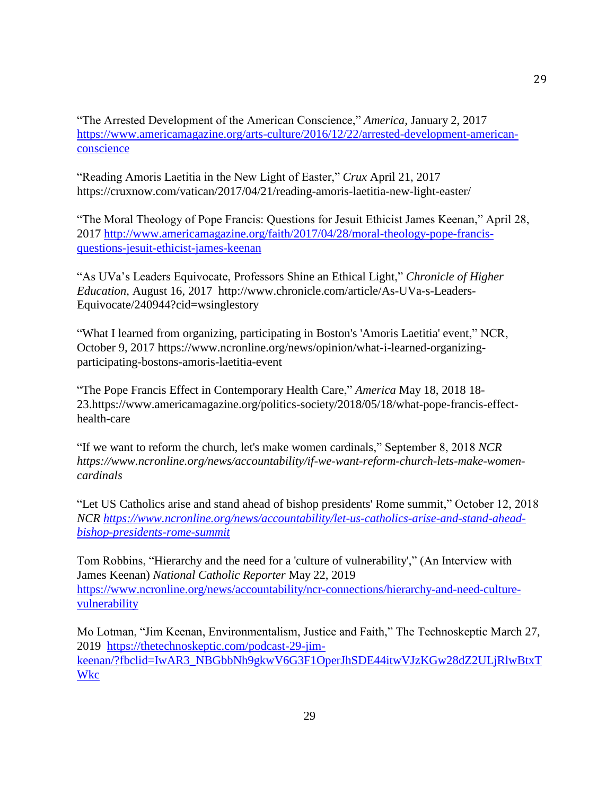"The Arrested Development of the American Conscience," *America,* January 2, 2017 [https://www.americamagazine.org/arts-culture/2016/12/22/arrested-development-american](https://www.americamagazine.org/arts-culture/2016/12/22/arrested-development-american-conscience)[conscience](https://www.americamagazine.org/arts-culture/2016/12/22/arrested-development-american-conscience)

"Reading Amoris Laetitia in the New Light of Easter," *Crux* April 21, 2017 https://cruxnow.com/vatican/2017/04/21/reading-amoris-laetitia-new-light-easter/

"The Moral Theology of Pope Francis: Questions for Jesuit Ethicist James Keenan," April 28, 2017 [http://www.americamagazine.org/faith/2017/04/28/moral-theology-pope-francis](http://www.americamagazine.org/faith/2017/04/28/moral-theology-pope-francis-questions-jesuit-ethicist-james-keenan)[questions-jesuit-ethicist-james-keenan](http://www.americamagazine.org/faith/2017/04/28/moral-theology-pope-francis-questions-jesuit-ethicist-james-keenan)

"As UVa's Leaders Equivocate, Professors Shine an Ethical Light," *Chronicle of Higher Education*, August 16, 2017 http://www.chronicle.com/article/As-UVa-s-Leaders-Equivocate/240944?cid=wsinglestory

"What I learned from organizing, participating in Boston's 'Amoris Laetitia' event," NCR, October 9, 2017 https://www.ncronline.org/news/opinion/what-i-learned-organizingparticipating-bostons-amoris-laetitia-event

"The Pope Francis Effect in Contemporary Health Care," *America* May 18, 2018 18- 23.https://www.americamagazine.org/politics-society/2018/05/18/what-pope-francis-effecthealth-care

"If we want to reform the church, let's make women cardinals," September 8, 2018 *NCR https://www.ncronline.org/news/accountability/if-we-want-reform-church-lets-make-womencardinals*

"Let US Catholics arise and stand ahead of bishop presidents' Rome summit," October 12, 2018 *NCR [https://www.ncronline.org/news/accountability/let-us-catholics-arise-and-stand-ahead](https://www.ncronline.org/news/accountability/let-us-catholics-arise-and-stand-ahead-bishop-presidents-rome-summit)[bishop-presidents-rome-summit](https://www.ncronline.org/news/accountability/let-us-catholics-arise-and-stand-ahead-bishop-presidents-rome-summit)*

Tom Robbins, "Hierarchy and the need for a 'culture of vulnerability'," (An Interview with James Keenan) *National Catholic Reporter* May 22, 2019 [https://www.ncronline.org/news/accountability/ncr-connections/hierarchy-and-need-culture](https://www.ncronline.org/news/accountability/ncr-connections/hierarchy-and-need-culture-vulnerability)[vulnerability](https://www.ncronline.org/news/accountability/ncr-connections/hierarchy-and-need-culture-vulnerability)

Mo Lotman, "Jim Keenan, Environmentalism, Justice and Faith," The Technoskeptic March 27, 2019 [https://thetechnoskeptic.com/podcast-29-jim](https://thetechnoskeptic.com/podcast-29-jim-keenan/?fbclid=IwAR3_NBGbbNh9gkwV6G3F1OperJhSDE44itwVJzKGw28dZ2ULjRlwBtxTWkc)[keenan/?fbclid=IwAR3\\_NBGbbNh9gkwV6G3F1OperJhSDE44itwVJzKGw28dZ2ULjRlwBtxT](https://thetechnoskeptic.com/podcast-29-jim-keenan/?fbclid=IwAR3_NBGbbNh9gkwV6G3F1OperJhSDE44itwVJzKGw28dZ2ULjRlwBtxTWkc) [Wkc](https://thetechnoskeptic.com/podcast-29-jim-keenan/?fbclid=IwAR3_NBGbbNh9gkwV6G3F1OperJhSDE44itwVJzKGw28dZ2ULjRlwBtxTWkc)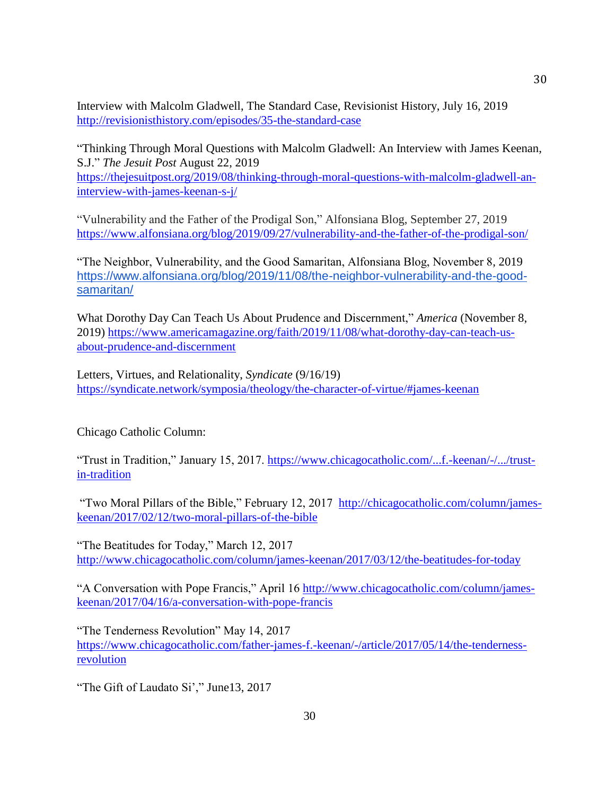Interview with Malcolm Gladwell, The Standard Case, Revisionist History, July 16, 2019 <http://revisionisthistory.com/episodes/35-the-standard-case>

"Thinking Through Moral Questions with Malcolm Gladwell: An Interview with James Keenan, S.J." *The Jesuit Post* August 22, 2019 [https://thejesuitpost.org/2019/08/thinking-through-moral-questions-with-malcolm-gladwell-an](https://thejesuitpost.org/2019/08/thinking-through-moral-questions-with-malcolm-gladwell-an-interview-with-james-keenan-s-j/)[interview-with-james-keenan-s-j/](https://thejesuitpost.org/2019/08/thinking-through-moral-questions-with-malcolm-gladwell-an-interview-with-james-keenan-s-j/)

"Vulnerability and the Father of the Prodigal Son," Alfonsiana Blog, September 27, 2019 <https://www.alfonsiana.org/blog/2019/09/27/vulnerability-and-the-father-of-the-prodigal-son/>

"The Neighbor, Vulnerability, and the Good Samaritan, Alfonsiana Blog, November 8, 2019 [https://www.alfonsiana.org/blog/2019/11/08/the-neighbor-vulnerability-and-the-good](https://www.alfonsiana.org/blog/2019/11/08/the-neighbor-vulnerability-and-the-good-samaritan/)[samaritan/](https://www.alfonsiana.org/blog/2019/11/08/the-neighbor-vulnerability-and-the-good-samaritan/)

What Dorothy Day Can Teach Us About Prudence and Discernment," *America* (November 8, 2019) [https://www.americamagazine.org/faith/2019/11/08/what-dorothy-day-can-teach-us](https://www.americamagazine.org/faith/2019/11/08/what-dorothy-day-can-teach-us-about-prudence-and-discernment)[about-prudence-and-discernment](https://www.americamagazine.org/faith/2019/11/08/what-dorothy-day-can-teach-us-about-prudence-and-discernment)

Letters, Virtues, and Relationality, *Syndicate* (9/16/19) <https://syndicate.network/symposia/theology/the-character-of-virtue/#james-keenan>

Chicago Catholic Column:

"Trust in Tradition," January 15, 2017. [https://www.chicagocatholic.com/...f.-keenan/-/.../trust](https://www.chicagocatholic.com/...f.-keenan/-/.../trust-in-tradition)[in-tradition](https://www.chicagocatholic.com/...f.-keenan/-/.../trust-in-tradition)

"Two Moral Pillars of the Bible," February 12, 2017 [http://chicagocatholic.com/column/james](http://chicagocatholic.com/column/james-keenan/2017/02/12/two-moral-pillars-of-the-bible)[keenan/2017/02/12/two-moral-pillars-of-the-bible](http://chicagocatholic.com/column/james-keenan/2017/02/12/two-moral-pillars-of-the-bible)

"The Beatitudes for Today," March 12, 2017 <http://www.chicagocatholic.com/column/james-keenan/2017/03/12/the-beatitudes-for-today>

"A Conversation with Pope Francis," April 16 [http://www.chicagocatholic.com/column/james](http://www.chicagocatholic.com/column/james-keenan/2017/04/16/a-conversation-with-pope-francis)[keenan/2017/04/16/a-conversation-with-pope-francis](http://www.chicagocatholic.com/column/james-keenan/2017/04/16/a-conversation-with-pope-francis)

"The Tenderness Revolution" May 14, 2017 [https://www.chicagocatholic.com/father-james-f.-keenan/-/article/2017/05/14/the-tenderness](https://www.chicagocatholic.com/father-james-f.-keenan/-/article/2017/05/14/the-tenderness-revolution)[revolution](https://www.chicagocatholic.com/father-james-f.-keenan/-/article/2017/05/14/the-tenderness-revolution)

"The Gift of Laudato Si'," June13, 2017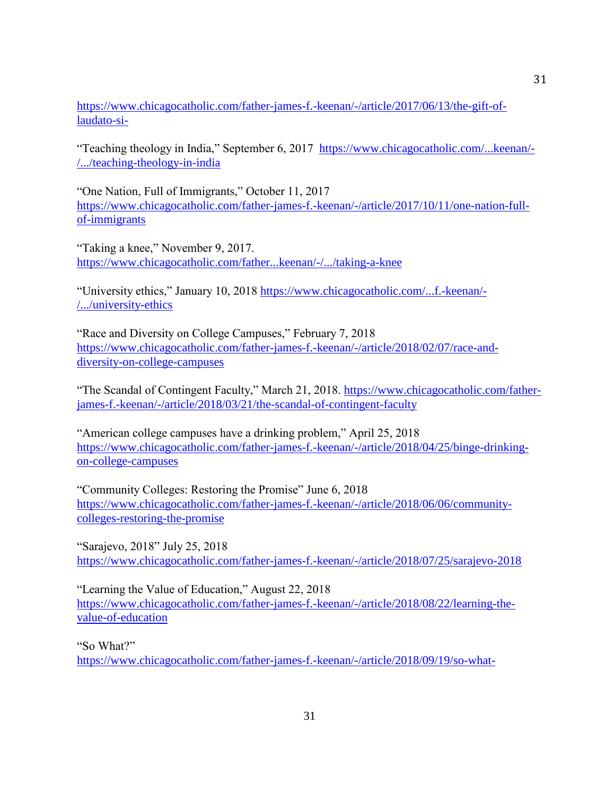[https://www.chicagocatholic.com/father-james-f.-keenan/-/article/2017/06/13/the-gift-of](https://www.chicagocatholic.com/father-james-f.-keenan/-/article/2017/06/13/the-gift-of-laudato-si-)[laudato-si-](https://www.chicagocatholic.com/father-james-f.-keenan/-/article/2017/06/13/the-gift-of-laudato-si-)

"Teaching theology in India," September 6, 2017 [https://www.chicagocatholic.com/...keenan/-](https://www.chicagocatholic.com/...keenan/-/.../teaching-theology-in-india) [/.../teaching-theology-in-india](https://www.chicagocatholic.com/...keenan/-/.../teaching-theology-in-india)

"One Nation, Full of Immigrants," October 11, 2017 [https://www.chicagocatholic.com/father-james-f.-keenan/-/article/2017/10/11/one-nation-full](https://www.chicagocatholic.com/father-james-f.-keenan/-/article/2017/10/11/one-nation-full-of-immigrants)[of-immigrants](https://www.chicagocatholic.com/father-james-f.-keenan/-/article/2017/10/11/one-nation-full-of-immigrants)

"Taking a knee," November 9, 2017. <https://www.chicagocatholic.com/father...keenan/-/.../taking-a-knee>

"University ethics," January 10, 2018 [https://www.chicagocatholic.com/...f.-keenan/-](https://www.chicagocatholic.com/...f.-keenan/-/.../university-ethics) [/.../university-ethics](https://www.chicagocatholic.com/...f.-keenan/-/.../university-ethics)

"Race and Diversity on College Campuses," February 7, 2018 [https://www.chicagocatholic.com/father-james-f.-keenan/-/article/2018/02/07/race-and](https://www.chicagocatholic.com/father-james-f.-keenan/-/article/2018/02/07/race-and-diversity-on-college-campuses)[diversity-on-college-campuses](https://www.chicagocatholic.com/father-james-f.-keenan/-/article/2018/02/07/race-and-diversity-on-college-campuses)

"The Scandal of Contingent Faculty," March 21, 2018. [https://www.chicagocatholic.com/father](https://www.chicagocatholic.com/father-james-f.-keenan/-/article/2018/03/21/the-scandal-of-contingent-faculty)[james-f.-keenan/-/article/2018/03/21/the-scandal-of-contingent-faculty](https://www.chicagocatholic.com/father-james-f.-keenan/-/article/2018/03/21/the-scandal-of-contingent-faculty)

"American college campuses have a drinking problem," April 25, 2018 [https://www.chicagocatholic.com/father-james-f.-keenan/-/article/2018/04/25/binge-drinking](https://www.chicagocatholic.com/father-james-f.-keenan/-/article/2018/04/25/binge-drinking-on-college-campuses)[on-college-campuses](https://www.chicagocatholic.com/father-james-f.-keenan/-/article/2018/04/25/binge-drinking-on-college-campuses)

"Community Colleges: Restoring the Promise" June 6, 2018 [https://www.chicagocatholic.com/father-james-f.-keenan/-/article/2018/06/06/community](https://www.chicagocatholic.com/father-james-f.-keenan/-/article/2018/06/06/community-colleges-restoring-the-promise)[colleges-restoring-the-promise](https://www.chicagocatholic.com/father-james-f.-keenan/-/article/2018/06/06/community-colleges-restoring-the-promise)

"Sarajevo, 2018" July 25, 2018 <https://www.chicagocatholic.com/father-james-f.-keenan/-/article/2018/07/25/sarajevo-2018>

"Learning the Value of Education," August 22, 2018 [https://www.chicagocatholic.com/father-james-f.-keenan/-/article/2018/08/22/learning-the](https://www.chicagocatholic.com/father-james-f.-keenan/-/article/2018/08/22/learning-the-value-of-education)[value-of-education](https://www.chicagocatholic.com/father-james-f.-keenan/-/article/2018/08/22/learning-the-value-of-education)

"So What?"

<https://www.chicagocatholic.com/father-james-f.-keenan/-/article/2018/09/19/so-what->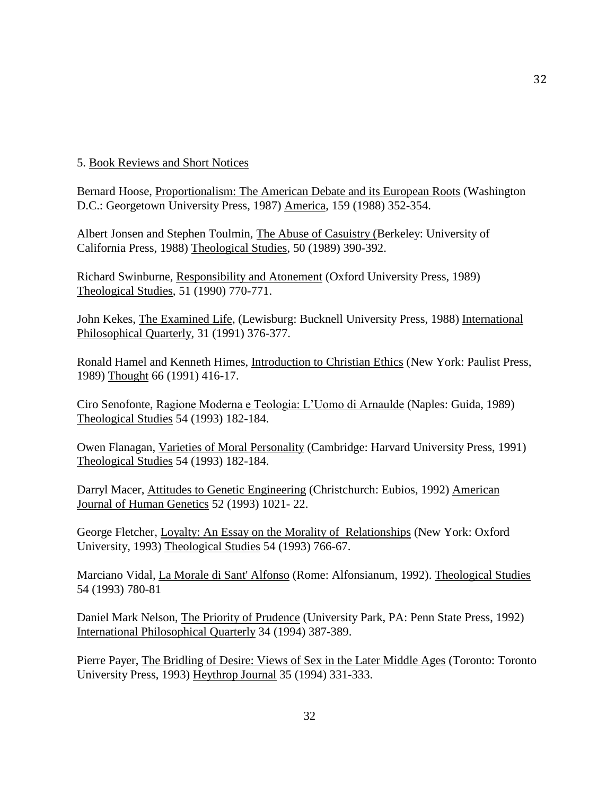# 5. Book Reviews and Short Notices

Bernard Hoose, Proportionalism: The American Debate and its European Roots (Washington D.C.: Georgetown University Press, 1987) America, 159 (1988) 352-354.

Albert Jonsen and Stephen Toulmin, The Abuse of Casuistry (Berkeley: University of California Press, 1988) Theological Studies, 50 (1989) 390-392.

Richard Swinburne, Responsibility and Atonement (Oxford University Press, 1989) Theological Studies, 51 (1990) 770-771.

John Kekes, The Examined Life, (Lewisburg: Bucknell University Press, 1988) International Philosophical Quarterly, 31 (1991) 376-377.

Ronald Hamel and Kenneth Himes, Introduction to Christian Ethics (New York: Paulist Press, 1989) Thought 66 (1991) 416-17.

Ciro Senofonte, Ragione Moderna e Teologia: L'Uomo di Arnaulde (Naples: Guida, 1989) Theological Studies 54 (1993) 182-184.

Owen Flanagan, Varieties of Moral Personality (Cambridge: Harvard University Press, 1991) Theological Studies 54 (1993) 182-184.

Darryl Macer, Attitudes to Genetic Engineering (Christchurch: Eubios, 1992) American Journal of Human Genetics 52 (1993) 1021- 22.

George Fletcher, Loyalty: An Essay on the Morality of Relationships (New York: Oxford University, 1993) Theological Studies 54 (1993) 766-67.

Marciano Vidal, La Morale di Sant' Alfonso (Rome: Alfonsianum, 1992). Theological Studies 54 (1993) 780-81

Daniel Mark Nelson, The Priority of Prudence (University Park, PA: Penn State Press, 1992) International Philosophical Quarterly 34 (1994) 387-389.

Pierre Payer, The Bridling of Desire: Views of Sex in the Later Middle Ages (Toronto: Toronto University Press, 1993) Heythrop Journal 35 (1994) 331-333.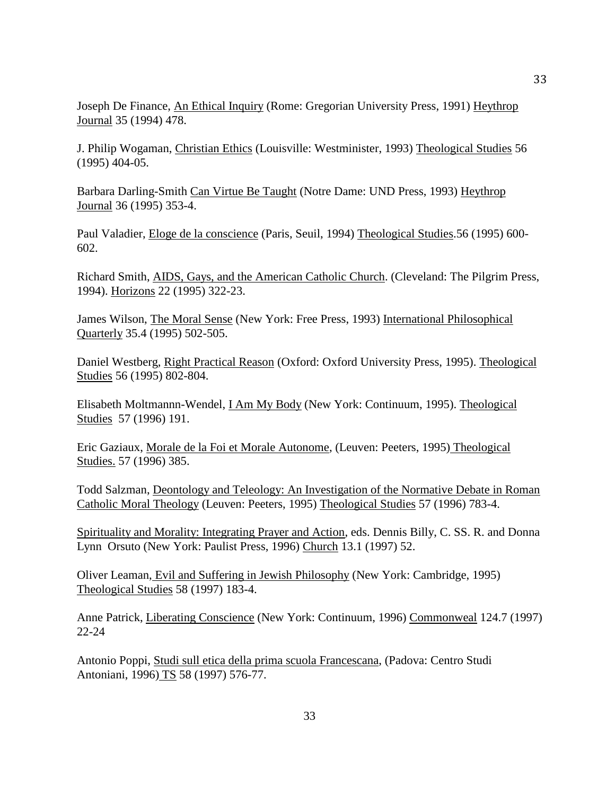Joseph De Finance, An Ethical Inquiry (Rome: Gregorian University Press, 1991) Heythrop Journal 35 (1994) 478.

J. Philip Wogaman, Christian Ethics (Louisville: Westminister, 1993) Theological Studies 56 (1995) 404-05.

Barbara Darling-Smith Can Virtue Be Taught (Notre Dame: UND Press, 1993) Heythrop Journal 36 (1995) 353-4.

Paul Valadier, Eloge de la conscience (Paris, Seuil, 1994) Theological Studies.56 (1995) 600- 602.

Richard Smith, AIDS, Gays, and the American Catholic Church. (Cleveland: The Pilgrim Press, 1994). Horizons 22 (1995) 322-23.

James Wilson, The Moral Sense (New York: Free Press, 1993) International Philosophical Quarterly 35.4 (1995) 502-505.

Daniel Westberg, Right Practical Reason (Oxford: Oxford University Press, 1995). Theological Studies 56 (1995) 802-804.

Elisabeth Moltmannn-Wendel, I Am My Body (New York: Continuum, 1995). Theological Studies 57 (1996) 191.

Eric Gaziaux, Morale de la Foi et Morale Autonome, (Leuven: Peeters, 1995) Theological Studies. 57 (1996) 385.

Todd Salzman, Deontology and Teleology: An Investigation of the Normative Debate in Roman Catholic Moral Theology (Leuven: Peeters, 1995) Theological Studies 57 (1996) 783-4.

Spirituality and Morality: Integrating Prayer and Action, eds. Dennis Billy, C. SS. R. and Donna Lynn Orsuto (New York: Paulist Press, 1996) Church 13.1 (1997) 52.

Oliver Leaman, Evil and Suffering in Jewish Philosophy (New York: Cambridge, 1995) Theological Studies 58 (1997) 183-4.

Anne Patrick, Liberating Conscience (New York: Continuum, 1996) Commonweal 124.7 (1997) 22-24

Antonio Poppi, Studi sull etica della prima scuola Francescana, (Padova: Centro Studi Antoniani, 1996) TS 58 (1997) 576-77.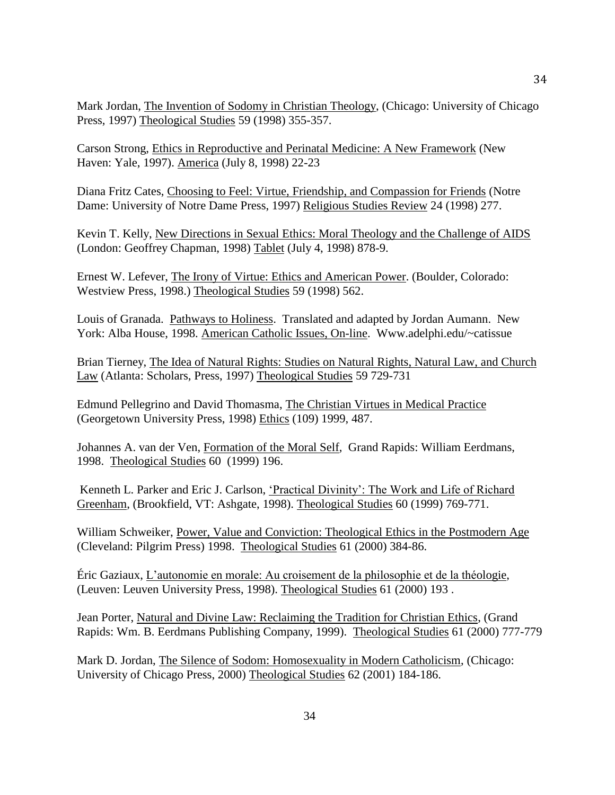Mark Jordan, The Invention of Sodomy in Christian Theology, (Chicago: University of Chicago Press, 1997) Theological Studies 59 (1998) 355-357.

Carson Strong, Ethics in Reproductive and Perinatal Medicine: A New Framework (New Haven: Yale, 1997). America (July 8, 1998) 22-23

Diana Fritz Cates, Choosing to Feel: Virtue, Friendship, and Compassion for Friends (Notre Dame: University of Notre Dame Press, 1997) Religious Studies Review 24 (1998) 277.

Kevin T. Kelly, New Directions in Sexual Ethics: Moral Theology and the Challenge of AIDS (London: Geoffrey Chapman, 1998) Tablet (July 4, 1998) 878-9.

Ernest W. Lefever, The Irony of Virtue: Ethics and American Power. (Boulder, Colorado: Westview Press, 1998.) Theological Studies 59 (1998) 562.

Louis of Granada. Pathways to Holiness. Translated and adapted by Jordan Aumann. New York: Alba House, 1998. American Catholic Issues, On-line. Www.adelphi.edu/~catissue

Brian Tierney, The Idea of Natural Rights: Studies on Natural Rights, Natural Law, and Church Law (Atlanta: Scholars, Press, 1997) Theological Studies 59 729-731

Edmund Pellegrino and David Thomasma, The Christian Virtues in Medical Practice (Georgetown University Press, 1998) Ethics (109) 1999, 487.

Johannes A. van der Ven, Formation of the Moral Self, Grand Rapids: William Eerdmans, 1998. Theological Studies 60 (1999) 196.

Kenneth L. Parker and Eric J. Carlson, 'Practical Divinity': The Work and Life of Richard Greenham, (Brookfield, VT: Ashgate, 1998). Theological Studies 60 (1999) 769-771.

William Schweiker, Power, Value and Conviction: Theological Ethics in the Postmodern Age (Cleveland: Pilgrim Press) 1998. Theological Studies 61 (2000) 384-86.

Éric Gaziaux, L'autonomie en morale: Au croisement de la philosophie et de la théologie, (Leuven: Leuven University Press, 1998). Theological Studies 61 (2000) 193 .

Jean Porter, Natural and Divine Law: Reclaiming the Tradition for Christian Ethics, (Grand Rapids: Wm. B. Eerdmans Publishing Company, 1999). Theological Studies 61 (2000) 777-779

Mark D. Jordan, The Silence of Sodom: Homosexuality in Modern Catholicism, (Chicago: University of Chicago Press, 2000) Theological Studies 62 (2001) 184-186.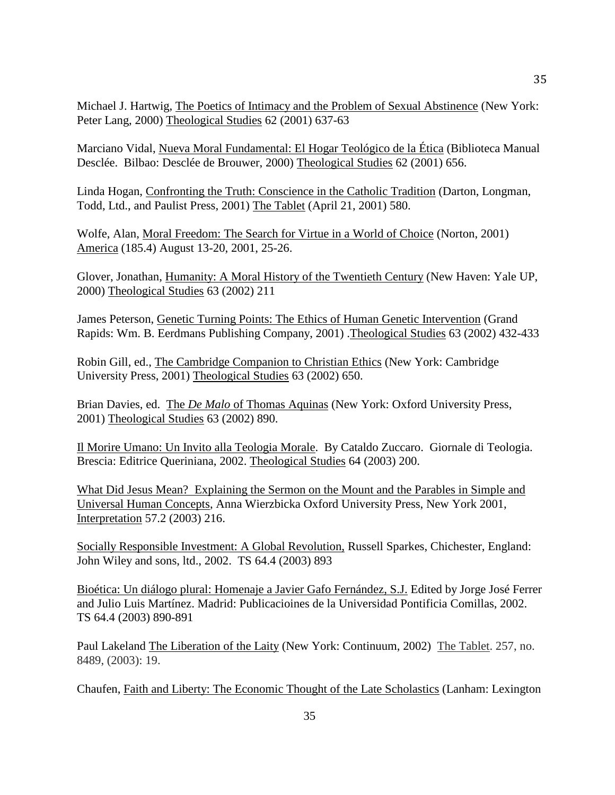Michael J. Hartwig, The Poetics of Intimacy and the Problem of Sexual Abstinence (New York: Peter Lang, 2000) Theological Studies 62 (2001) 637-63

Marciano Vidal, Nueva Moral Fundamental: El Hogar Teológico de la Ética (Biblioteca Manual Desclée. Bilbao: Desclée de Brouwer, 2000) Theological Studies 62 (2001) 656.

Linda Hogan, Confronting the Truth: Conscience in the Catholic Tradition (Darton, Longman, Todd, Ltd., and Paulist Press, 2001) The Tablet (April 21, 2001) 580.

Wolfe, Alan, Moral Freedom: The Search for Virtue in a World of Choice (Norton, 2001) America (185.4) August 13-20, 2001, 25-26.

Glover, Jonathan, Humanity: A Moral History of the Twentieth Century (New Haven: Yale UP, 2000) Theological Studies 63 (2002) 211

James Peterson, Genetic Turning Points: The Ethics of Human Genetic Intervention (Grand Rapids: Wm. B. Eerdmans Publishing Company, 2001) .Theological Studies 63 (2002) 432-433

Robin Gill, ed., The Cambridge Companion to Christian Ethics (New York: Cambridge University Press, 2001) Theological Studies 63 (2002) 650.

Brian Davies, ed. The *De Malo* of Thomas Aquinas (New York: Oxford University Press, 2001) Theological Studies 63 (2002) 890.

Il Morire Umano: Un Invito alla Teologia Morale. By Cataldo Zuccaro. Giornale di Teologia. Brescia: Editrice Queriniana, 2002. Theological Studies 64 (2003) 200.

What Did Jesus Mean? Explaining the Sermon on the Mount and the Parables in Simple and Universal Human Concepts, Anna Wierzbicka Oxford University Press, New York 2001, Interpretation 57.2 (2003) 216.

Socially Responsible Investment: A Global Revolution, Russell Sparkes, Chichester, England: John Wiley and sons, ltd., 2002. TS 64.4 (2003) 893

Bioética: Un diálogo plural: Homenaje a Javier Gafo Fernández, S.J. Edited by Jorge José Ferrer and Julio Luis Martínez. Madrid: Publicacioines de la Universidad Pontificia Comillas, 2002. TS 64.4 (2003) 890-891

Paul Lakeland The Liberation of the Laity (New York: Continuum, 2002) The Tablet. 257, no. 8489, (2003): 19.

Chaufen, Faith and Liberty: The Economic Thought of the Late Scholastics (Lanham: Lexington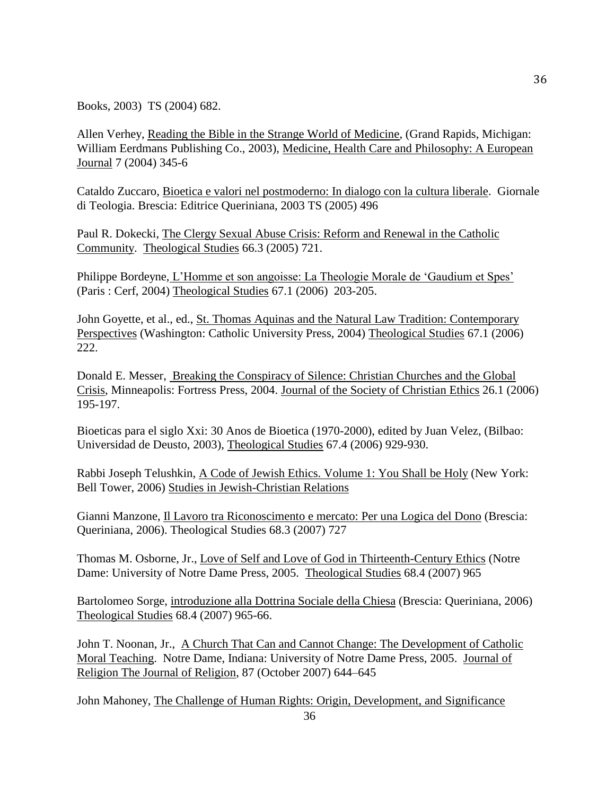Books, 2003) TS (2004) 682.

Allen Verhey, Reading the Bible in the Strange World of Medicine, (Grand Rapids, Michigan: William Eerdmans Publishing Co., 2003), Medicine, Health Care and Philosophy: A European Journal 7 (2004) 345-6

Cataldo Zuccaro, Bioetica e valori nel postmoderno: In dialogo con la cultura liberale. Giornale di Teologia. Brescia: Editrice Queriniana, 2003 TS (2005) 496

Paul R. Dokecki, The Clergy Sexual Abuse Crisis: Reform and Renewal in the Catholic Community. Theological Studies 66.3 (2005) 721.

Philippe Bordeyne, L'Homme et son angoisse: La Theologie Morale de 'Gaudium et Spes' (Paris : Cerf, 2004) Theological Studies 67.1 (2006) 203-205.

John Goyette, et al., ed., St. Thomas Aquinas and the Natural Law Tradition: Contemporary Perspectives (Washington: Catholic University Press, 2004) Theological Studies 67.1 (2006) 222.

Donald E. Messer, Breaking the Conspiracy of Silence: Christian Churches and the Global Crisis, Minneapolis: Fortress Press, 2004. Journal of the Society of Christian Ethics 26.1 (2006) 195-197.

Bioeticas para el siglo Xxi: 30 Anos de Bioetica (1970-2000), edited by Juan Velez, (Bilbao: Universidad de Deusto, 2003), Theological Studies 67.4 (2006) 929-930.

Rabbi Joseph Telushkin, A Code of Jewish Ethics. Volume 1: You Shall be Holy (New York: Bell Tower, 2006) Studies in Jewish-Christian Relations

Gianni Manzone, Il Lavoro tra Riconoscimento e mercato: Per una Logica del Dono (Brescia: Queriniana, 2006). Theological Studies 68.3 (2007) 727

Thomas M. Osborne, Jr., Love of Self and Love of God in Thirteenth-Century Ethics (Notre Dame: University of Notre Dame Press, 2005. Theological Studies 68.4 (2007) 965

Bartolomeo Sorge, introduzione alla Dottrina Sociale della Chiesa (Brescia: Queriniana, 2006) Theological Studies 68.4 (2007) 965-66.

John T. Noonan, Jr., A Church That Can and Cannot Change: The Development of Catholic Moral Teaching. Notre Dame, Indiana: University of Notre Dame Press, 2005. Journal of Religion The Journal of Religion, 87 (October 2007) 644–645

John Mahoney, The Challenge of Human Rights: Origin, Development, and Significance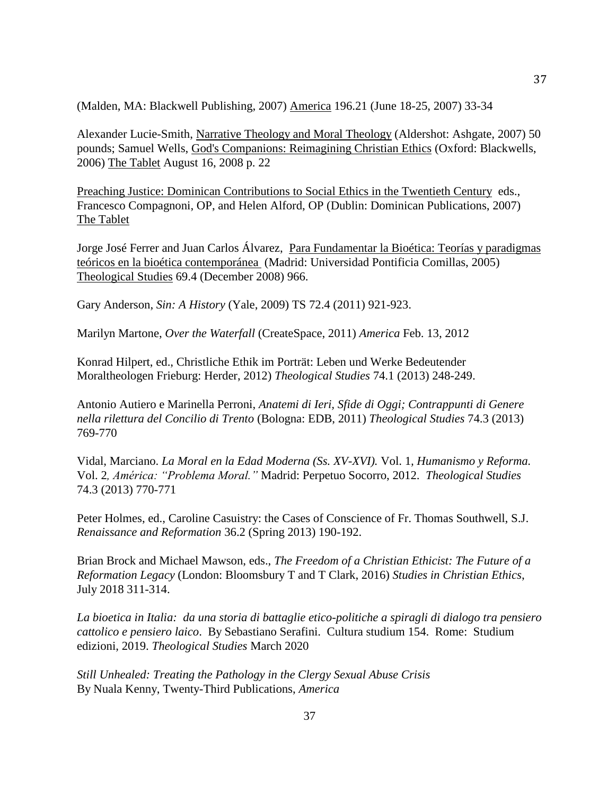(Malden, MA: Blackwell Publishing, 2007) America 196.21 (June 18-25, 2007) 33-34

Alexander Lucie-Smith, Narrative Theology and Moral Theology (Aldershot: Ashgate, 2007) 50 pounds; Samuel Wells, God's Companions: Reimagining Christian Ethics (Oxford: Blackwells, 2006) The Tablet August 16, 2008 p. 22

Preaching Justice: Dominican Contributions to Social Ethics in the Twentieth Century eds., Francesco Compagnoni, OP, and Helen Alford, OP (Dublin: Dominican Publications, 2007) The Tablet

Jorge José Ferrer and Juan Carlos Álvarez, Para Fundamentar la Bioética: Teorías y paradigmas teóricos en la bioética contemporánea (Madrid: Universidad Pontificia Comillas, 2005) Theological Studies 69.4 (December 2008) 966.

Gary Anderson, *Sin: A History* (Yale, 2009) TS 72.4 (2011) 921-923.

Marilyn Martone, *Over the Waterfall* (CreateSpace, 2011) *America* Feb. 13, 2012

Konrad Hilpert, ed., Christliche Ethik im Porträt: Leben und Werke Bedeutender Moraltheologen Frieburg: Herder, 2012) *Theological Studies* 74.1 (2013) 248-249.

Antonio Autiero e Marinella Perroni, *Anatemi di Ieri, Sfide di Oggi; Contrappunti di Genere nella rilettura del Concilio di Trento* (Bologna: EDB, 2011) *Theological Studies* 74.3 (2013) 769-770

Vidal, Marciano. *La Moral en la Edad Moderna (Ss. XV-XVI).* Vol. 1*, Humanismo y Reforma.*  Vol. 2*, América: "Problema Moral."* Madrid: Perpetuo Socorro, 2012. *Theological Studies*  74.3 (2013) 770-771

Peter Holmes, ed., Caroline Casuistry: the Cases of Conscience of Fr. Thomas Southwell, S.J. *Renaissance and Reformation* 36.2 (Spring 2013) 190-192.

Brian Brock and Michael Mawson, eds., *The Freedom of a Christian Ethicist: The Future of a Reformation Legacy* (London: Bloomsbury T and T Clark, 2016) *Studies in Christian Ethics*, July 2018 311-314.

*La bioetica in Italia: da una storia di battaglie etico-politiche a spiragli di dialogo tra pensiero cattolico e pensiero laico*. By Sebastiano Serafini. Cultura studium 154. Rome: Studium edizioni, 2019. *Theological Studies* March 2020

*Still Unhealed: Treating the Pathology in the Clergy Sexual Abuse Crisis*  By Nuala Kenny, Twenty-Third Publications, *America*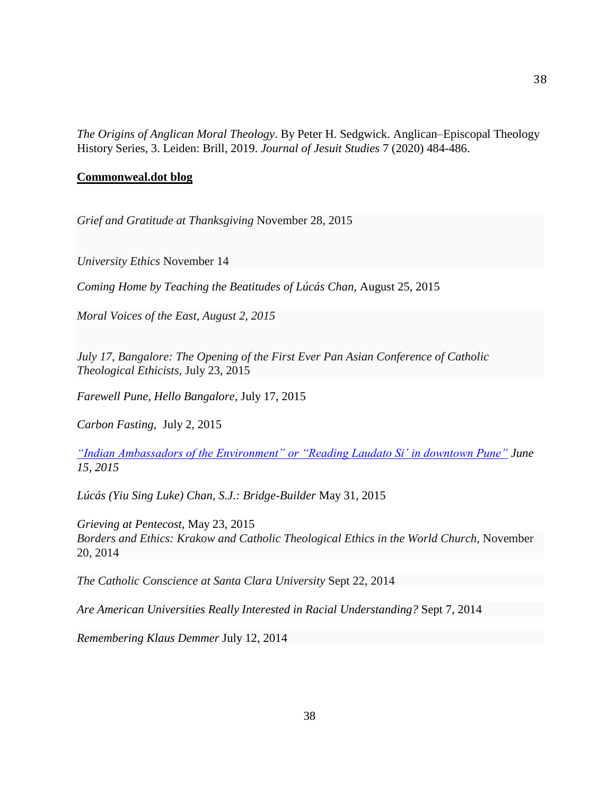*The Origins of Anglican Moral Theology*. By Peter H. Sedgwick. Anglican–Episcopal Theology History Series, 3. Leiden: Brill, 2019. *Journal of Jesuit Studies* 7 (2020) 484-486.

## **Commonweal.dot blog**

*Grief and Gratitude at Thanksgiving* November 28, 2015

*University Ethics* November 14

*Coming Home by Teaching the Beatitudes of Lúcás Chan,* August 25, 2015

*Moral Voices of the East, August 2, 2015*

*July 17, Bangalore: The Opening of the First Ever Pan Asian Conference of Catholic Theological Ethicists,* July 23, 2015

*Farewell Pune, Hello Bangalore*, July 17, 2015

*Carbon Fasting,* July 2, 2015

*["Indian Ambassadors of the Environment" or "Reading Laudato Si' in downtown Pune"](https://www.commonwealmagazine.org/blog/%E2%80%9Cindian-ambassadors-environment%E2%80%9D-or-%E2%80%9Creading-laudato-si%E2%80%99-downtown-pune%E2%80%9D) June 15, 2015*

*Lúcás (Yiu Sing Luke) Chan, S.J.: Bridge-Builder* May 31, 2015

*Grieving at Pentecost,* May 23, 2015 *Borders and Ethics: Krakow and Catholic [Theological](https://www.commonwealmagazine.org/blog/borders-and-ethics-krakow-and-catholic-theological-ethics-world-church) Ethics in the World Church,* November 20, 2014

*The Catholic [Conscience](https://www.commonwealmagazine.org/blog/catholic-conscience-santa-clara-university-1) at Santa Clara University* Sept 22, 2014

*Are American Universities Really Interested in Racial [Understanding?](https://www.commonwealmagazine.org/blog/are-american-universities-really-interested-racial-understanding)* Sept 7, 2014

*[Remembering](https://www.commonwealmagazine.org/blog/remembering-klaus-demmer) Klaus Demmer* July 12, 2014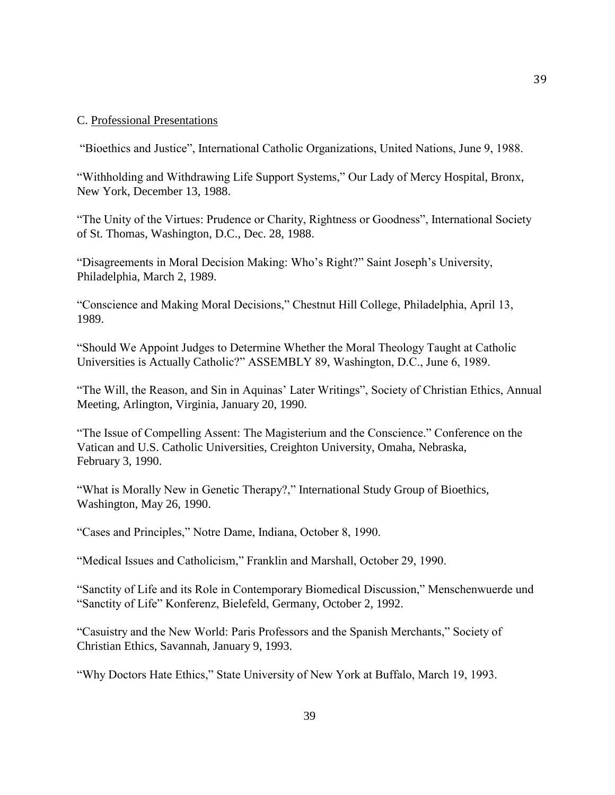#### C. Professional Presentations

"Bioethics and Justice", International Catholic Organizations, United Nations, June 9, 1988.

"Withholding and Withdrawing Life Support Systems," Our Lady of Mercy Hospital, Bronx, New York, December 13, 1988.

"The Unity of the Virtues: Prudence or Charity, Rightness or Goodness", International Society of St. Thomas, Washington, D.C., Dec. 28, 1988.

"Disagreements in Moral Decision Making: Who's Right?" Saint Joseph's University, Philadelphia, March 2, 1989.

"Conscience and Making Moral Decisions," Chestnut Hill College, Philadelphia, April 13, 1989.

"Should We Appoint Judges to Determine Whether the Moral Theology Taught at Catholic Universities is Actually Catholic?" ASSEMBLY 89, Washington, D.C., June 6, 1989.

"The Will, the Reason, and Sin in Aquinas' Later Writings", Society of Christian Ethics, Annual Meeting, Arlington, Virginia, January 20, 1990.

"The Issue of Compelling Assent: The Magisterium and the Conscience." Conference on the Vatican and U.S. Catholic Universities, Creighton University, Omaha, Nebraska, February 3, 1990.

"What is Morally New in Genetic Therapy?," International Study Group of Bioethics, Washington, May 26, 1990.

"Cases and Principles," Notre Dame, Indiana, October 8, 1990.

"Medical Issues and Catholicism," Franklin and Marshall, October 29, 1990.

"Sanctity of Life and its Role in Contemporary Biomedical Discussion," Menschenwuerde und "Sanctity of Life" Konferenz, Bielefeld, Germany, October 2, 1992.

"Casuistry and the New World: Paris Professors and the Spanish Merchants," Society of Christian Ethics, Savannah, January 9, 1993.

"Why Doctors Hate Ethics," State University of New York at Buffalo, March 19, 1993.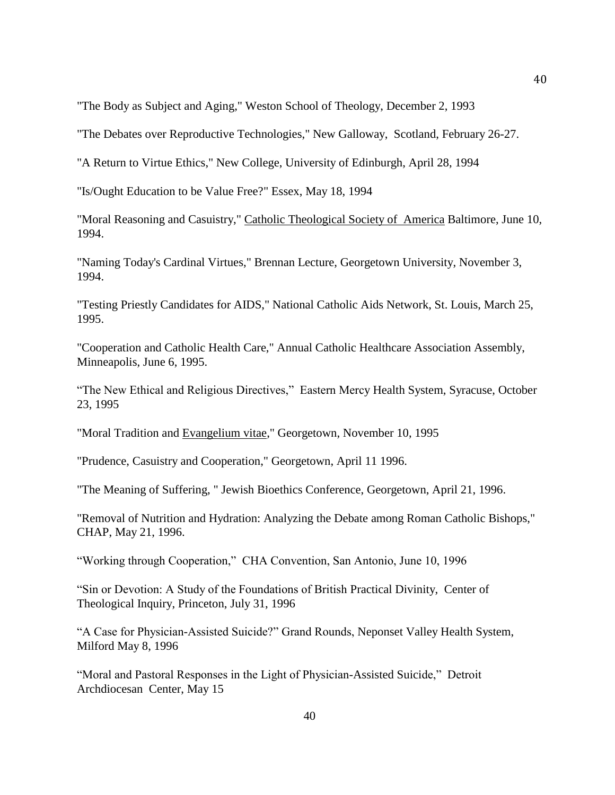"The Body as Subject and Aging," Weston School of Theology, December 2, 1993

"The Debates over Reproductive Technologies," New Galloway, Scotland, February 26-27.

"A Return to Virtue Ethics," New College, University of Edinburgh, April 28, 1994

"Is/Ought Education to be Value Free?" Essex, May 18, 1994

"Moral Reasoning and Casuistry," Catholic Theological Society of America Baltimore, June 10, 1994.

"Naming Today's Cardinal Virtues," Brennan Lecture, Georgetown University, November 3, 1994.

"Testing Priestly Candidates for AIDS," National Catholic Aids Network, St. Louis, March 25, 1995.

"Cooperation and Catholic Health Care," Annual Catholic Healthcare Association Assembly, Minneapolis, June 6, 1995.

"The New Ethical and Religious Directives," Eastern Mercy Health System, Syracuse, October 23, 1995

"Moral Tradition and Evangelium vitae," Georgetown, November 10, 1995

"Prudence, Casuistry and Cooperation," Georgetown, April 11 1996.

"The Meaning of Suffering, " Jewish Bioethics Conference, Georgetown, April 21, 1996.

"Removal of Nutrition and Hydration: Analyzing the Debate among Roman Catholic Bishops," CHAP, May 21, 1996.

"Working through Cooperation," CHA Convention, San Antonio, June 10, 1996

"Sin or Devotion: A Study of the Foundations of British Practical Divinity, Center of Theological Inquiry, Princeton, July 31, 1996

"A Case for Physician-Assisted Suicide?" Grand Rounds, Neponset Valley Health System, Milford May 8, 1996

"Moral and Pastoral Responses in the Light of Physician-Assisted Suicide," Detroit Archdiocesan Center, May 15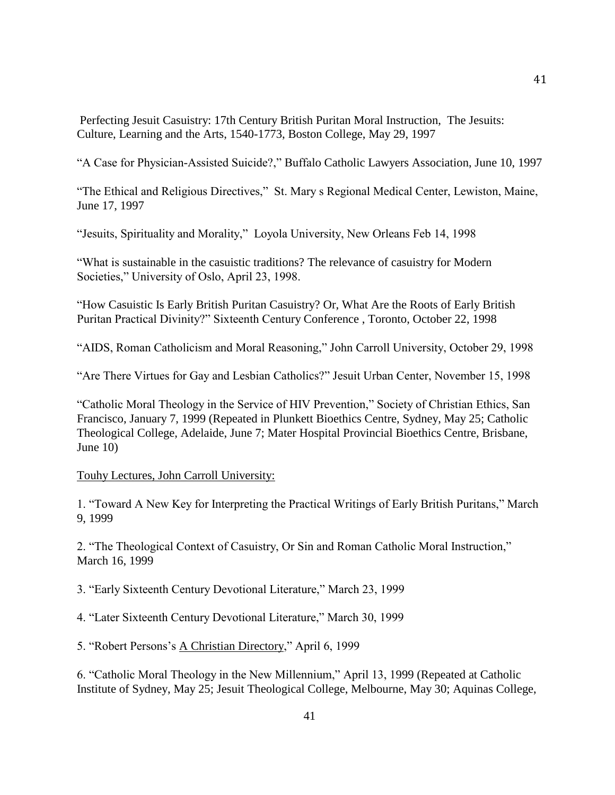Perfecting Jesuit Casuistry: 17th Century British Puritan Moral Instruction, The Jesuits: Culture, Learning and the Arts, 1540-1773, Boston College, May 29, 1997

"A Case for Physician-Assisted Suicide?," Buffalo Catholic Lawyers Association, June 10, 1997

"The Ethical and Religious Directives," St. Mary s Regional Medical Center, Lewiston, Maine, June 17, 1997

"Jesuits, Spirituality and Morality," Loyola University, New Orleans Feb 14, 1998

"What is sustainable in the casuistic traditions? The relevance of casuistry for Modern Societies," University of Oslo, April 23, 1998.

"How Casuistic Is Early British Puritan Casuistry? Or, What Are the Roots of Early British Puritan Practical Divinity?" Sixteenth Century Conference , Toronto, October 22, 1998

"AIDS, Roman Catholicism and Moral Reasoning," John Carroll University, October 29, 1998

"Are There Virtues for Gay and Lesbian Catholics?" Jesuit Urban Center, November 15, 1998

"Catholic Moral Theology in the Service of HIV Prevention," Society of Christian Ethics, San Francisco, January 7, 1999 (Repeated in Plunkett Bioethics Centre, Sydney, May 25; Catholic Theological College, Adelaide, June 7; Mater Hospital Provincial Bioethics Centre, Brisbane, June 10)

## Touhy Lectures, John Carroll University:

1. "Toward A New Key for Interpreting the Practical Writings of Early British Puritans," March 9, 1999

2. "The Theological Context of Casuistry, Or Sin and Roman Catholic Moral Instruction," March 16, 1999

3. "Early Sixteenth Century Devotional Literature," March 23, 1999

4. "Later Sixteenth Century Devotional Literature," March 30, 1999

5. "Robert Persons's A Christian Directory," April 6, 1999

6. "Catholic Moral Theology in the New Millennium," April 13, 1999 (Repeated at Catholic Institute of Sydney, May 25; Jesuit Theological College, Melbourne, May 30; Aquinas College,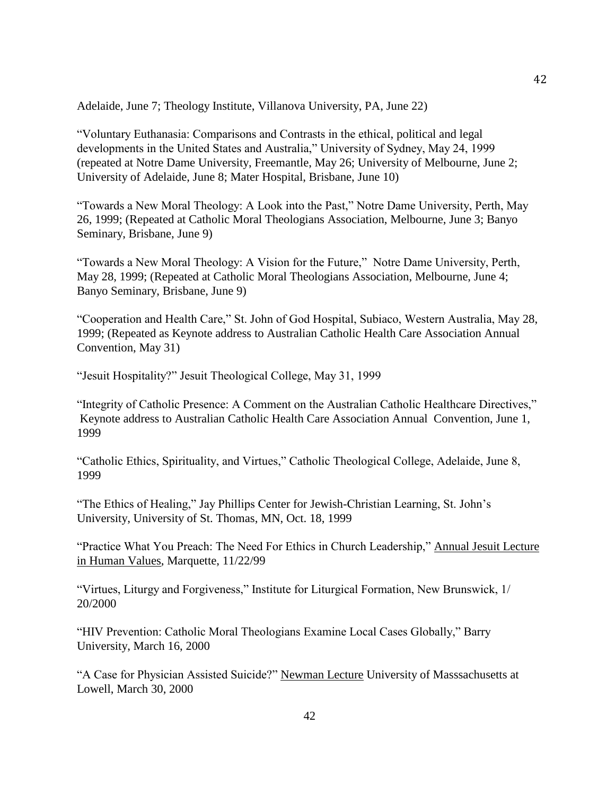Adelaide, June 7; Theology Institute, Villanova University, PA, June 22)

"Voluntary Euthanasia: Comparisons and Contrasts in the ethical, political and legal developments in the United States and Australia," University of Sydney, May 24, 1999 (repeated at Notre Dame University, Freemantle, May 26; University of Melbourne, June 2; University of Adelaide, June 8; Mater Hospital, Brisbane, June 10)

"Towards a New Moral Theology: A Look into the Past," Notre Dame University, Perth, May 26, 1999; (Repeated at Catholic Moral Theologians Association, Melbourne, June 3; Banyo Seminary, Brisbane, June 9)

"Towards a New Moral Theology: A Vision for the Future," Notre Dame University, Perth, May 28, 1999; (Repeated at Catholic Moral Theologians Association, Melbourne, June 4; Banyo Seminary, Brisbane, June 9)

"Cooperation and Health Care," St. John of God Hospital, Subiaco, Western Australia, May 28, 1999; (Repeated as Keynote address to Australian Catholic Health Care Association Annual Convention, May 31)

"Jesuit Hospitality?" Jesuit Theological College, May 31, 1999

"Integrity of Catholic Presence: A Comment on the Australian Catholic Healthcare Directives," Keynote address to Australian Catholic Health Care Association Annual Convention, June 1, 1999

"Catholic Ethics, Spirituality, and Virtues," Catholic Theological College, Adelaide, June 8, 1999

"The Ethics of Healing," Jay Phillips Center for Jewish-Christian Learning, St. John's University, University of St. Thomas, MN, Oct. 18, 1999

"Practice What You Preach: The Need For Ethics in Church Leadership," Annual Jesuit Lecture in Human Values, Marquette, 11/22/99

"Virtues, Liturgy and Forgiveness," Institute for Liturgical Formation, New Brunswick, 1/ 20/2000

"HIV Prevention: Catholic Moral Theologians Examine Local Cases Globally," Barry University, March 16, 2000

"A Case for Physician Assisted Suicide?" Newman Lecture University of Masssachusetts at Lowell, March 30, 2000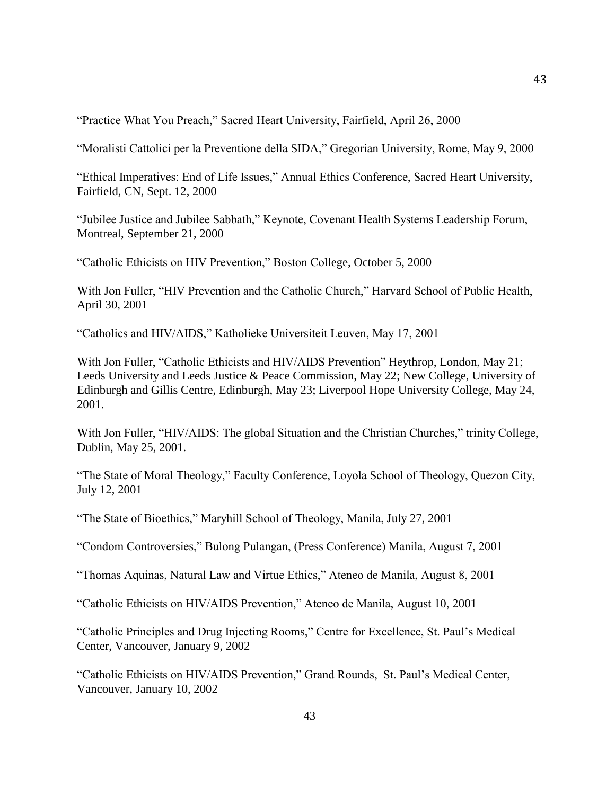"Practice What You Preach," Sacred Heart University, Fairfield, April 26, 2000

"Moralisti Cattolici per la Preventione della SIDA," Gregorian University, Rome, May 9, 2000

"Ethical Imperatives: End of Life Issues," Annual Ethics Conference, Sacred Heart University, Fairfield, CN, Sept. 12, 2000

"Jubilee Justice and Jubilee Sabbath," Keynote, Covenant Health Systems Leadership Forum, Montreal, September 21, 2000

"Catholic Ethicists on HIV Prevention," Boston College, October 5, 2000

With Jon Fuller, "HIV Prevention and the Catholic Church," Harvard School of Public Health, April 30, 2001

"Catholics and HIV/AIDS," Katholieke Universiteit Leuven, May 17, 2001

With Jon Fuller, "Catholic Ethicists and HIV/AIDS Prevention" Heythrop, London, May 21; Leeds University and Leeds Justice & Peace Commission, May 22; New College, University of Edinburgh and Gillis Centre, Edinburgh, May 23; Liverpool Hope University College, May 24, 2001.

With Jon Fuller, "HIV/AIDS: The global Situation and the Christian Churches," trinity College, Dublin, May 25, 2001.

"The State of Moral Theology," Faculty Conference, Loyola School of Theology, Quezon City, July 12, 2001

"The State of Bioethics," Maryhill School of Theology, Manila, July 27, 2001

"Condom Controversies," Bulong Pulangan, (Press Conference) Manila, August 7, 2001

"Thomas Aquinas, Natural Law and Virtue Ethics," Ateneo de Manila, August 8, 2001

"Catholic Ethicists on HIV/AIDS Prevention," Ateneo de Manila, August 10, 2001

"Catholic Principles and Drug Injecting Rooms," Centre for Excellence, St. Paul's Medical Center, Vancouver, January 9, 2002

"Catholic Ethicists on HIV/AIDS Prevention," Grand Rounds, St. Paul's Medical Center, Vancouver, January 10, 2002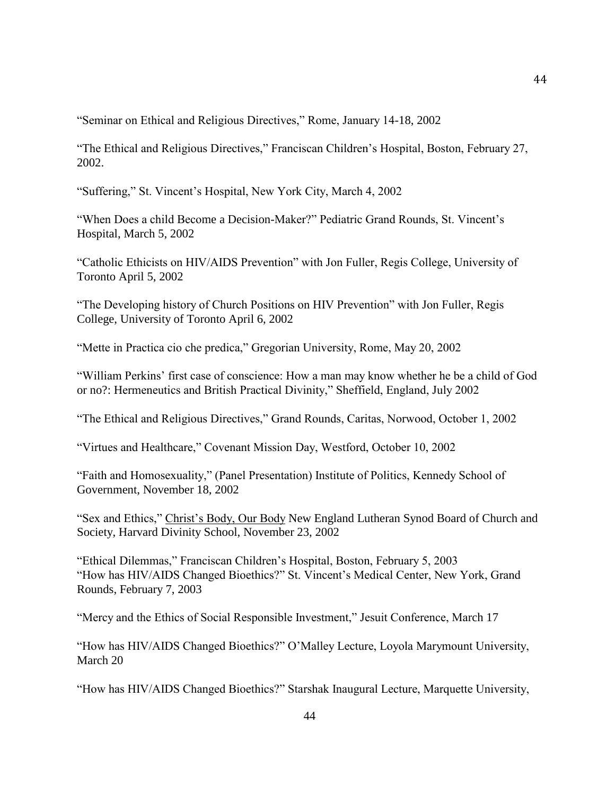"Seminar on Ethical and Religious Directives," Rome, January 14-18, 2002

"The Ethical and Religious Directives," Franciscan Children's Hospital, Boston, February 27, 2002.

"Suffering," St. Vincent's Hospital, New York City, March 4, 2002

"When Does a child Become a Decision-Maker?" Pediatric Grand Rounds, St. Vincent's Hospital, March 5, 2002

"Catholic Ethicists on HIV/AIDS Prevention" with Jon Fuller, Regis College, University of Toronto April 5, 2002

"The Developing history of Church Positions on HIV Prevention" with Jon Fuller, Regis College, University of Toronto April 6, 2002

"Mette in Practica cio che predica," Gregorian University, Rome, May 20, 2002

"William Perkins' first case of conscience: How a man may know whether he be a child of God or no?: Hermeneutics and British Practical Divinity," Sheffield, England, July 2002

"The Ethical and Religious Directives," Grand Rounds, Caritas, Norwood, October 1, 2002

"Virtues and Healthcare," Covenant Mission Day, Westford, October 10, 2002

"Faith and Homosexuality," (Panel Presentation) Institute of Politics, Kennedy School of Government, November 18, 2002

"Sex and Ethics," Christ's Body, Our Body New England Lutheran Synod Board of Church and Society, Harvard Divinity School, November 23, 2002

"Ethical Dilemmas," Franciscan Children's Hospital, Boston, February 5, 2003 "How has HIV/AIDS Changed Bioethics?" St. Vincent's Medical Center, New York, Grand Rounds, February 7, 2003

"Mercy and the Ethics of Social Responsible Investment," Jesuit Conference, March 17

"How has HIV/AIDS Changed Bioethics?" O'Malley Lecture, Loyola Marymount University, March 20

"How has HIV/AIDS Changed Bioethics?" Starshak Inaugural Lecture, Marquette University,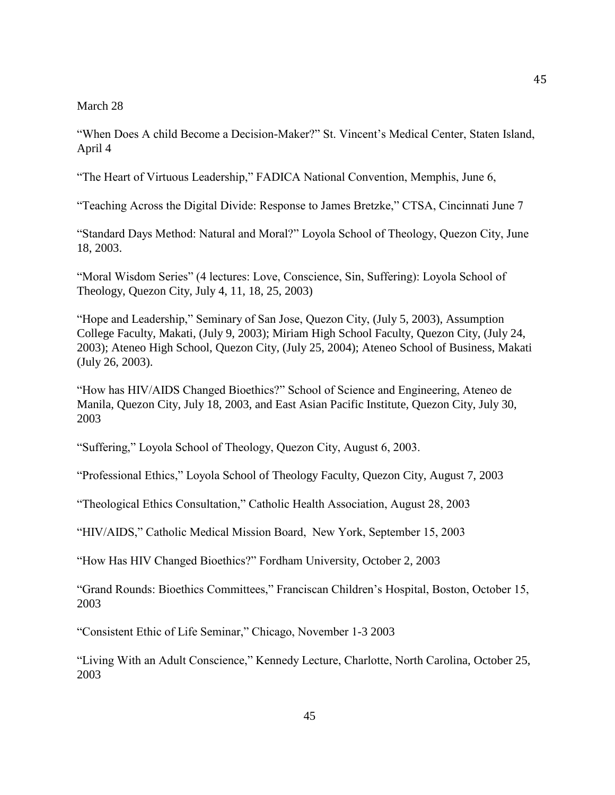## March 28

"When Does A child Become a Decision-Maker?" St. Vincent's Medical Center, Staten Island, April 4

"The Heart of Virtuous Leadership," FADICA National Convention, Memphis, June 6,

"Teaching Across the Digital Divide: Response to James Bretzke," CTSA, Cincinnati June 7

"Standard Days Method: Natural and Moral?" Loyola School of Theology, Quezon City, June 18, 2003.

"Moral Wisdom Series" (4 lectures: Love, Conscience, Sin, Suffering): Loyola School of Theology, Quezon City, July 4, 11, 18, 25, 2003)

"Hope and Leadership," Seminary of San Jose, Quezon City, (July 5, 2003), Assumption College Faculty, Makati, (July 9, 2003); Miriam High School Faculty, Quezon City, (July 24, 2003); Ateneo High School, Quezon City, (July 25, 2004); Ateneo School of Business, Makati (July 26, 2003).

"How has HIV/AIDS Changed Bioethics?" School of Science and Engineering, Ateneo de Manila, Quezon City, July 18, 2003, and East Asian Pacific Institute, Quezon City, July 30, 2003

"Suffering," Loyola School of Theology, Quezon City, August 6, 2003.

"Professional Ethics," Loyola School of Theology Faculty, Quezon City, August 7, 2003

"Theological Ethics Consultation," Catholic Health Association, August 28, 2003

"HIV/AIDS," Catholic Medical Mission Board, New York, September 15, 2003

"How Has HIV Changed Bioethics?" Fordham University, October 2, 2003

"Grand Rounds: Bioethics Committees," Franciscan Children's Hospital, Boston, October 15, 2003

"Consistent Ethic of Life Seminar," Chicago, November 1-3 2003

"Living With an Adult Conscience," Kennedy Lecture, Charlotte, North Carolina, October 25, 2003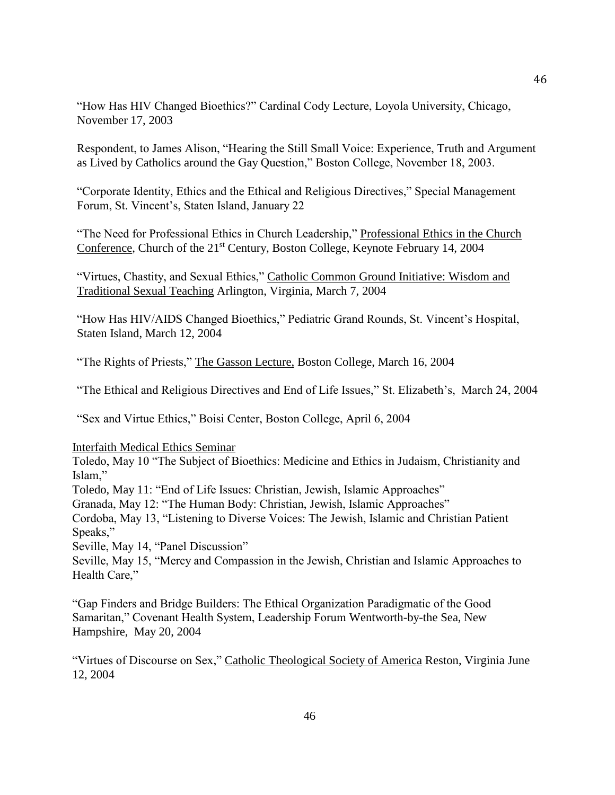"How Has HIV Changed Bioethics?" Cardinal Cody Lecture, Loyola University, Chicago, November 17, 2003

Respondent, to James Alison, "Hearing the Still Small Voice: Experience, Truth and Argument as Lived by Catholics around the Gay Question," Boston College, November 18, 2003.

"Corporate Identity, Ethics and the Ethical and Religious Directives," Special Management Forum, St. Vincent's, Staten Island, January 22

"The Need for Professional Ethics in Church Leadership," Professional Ethics in the Church Conference, Church of the 21<sup>st</sup> Century, Boston College, Keynote February 14, 2004

"Virtues, Chastity, and Sexual Ethics," Catholic Common Ground Initiative: Wisdom and Traditional Sexual Teaching Arlington, Virginia, March 7, 2004

"How Has HIV/AIDS Changed Bioethics," Pediatric Grand Rounds, St. Vincent's Hospital, Staten Island, March 12, 2004

"The Rights of Priests," The Gasson Lecture, Boston College, March 16, 2004

"The Ethical and Religious Directives and End of Life Issues," St. Elizabeth's, March 24, 2004

"Sex and Virtue Ethics," Boisi Center, Boston College, April 6, 2004

## Interfaith Medical Ethics Seminar

Toledo, May 10 "The Subject of Bioethics: Medicine and Ethics in Judaism, Christianity and Islam,"

Toledo, May 11: "End of Life Issues: Christian, Jewish, Islamic Approaches"

Granada, May 12: "The Human Body: Christian, Jewish, Islamic Approaches"

Cordoba, May 13, "Listening to Diverse Voices: The Jewish, Islamic and Christian Patient Speaks,"

Seville, May 14, "Panel Discussion"

Seville, May 15, "Mercy and Compassion in the Jewish, Christian and Islamic Approaches to Health Care,"

"Gap Finders and Bridge Builders: The Ethical Organization Paradigmatic of the Good Samaritan," Covenant Health System, Leadership Forum Wentworth-by-the Sea, New Hampshire, May 20, 2004

"Virtues of Discourse on Sex," Catholic Theological Society of America Reston, Virginia June 12, 2004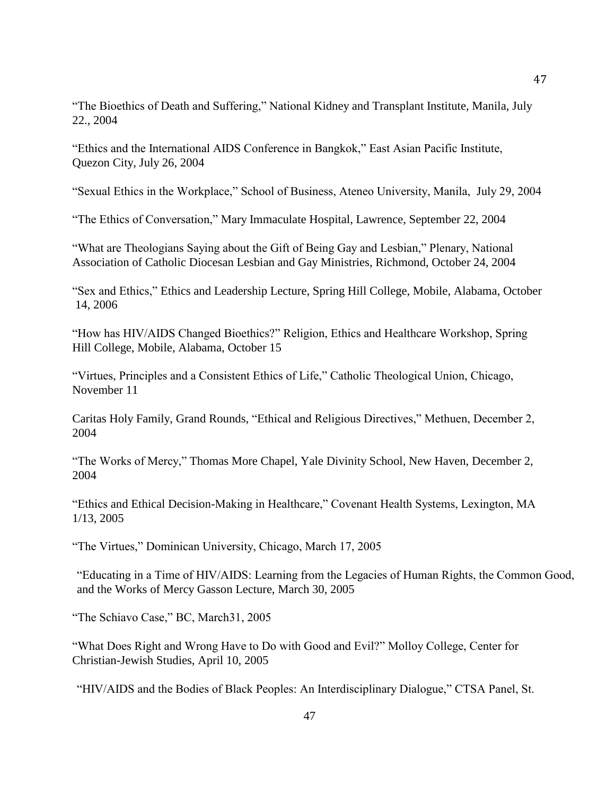"The Bioethics of Death and Suffering," National Kidney and Transplant Institute, Manila, July 22., 2004

"Ethics and the International AIDS Conference in Bangkok," East Asian Pacific Institute, Quezon City, July 26, 2004

"Sexual Ethics in the Workplace," School of Business, Ateneo University, Manila, July 29, 2004

"The Ethics of Conversation," Mary Immaculate Hospital, Lawrence, September 22, 2004

"What are Theologians Saying about the Gift of Being Gay and Lesbian," Plenary, National Association of Catholic Diocesan Lesbian and Gay Ministries, Richmond, October 24, 2004

"Sex and Ethics," Ethics and Leadership Lecture, Spring Hill College, Mobile, Alabama, October 14, 2006

"How has HIV/AIDS Changed Bioethics?" Religion, Ethics and Healthcare Workshop, Spring Hill College, Mobile, Alabama, October 15

"Virtues, Principles and a Consistent Ethics of Life," Catholic Theological Union, Chicago, November 11

Caritas Holy Family, Grand Rounds, "Ethical and Religious Directives," Methuen, December 2, 2004

"The Works of Mercy," Thomas More Chapel, Yale Divinity School, New Haven, December 2, 2004

"Ethics and Ethical Decision-Making in Healthcare," Covenant Health Systems, Lexington, MA 1/13, 2005

"The Virtues," Dominican University, Chicago, March 17, 2005

"Educating in a Time of HIV/AIDS: Learning from the Legacies of Human Rights, the Common Good, and the Works of Mercy Gasson Lecture, March 30, 2005

"The Schiavo Case," BC, March31, 2005

"What Does Right and Wrong Have to Do with Good and Evil?" Molloy College, Center for Christian-Jewish Studies, April 10, 2005

"HIV/AIDS and the Bodies of Black Peoples: An Interdisciplinary Dialogue," CTSA Panel, St.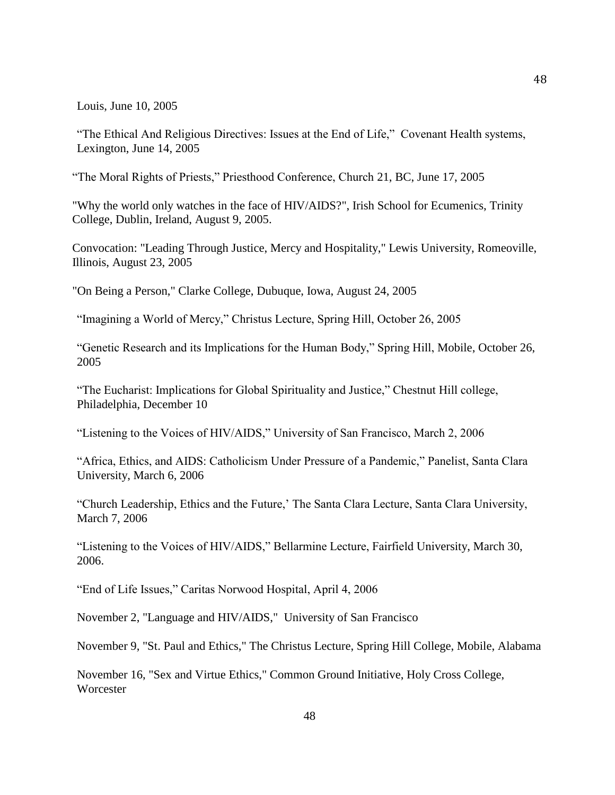Louis, June 10, 2005

"The Ethical And Religious Directives: Issues at the End of Life," Covenant Health systems, Lexington, June 14, 2005

"The Moral Rights of Priests," Priesthood Conference, Church 21, BC, June 17, 2005

"Why the world only watches in the face of HIV/AIDS?", Irish School for Ecumenics, Trinity College, Dublin, Ireland, August 9, 2005.

Convocation: "Leading Through Justice, Mercy and Hospitality," Lewis University, Romeoville, Illinois, August 23, 2005

"On Being a Person," Clarke College, Dubuque, Iowa, August 24, 2005

"Imagining a World of Mercy," Christus Lecture, Spring Hill, October 26, 2005

"Genetic Research and its Implications for the Human Body," Spring Hill, Mobile, October 26, 2005

"The Eucharist: Implications for Global Spirituality and Justice," Chestnut Hill college, Philadelphia, December 10

"Listening to the Voices of HIV/AIDS," University of San Francisco, March 2, 2006

"Africa, Ethics, and AIDS: Catholicism Under Pressure of a Pandemic," Panelist, Santa Clara University, March 6, 2006

"Church Leadership, Ethics and the Future,' The Santa Clara Lecture, Santa Clara University, March 7, 2006

"Listening to the Voices of HIV/AIDS," Bellarmine Lecture, Fairfield University, March 30, 2006.

"End of Life Issues," Caritas Norwood Hospital, April 4, 2006

November 2, "Language and HIV/AIDS," University of San Francisco

November 9, "St. Paul and Ethics," The Christus Lecture, Spring Hill College, Mobile, Alabama

November 16, "Sex and Virtue Ethics," Common Ground Initiative, Holy Cross College, **Worcester**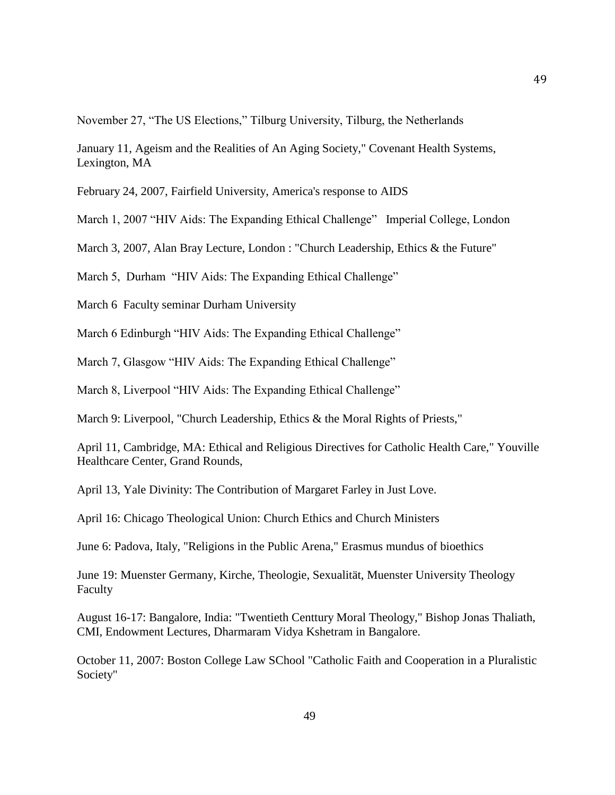November 27, "The US Elections," Tilburg University, Tilburg, the Netherlands

January 11, Ageism and the Realities of An Aging Society," Covenant Health Systems, Lexington, MA

February 24, 2007, Fairfield University, America's response to AIDS

March 1, 2007 "HIV Aids: The Expanding Ethical Challenge" Imperial College, London

March 3, 2007, Alan Bray Lecture, London : "Church Leadership, Ethics & the Future"

March 5, Durham "HIV Aids: The Expanding Ethical Challenge"

March 6 Faculty seminar Durham University

March 6 Edinburgh "HIV Aids: The Expanding Ethical Challenge"

March 7, Glasgow "HIV Aids: The Expanding Ethical Challenge"

March 8, Liverpool "HIV Aids: The Expanding Ethical Challenge"

March 9: Liverpool, "Church Leadership, Ethics & the Moral Rights of Priests,"

April 11, Cambridge, MA: Ethical and Religious Directives for Catholic Health Care," Youville Healthcare Center, Grand Rounds,

April 13, Yale Divinity: The Contribution of Margaret Farley in Just Love.

April 16: Chicago Theological Union: Church Ethics and Church Ministers

June 6: Padova, Italy, "Religions in the Public Arena," Erasmus mundus of bioethics

June 19: Muenster Germany, Kirche, Theologie, Sexualität, Muenster University Theology Faculty

August 16-17: Bangalore, India: "Twentieth Centtury Moral Theology," Bishop Jonas Thaliath, CMI, Endowment Lectures, Dharmaram Vidya Kshetram in Bangalore.

October 11, 2007: Boston College Law SChool "Catholic Faith and Cooperation in a Pluralistic Society"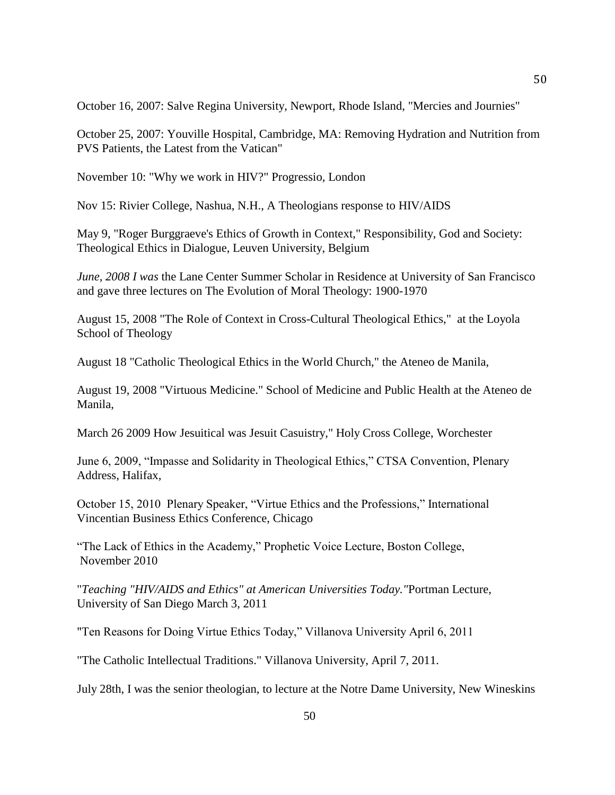October 16, 2007: Salve Regina University, Newport, Rhode Island, "Mercies and Journies"

October 25, 2007: Youville Hospital, Cambridge, MA: Removing Hydration and Nutrition from PVS Patients, the Latest from the Vatican"

November 10: "Why we work in HIV?" Progressio, London

Nov 15: Rivier College, Nashua, N.H., A Theologians response to HIV/AIDS

May 9, "Roger Burggraeve's Ethics of Growth in Context," Responsibility, God and Society: Theological Ethics in Dialogue, Leuven University, Belgium

*June, 2008 I was* the Lane Center Summer Scholar in Residence at University of San Francisco and gave three lectures on The Evolution of Moral Theology: 1900-1970

August 15, 2008 "The Role of Context in Cross-Cultural Theological Ethics," at the Loyola School of Theology

August 18 "Catholic Theological Ethics in the World Church," the Ateneo de Manila,

August 19, 2008 "Virtuous Medicine." School of Medicine and Public Health at the Ateneo de Manila,

March 26 2009 How Jesuitical was Jesuit Casuistry," Holy Cross College, Worchester

June 6, 2009, "Impasse and Solidarity in Theological Ethics," CTSA Convention, Plenary Address, Halifax,

October 15, 2010 Plenary Speaker, "Virtue Ethics and the Professions," International Vincentian Business Ethics Conference, Chicago

"The Lack of Ethics in the Academy," Prophetic Voice Lecture, Boston College, November 2010

"*Teaching "HIV/AIDS and Ethics" at American Universities Today."*Portman Lecture, University of San Diego March 3, 2011

"Ten Reasons for Doing Virtue Ethics Today," Villanova University April 6, 2011

"The Catholic Intellectual Traditions." Villanova University, April 7, 2011.

July 28th, I was the senior theologian, to lecture at the Notre Dame University, New Wineskins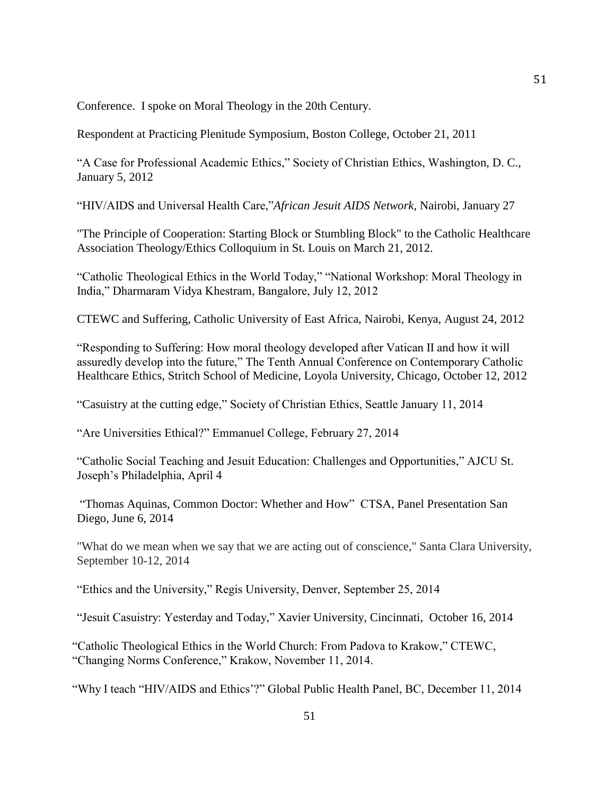Conference. I spoke on Moral Theology in the 20th Century.

Respondent at Practicing Plenitude Symposium, Boston College, October 21, 2011

"A Case for Professional Academic Ethics," Society of Christian Ethics, Washington, D. C., January 5, 2012

"HIV/AIDS and Universal Health Care,"*African Jesuit AIDS Network*, Nairobi, January 27

"The Principle of Cooperation: Starting Block or Stumbling Block" to the Catholic Healthcare Association Theology/Ethics Colloquium in St. Louis on March 21, 2012.

"Catholic Theological Ethics in the World Today," "National Workshop: Moral Theology in India," Dharmaram Vidya Khestram, Bangalore, July 12, 2012

CTEWC and Suffering, Catholic University of East Africa, Nairobi, Kenya, August 24, 2012

"Responding to Suffering: How moral theology developed after Vatican II and how it will assuredly develop into the future," The Tenth Annual Conference on Contemporary Catholic Healthcare Ethics, Stritch School of Medicine, Loyola University, Chicago, October 12, 2012

"Casuistry at the cutting edge," Society of Christian Ethics, Seattle January 11, 2014

"Are Universities Ethical?" Emmanuel College, February 27, 2014

"Catholic Social Teaching and Jesuit Education: Challenges and Opportunities," AJCU St. Joseph's Philadelphia, April 4

"Thomas Aquinas, Common Doctor: Whether and How" CTSA, Panel Presentation San Diego, June 6, 2014

"What do we mean when we say that we are acting out of conscience," Santa Clara University, September 10-12, 2014

"Ethics and the University," Regis University, Denver, September 25, 2014

"Jesuit Casuistry: Yesterday and Today," Xavier University, Cincinnati, October 16, 2014

"Catholic Theological Ethics in the World Church: From Padova to Krakow," CTEWC, "Changing Norms Conference," Krakow, November 11, 2014.

"Why I teach "HIV/AIDS and Ethics'?" Global Public Health Panel, BC, December 11, 2014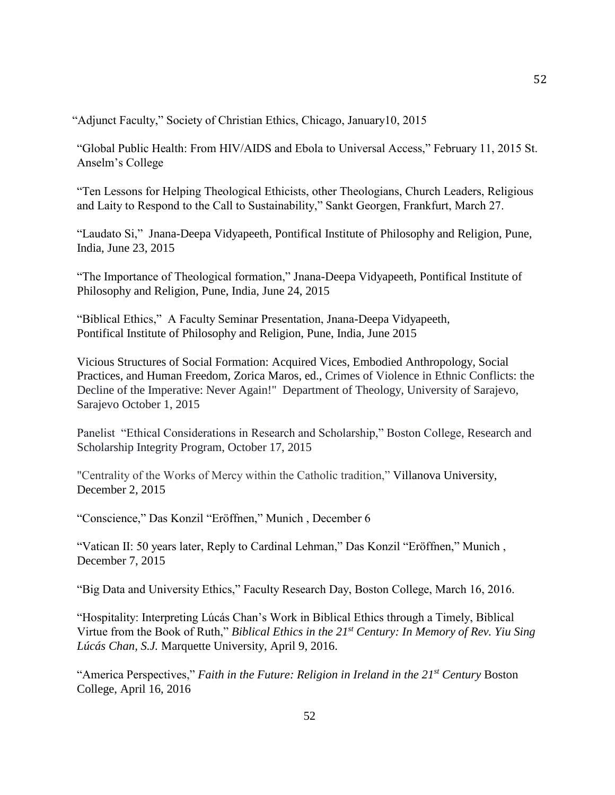"Adjunct Faculty," Society of Christian Ethics, Chicago, January10, 2015

"Global Public Health: From HIV/AIDS and Ebola to Universal Access," February 11, 2015 St. Anselm's College

"Ten Lessons for Helping Theological Ethicists, other Theologians, Church Leaders, Religious and Laity to Respond to the Call to Sustainability," Sankt Georgen, Frankfurt, March 27.

"Laudato Si," Jnana-Deepa Vidyapeeth, Pontifical Institute of Philosophy and Religion, Pune, India, June 23, 2015

"The Importance of Theological formation," Jnana-Deepa Vidyapeeth, Pontifical Institute of Philosophy and Religion, Pune, India, June 24, 2015

"Biblical Ethics," A Faculty Seminar Presentation, Jnana-Deepa Vidyapeeth, Pontifical Institute of Philosophy and Religion, Pune, India, June 2015

Vicious Structures of Social Formation: Acquired Vices, Embodied Anthropology, Social Practices, and Human Freedom, Zorica Maros, ed., Crimes of Violence in Ethnic Conflicts: the Decline of the Imperative: Never Again!" Department of Theology, University of Sarajevo, Sarajevo October 1, 2015

Panelist "Ethical Considerations in Research and Scholarship," Boston College, Research and Scholarship Integrity Program, October 17, 2015

"Centrality of the Works of Mercy within the Catholic tradition," Villanova University, December 2, 2015

"Conscience," Das Konzil "Eröffnen," Munich , December 6

"Vatican II: 50 years later, Reply to Cardinal Lehman," Das Konzil "Eröffnen," Munich , December 7, 2015

"Big Data and University Ethics," Faculty Research Day, Boston College, March 16, 2016.

"Hospitality: Interpreting Lúcás Chan's Work in Biblical Ethics through a Timely, Biblical Virtue from the Book of Ruth," *Biblical Ethics in the 21st Century: In Memory of Rev. Yiu Sing Lúcás Chan, S.J.* Marquette University, April 9, 2016.

"America Perspectives," *Faith in the Future: Religion in Ireland in the 21st Century* Boston College, April 16, 2016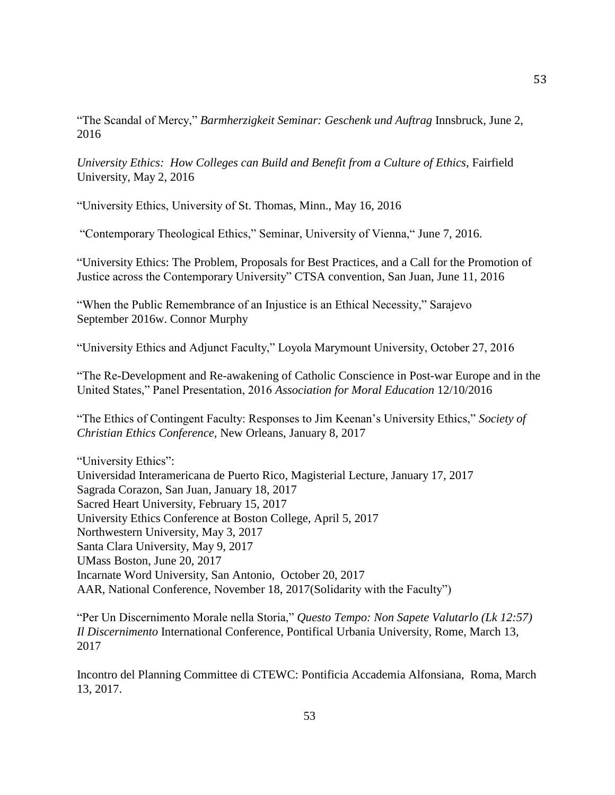"The Scandal of Mercy," *Barmherzigkeit Seminar: Geschenk und Auftrag* Innsbruck, June 2, 2016

*University Ethics: How Colleges can Build and Benefit from a Culture of Ethics*, Fairfield University, May 2, 2016

"University Ethics, University of St. Thomas, Minn., May 16, 2016

"Contemporary Theological Ethics," Seminar, University of Vienna," June 7, 2016.

"University Ethics: The Problem, Proposals for Best Practices, and a Call for the Promotion of Justice across the Contemporary University" CTSA convention, San Juan, June 11, 2016

"When the Public Remembrance of an Injustice is an Ethical Necessity," Sarajevo September 2016w. Connor Murphy

"University Ethics and Adjunct Faculty," Loyola Marymount University, October 27, 2016

"The Re-Development and Re-awakening of Catholic Conscience in Post-war Europe and in the United States," Panel Presentation, 2016 *Association for Moral Education* 12/10/2016

"The Ethics of Contingent Faculty: Responses to Jim Keenan's University Ethics," *Society of Christian Ethics Conference,* New Orleans, January 8, 2017

"University Ethics": Universidad Interamericana de Puerto Rico, Magisterial Lecture, January 17, 2017 Sagrada Corazon, San Juan, January 18, 2017 Sacred Heart University, February 15, 2017 University Ethics Conference at Boston College, April 5, 2017 Northwestern University, May 3, 2017 Santa Clara University, May 9, 2017 UMass Boston, June 20, 2017 Incarnate Word University, San Antonio, October 20, 2017 AAR, National Conference, November 18, 2017(Solidarity with the Faculty")

"Per Un Discernimento Morale nella Storia," *Questo Tempo: Non Sapete Valutarlo (Lk 12:57) Il Discernimento* International Conference, Pontifical Urbania University, Rome, March 13, 2017

Incontro del Planning Committee di CTEWC: Pontificia Accademia Alfonsiana, Roma, March 13, 2017.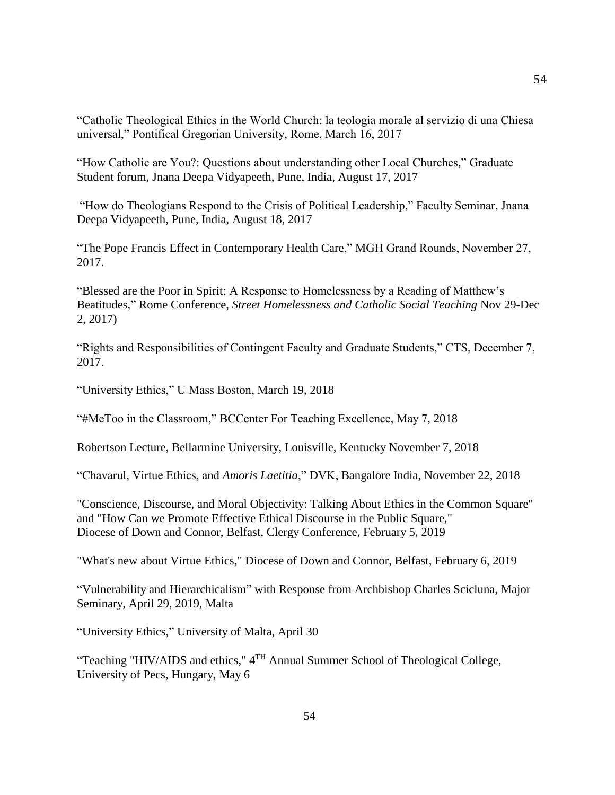"Catholic Theological Ethics in the World Church: la teologia morale al servizio di una Chiesa universal," Pontifical Gregorian University, Rome, March 16, 2017

"How Catholic are You?: Questions about understanding other Local Churches," Graduate Student forum, Jnana Deepa Vidyapeeth, Pune, India, August 17, 2017

"How do Theologians Respond to the Crisis of Political Leadership," Faculty Seminar, Jnana Deepa Vidyapeeth, Pune, India, August 18, 2017

"The Pope Francis Effect in Contemporary Health Care," MGH Grand Rounds, November 27, 2017.

"Blessed are the Poor in Spirit: A Response to Homelessness by a Reading of Matthew's Beatitudes," Rome Conference, *Street Homelessness and Catholic Social Teaching* Nov 29-Dec 2, 2017)

"Rights and Responsibilities of Contingent Faculty and Graduate Students," CTS, December 7, 2017.

"University Ethics," U Mass Boston, March 19, 2018

"#MeToo in the Classroom," BCCenter For Teaching Excellence, May 7, 2018

Robertson Lecture, Bellarmine University, Louisville, Kentucky November 7, 2018

"Chavarul, Virtue Ethics, and *Amoris Laetitia*," DVK, Bangalore India, November 22, 2018

"Conscience, Discourse, and Moral Objectivity: Talking About Ethics in the Common Square" and "How Can we Promote Effective Ethical Discourse in the Public Square," Diocese of Down and Connor, Belfast, Clergy Conference, February 5, 2019

"What's new about Virtue Ethics," Diocese of Down and Connor, Belfast, February 6, 2019

"Vulnerability and Hierarchicalism" with Response from Archbishop Charles Scicluna, Major Seminary, April 29, 2019, Malta

"University Ethics," University of Malta, April 30

"Teaching "HIV/AIDS and ethics,"  $4<sup>TH</sup>$  Annual Summer School of Theological College, University of Pecs, Hungary, May 6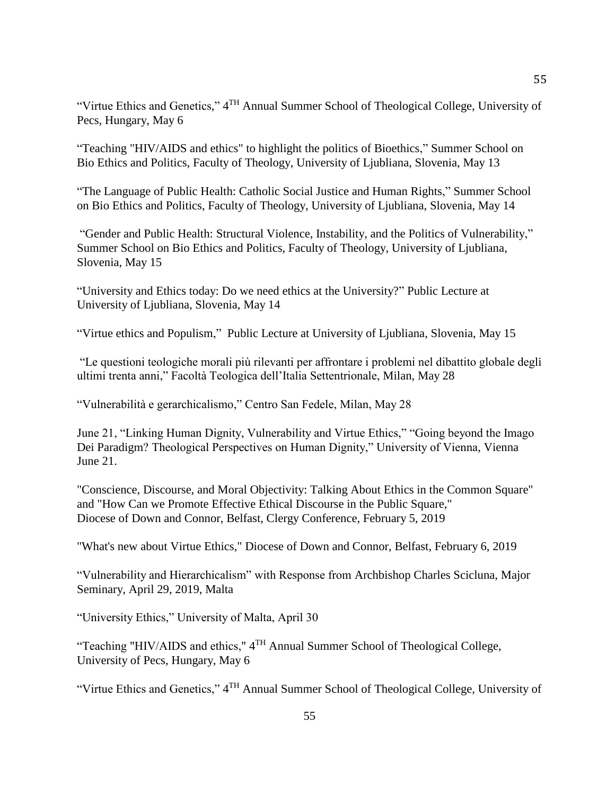"Virtue Ethics and Genetics," 4<sup>TH</sup> Annual Summer School of Theological College, University of Pecs, Hungary, May 6

"Teaching "HIV/AIDS and ethics" to highlight the politics of Bioethics," Summer School on Bio Ethics and Politics, Faculty of Theology, University of Ljubliana, Slovenia, May 13

"The Language of Public Health: Catholic Social Justice and Human Rights," Summer School on Bio Ethics and Politics, Faculty of Theology, University of Ljubliana, Slovenia, May 14

"Gender and Public Health: Structural Violence, Instability, and the Politics of Vulnerability," Summer School on Bio Ethics and Politics, Faculty of Theology, University of Ljubliana, Slovenia, May 15

"University and Ethics today: Do we need ethics at the University?" Public Lecture at University of Ljubliana, Slovenia, May 14

"Virtue ethics and Populism," Public Lecture at University of Ljubliana, Slovenia, May 15

"Le questioni teologiche morali più rilevanti per affrontare i problemi nel dibattito globale degli ultimi trenta anni," Facoltà Teologica dell'Italia Settentrionale, Milan, May 28

"Vulnerabilità e gerarchicalismo," Centro San Fedele, Milan, May 28

June 21, "Linking Human Dignity, Vulnerability and Virtue Ethics," "Going beyond the Imago Dei Paradigm? Theological Perspectives on Human Dignity," University of Vienna, Vienna June 21.

"Conscience, Discourse, and Moral Objectivity: Talking About Ethics in the Common Square" and "How Can we Promote Effective Ethical Discourse in the Public Square," Diocese of Down and Connor, Belfast, Clergy Conference, February 5, 2019

"What's new about Virtue Ethics," Diocese of Down and Connor, Belfast, February 6, 2019

"Vulnerability and Hierarchicalism" with Response from Archbishop Charles Scicluna, Major Seminary, April 29, 2019, Malta

"University Ethics," University of Malta, April 30

"Teaching "HIV/AIDS and ethics,"  $4^{TH}$  Annual Summer School of Theological College, University of Pecs, Hungary, May 6

"Virtue Ethics and Genetics," 4<sup>TH</sup> Annual Summer School of Theological College, University of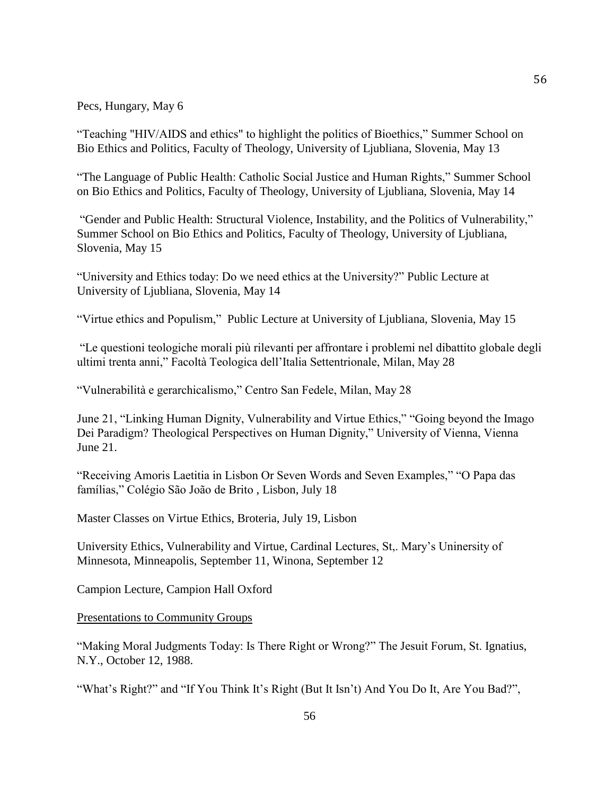Pecs, Hungary, May 6

"Teaching "HIV/AIDS and ethics" to highlight the politics of Bioethics," Summer School on Bio Ethics and Politics, Faculty of Theology, University of Ljubliana, Slovenia, May 13

"The Language of Public Health: Catholic Social Justice and Human Rights," Summer School on Bio Ethics and Politics, Faculty of Theology, University of Ljubliana, Slovenia, May 14

"Gender and Public Health: Structural Violence, Instability, and the Politics of Vulnerability," Summer School on Bio Ethics and Politics, Faculty of Theology, University of Ljubliana, Slovenia, May 15

"University and Ethics today: Do we need ethics at the University?" Public Lecture at University of Ljubliana, Slovenia, May 14

"Virtue ethics and Populism," Public Lecture at University of Ljubliana, Slovenia, May 15

"Le questioni teologiche morali più rilevanti per affrontare i problemi nel dibattito globale degli ultimi trenta anni," Facoltà Teologica dell'Italia Settentrionale, Milan, May 28

"Vulnerabilità e gerarchicalismo," Centro San Fedele, Milan, May 28

June 21, "Linking Human Dignity, Vulnerability and Virtue Ethics," "Going beyond the Imago Dei Paradigm? Theological Perspectives on Human Dignity," University of Vienna, Vienna June 21.

"Receiving Amoris Laetitia in Lisbon Or Seven Words and Seven Examples," "O Papa das famílias," Colégio São João de Brito , Lisbon, July 18

Master Classes on Virtue Ethics, Broteria, July 19, Lisbon

University Ethics, Vulnerability and Virtue, Cardinal Lectures, St,. Mary's Uninersity of Minnesota, Minneapolis, September 11, Winona, September 12

Campion Lecture, Campion Hall Oxford

Presentations to Community Groups

"Making Moral Judgments Today: Is There Right or Wrong?" The Jesuit Forum, St. Ignatius, N.Y., October 12, 1988.

"What's Right?" and "If You Think It's Right (But It Isn't) And You Do It, Are You Bad?",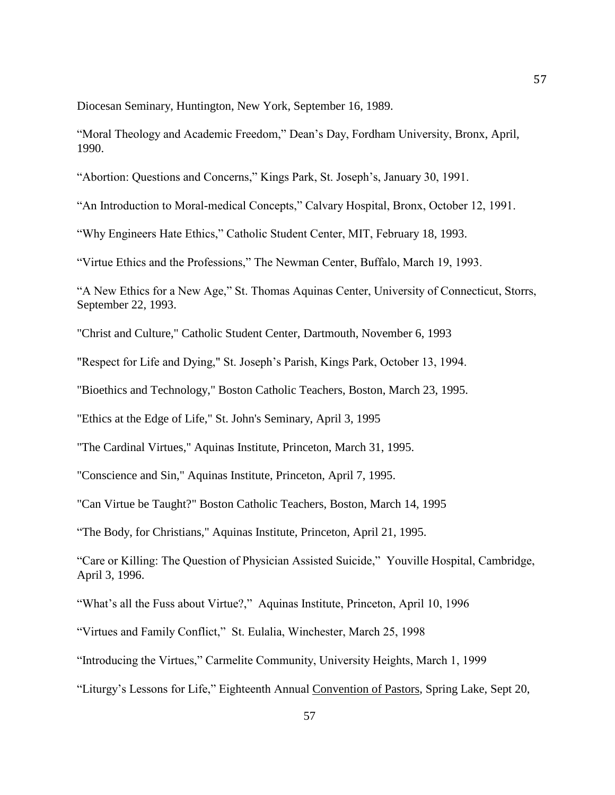Diocesan Seminary, Huntington, New York, September 16, 1989.

"Moral Theology and Academic Freedom," Dean's Day, Fordham University, Bronx, April, 1990.

"Abortion: Questions and Concerns," Kings Park, St. Joseph's, January 30, 1991.

"An Introduction to Moral-medical Concepts," Calvary Hospital, Bronx, October 12, 1991.

"Why Engineers Hate Ethics," Catholic Student Center, MIT, February 18, 1993.

"Virtue Ethics and the Professions," The Newman Center, Buffalo, March 19, 1993.

"A New Ethics for a New Age," St. Thomas Aquinas Center, University of Connecticut, Storrs, September 22, 1993.

"Christ and Culture," Catholic Student Center, Dartmouth, November 6, 1993

"Respect for Life and Dying," St. Joseph's Parish, Kings Park, October 13, 1994.

"Bioethics and Technology," Boston Catholic Teachers, Boston, March 23, 1995.

"Ethics at the Edge of Life," St. John's Seminary, April 3, 1995

"The Cardinal Virtues," Aquinas Institute, Princeton, March 31, 1995.

"Conscience and Sin," Aquinas Institute, Princeton, April 7, 1995.

"Can Virtue be Taught?" Boston Catholic Teachers, Boston, March 14, 1995

"The Body, for Christians," Aquinas Institute, Princeton, April 21, 1995.

"Care or Killing: The Question of Physician Assisted Suicide," Youville Hospital, Cambridge, April 3, 1996.

"What's all the Fuss about Virtue?," Aquinas Institute, Princeton, April 10, 1996

"Virtues and Family Conflict," St. Eulalia, Winchester, March 25, 1998

"Introducing the Virtues," Carmelite Community, University Heights, March 1, 1999

"Liturgy's Lessons for Life," Eighteenth Annual Convention of Pastors, Spring Lake, Sept 20,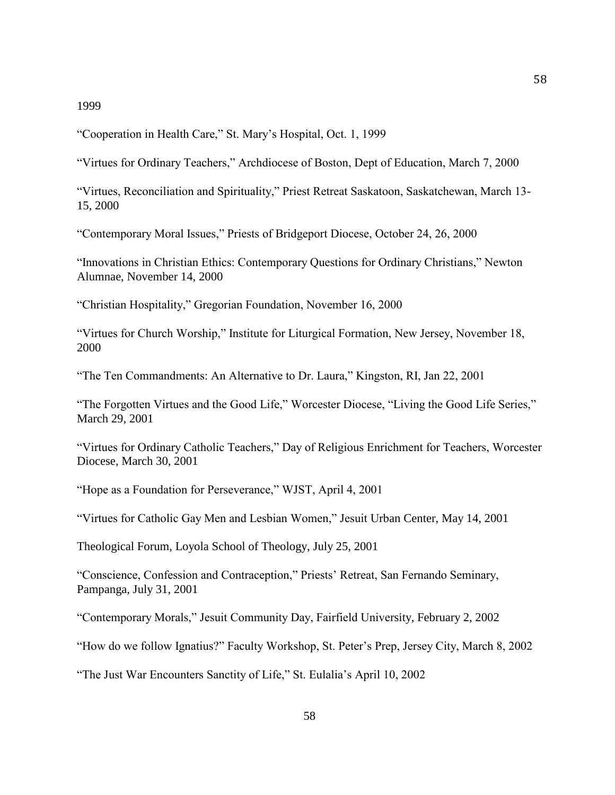## 1999

"Cooperation in Health Care," St. Mary's Hospital, Oct. 1, 1999

"Virtues for Ordinary Teachers," Archdiocese of Boston, Dept of Education, March 7, 2000

"Virtues, Reconciliation and Spirituality," Priest Retreat Saskatoon, Saskatchewan, March 13- 15, 2000

"Contemporary Moral Issues," Priests of Bridgeport Diocese, October 24, 26, 2000

"Innovations in Christian Ethics: Contemporary Questions for Ordinary Christians," Newton Alumnae, November 14, 2000

"Christian Hospitality," Gregorian Foundation, November 16, 2000

"Virtues for Church Worship," Institute for Liturgical Formation, New Jersey, November 18, 2000

"The Ten Commandments: An Alternative to Dr. Laura," Kingston, RI, Jan 22, 2001

"The Forgotten Virtues and the Good Life," Worcester Diocese, "Living the Good Life Series," March 29, 2001

"Virtues for Ordinary Catholic Teachers," Day of Religious Enrichment for Teachers, Worcester Diocese, March 30, 2001

"Hope as a Foundation for Perseverance," WJST, April 4, 2001

"Virtues for Catholic Gay Men and Lesbian Women," Jesuit Urban Center, May 14, 2001

Theological Forum, Loyola School of Theology, July 25, 2001

"Conscience, Confession and Contraception," Priests' Retreat, San Fernando Seminary, Pampanga, July 31, 2001

"Contemporary Morals," Jesuit Community Day, Fairfield University, February 2, 2002

"How do we follow Ignatius?" Faculty Workshop, St. Peter's Prep, Jersey City, March 8, 2002

"The Just War Encounters Sanctity of Life," St. Eulalia's April 10, 2002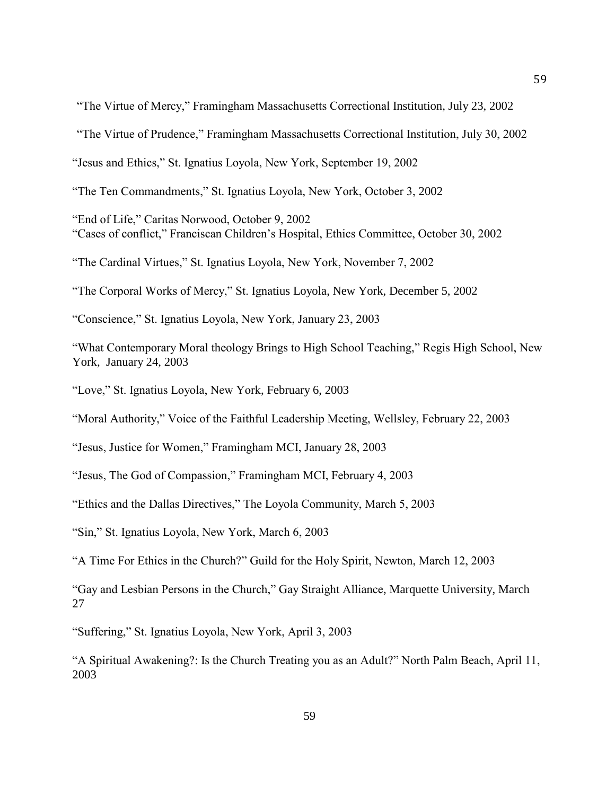"The Virtue of Mercy," Framingham Massachusetts Correctional Institution, July 23, 2002

"The Virtue of Prudence," Framingham Massachusetts Correctional Institution, July 30, 2002

"Jesus and Ethics," St. Ignatius Loyola, New York, September 19, 2002

"The Ten Commandments," St. Ignatius Loyola, New York, October 3, 2002

"End of Life," Caritas Norwood, October 9, 2002 "Cases of conflict," Franciscan Children's Hospital, Ethics Committee, October 30, 2002

"The Cardinal Virtues," St. Ignatius Loyola, New York, November 7, 2002

"The Corporal Works of Mercy," St. Ignatius Loyola, New York, December 5, 2002

"Conscience," St. Ignatius Loyola, New York, January 23, 2003

"What Contemporary Moral theology Brings to High School Teaching," Regis High School, New York, January 24, 2003

"Love," St. Ignatius Loyola, New York, February 6, 2003

"Moral Authority," Voice of the Faithful Leadership Meeting, Wellsley, February 22, 2003

"Jesus, Justice for Women," Framingham MCI, January 28, 2003

"Jesus, The God of Compassion," Framingham MCI, February 4, 2003

"Ethics and the Dallas Directives," The Loyola Community, March 5, 2003

"Sin," St. Ignatius Loyola, New York, March 6, 2003

"A Time For Ethics in the Church?" Guild for the Holy Spirit, Newton, March 12, 2003

"Gay and Lesbian Persons in the Church," Gay Straight Alliance, Marquette University, March 27

"Suffering," St. Ignatius Loyola, New York, April 3, 2003

"A Spiritual Awakening?: Is the Church Treating you as an Adult?" North Palm Beach, April 11, 2003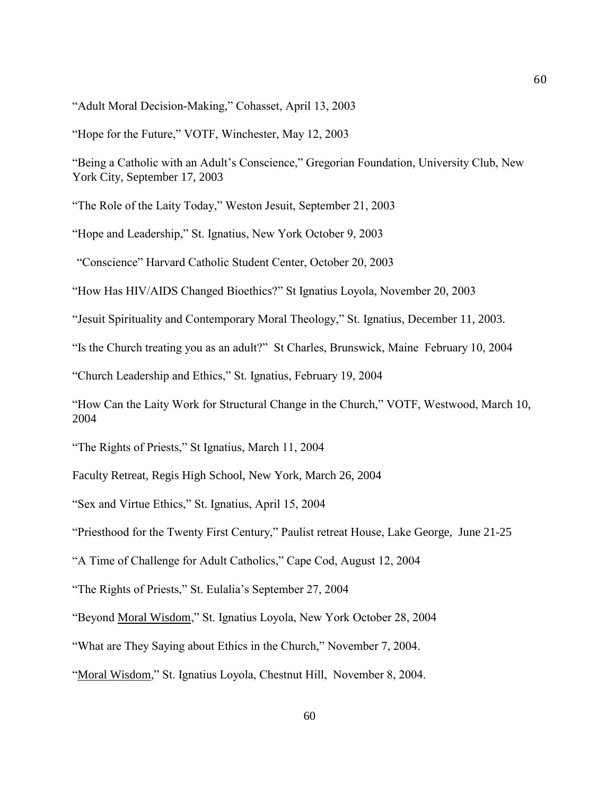"Adult Moral Decision-Making," Cohasset, April 13, 2003

"Hope for the Future," VOTF, Winchester, May 12, 2003

"Being a Catholic with an Adult's Conscience," Gregorian Foundation, University Club, New York City, September 17, 2003

"The Role of the Laity Today," Weston Jesuit, September 21, 2003

"Hope and Leadership," St. Ignatius, New York October 9, 2003

"Conscience" Harvard Catholic Student Center, October 20, 2003

"How Has HIV/AIDS Changed Bioethics?" St Ignatius Loyola, November 20, 2003

"Jesuit Spirituality and Contemporary Moral Theology," St. Ignatius, December 11, 2003.

"Is the Church treating you as an adult?" St Charles, Brunswick, Maine February 10, 2004

"Church Leadership and Ethics," St. Ignatius, February 19, 2004

"How Can the Laity Work for Structural Change in the Church," VOTF, Westwood, March 10, 2004

"The Rights of Priests," St Ignatius, March 11, 2004

Faculty Retreat, Regis High School, New York, March 26, 2004

"Sex and Virtue Ethics," St. Ignatius, April 15, 2004

"Priesthood for the Twenty First Century," Paulist retreat House, Lake George, June 21-25

"A Time of Challenge for Adult Catholics," Cape Cod, August 12, 2004

"The Rights of Priests," St. Eulalia's September 27, 2004

"Beyond Moral Wisdom," St. Ignatius Loyola, New York October 28, 2004

"What are They Saying about Ethics in the Church," November 7, 2004.

"Moral Wisdom," St. Ignatius Loyola, Chestnut Hill, November 8, 2004.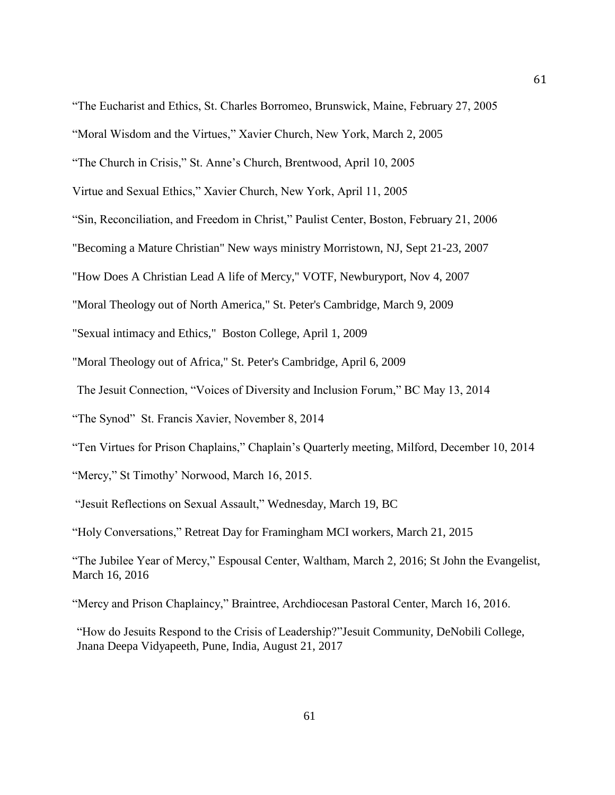- "The Church in Crisis," St. Anne's Church, Brentwood, April 10, 2005
- Virtue and Sexual Ethics," Xavier Church, New York, April 11, 2005
- "Sin, Reconciliation, and Freedom in Christ," Paulist Center, Boston, February 21, 2006

"Becoming a Mature Christian" New ways ministry Morristown, NJ, Sept 21-23, 2007

"How Does A Christian Lead A life of Mercy," VOTF, Newburyport, Nov 4, 2007

"Moral Theology out of North America," St. Peter's Cambridge, March 9, 2009

"Sexual intimacy and Ethics," Boston College, April 1, 2009

"Moral Theology out of Africa," St. Peter's Cambridge, April 6, 2009

The Jesuit Connection, "Voices of Diversity and Inclusion Forum," BC May 13, 2014

"The Synod" St. Francis Xavier, November 8, 2014

"Ten Virtues for Prison Chaplains," Chaplain's Quarterly meeting, Milford, December 10, 2014

"Mercy," St Timothy' Norwood, March 16, 2015.

"Jesuit Reflections on Sexual Assault," Wednesday, March 19, BC

"Holy Conversations," Retreat Day for Framingham MCI workers, March 21, 2015

"The Jubilee Year of Mercy," Espousal Center, Waltham, March 2, 2016; St John the Evangelist, March 16, 2016

"Mercy and Prison Chaplaincy," Braintree, Archdiocesan Pastoral Center, March 16, 2016.

"How do Jesuits Respond to the Crisis of Leadership?"Jesuit Community, DeNobili College, Jnana Deepa Vidyapeeth, Pune, India, August 21, 2017

<sup>&</sup>quot;Moral Wisdom and the Virtues," Xavier Church, New York, March 2, 2005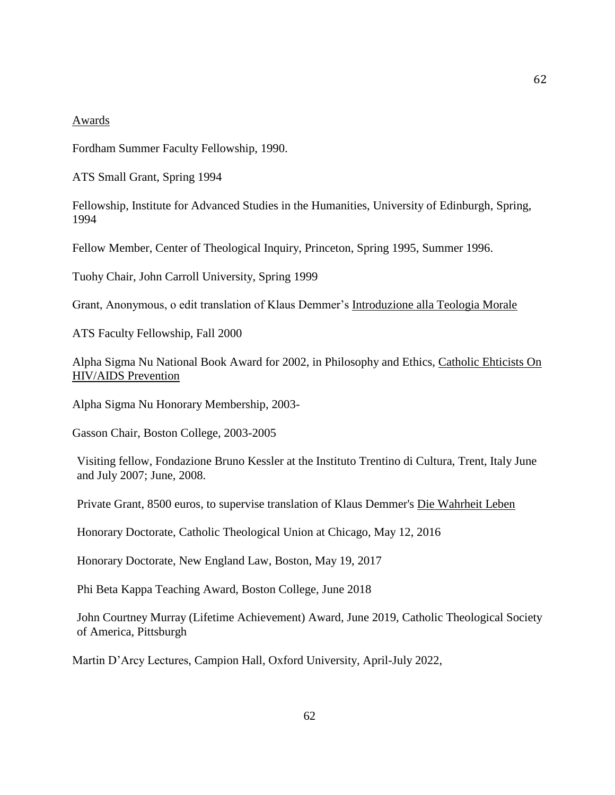#### Awards

Fordham Summer Faculty Fellowship, 1990.

ATS Small Grant, Spring 1994

Fellowship, Institute for Advanced Studies in the Humanities, University of Edinburgh, Spring, 1994

Fellow Member, Center of Theological Inquiry, Princeton, Spring 1995, Summer 1996.

Tuohy Chair, John Carroll University, Spring 1999

Grant, Anonymous, o edit translation of Klaus Demmer's Introduzione alla Teologia Morale

ATS Faculty Fellowship, Fall 2000

Alpha Sigma Nu National Book Award for 2002, in Philosophy and Ethics, Catholic Ehticists On HIV/AIDS Prevention

Alpha Sigma Nu Honorary Membership, 2003-

Gasson Chair, Boston College, 2003-2005

Visiting fellow, Fondazione Bruno Kessler at the Instituto Trentino di Cultura, Trent, Italy June and July 2007; June, 2008.

Private Grant, 8500 euros, to supervise translation of Klaus Demmer's Die Wahrheit Leben

Honorary Doctorate, Catholic Theological Union at Chicago, May 12, 2016

Honorary Doctorate, New England Law, Boston, May 19, 2017

Phi Beta Kappa Teaching Award, Boston College, June 2018

John Courtney Murray (Lifetime Achievement) Award, June 2019, Catholic Theological Society of America, Pittsburgh

Martin D'Arcy Lectures, Campion Hall, Oxford University, April-July 2022,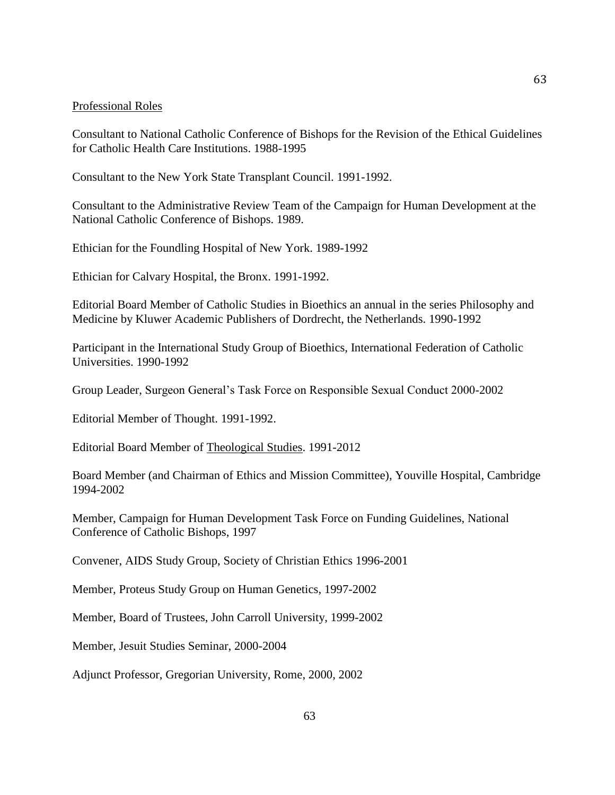## Professional Roles

Consultant to National Catholic Conference of Bishops for the Revision of the Ethical Guidelines for Catholic Health Care Institutions. 1988-1995

Consultant to the New York State Transplant Council. 1991-1992.

Consultant to the Administrative Review Team of the Campaign for Human Development at the National Catholic Conference of Bishops. 1989.

Ethician for the Foundling Hospital of New York. 1989-1992

Ethician for Calvary Hospital, the Bronx. 1991-1992.

Editorial Board Member of Catholic Studies in Bioethics an annual in the series Philosophy and Medicine by Kluwer Academic Publishers of Dordrecht, the Netherlands. 1990-1992

Participant in the International Study Group of Bioethics, International Federation of Catholic Universities. 1990-1992

Group Leader, Surgeon General's Task Force on Responsible Sexual Conduct 2000-2002

Editorial Member of Thought. 1991-1992.

Editorial Board Member of Theological Studies. 1991-2012

Board Member (and Chairman of Ethics and Mission Committee), Youville Hospital, Cambridge 1994-2002

Member, Campaign for Human Development Task Force on Funding Guidelines, National Conference of Catholic Bishops, 1997

Convener, AIDS Study Group, Society of Christian Ethics 1996-2001

Member, Proteus Study Group on Human Genetics, 1997-2002

Member, Board of Trustees, John Carroll University, 1999-2002

Member, Jesuit Studies Seminar, 2000-2004

Adjunct Professor, Gregorian University, Rome, 2000, 2002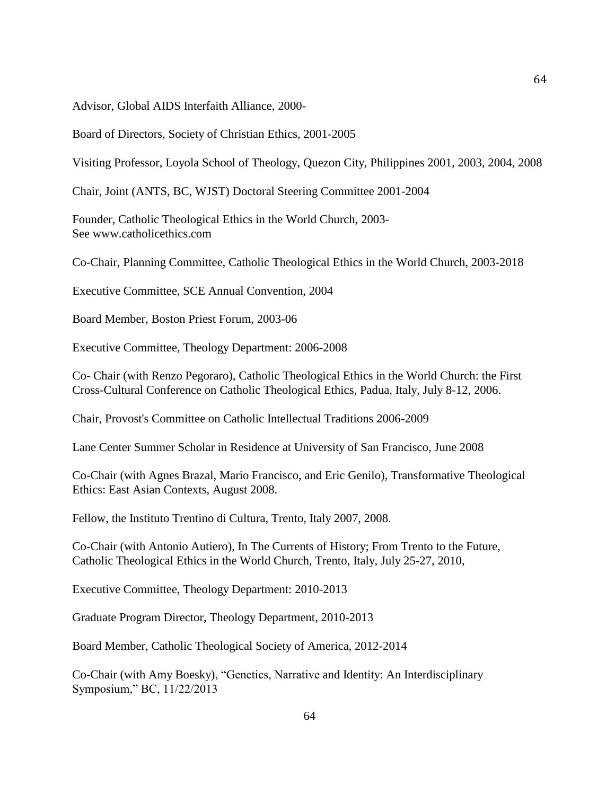Advisor, Global AIDS Interfaith Alliance, 2000-

Board of Directors, Society of Christian Ethics, 2001-2005

Visiting Professor, Loyola School of Theology, Quezon City, Philippines 2001, 2003, 2004, 2008

Chair, Joint (ANTS, BC, WJST) Doctoral Steering Committee 2001-2004

Founder, Catholic Theological Ethics in the World Church, 2003- See www.catholicethics.com

Co-Chair, Planning Committee, Catholic Theological Ethics in the World Church, 2003-2018

Executive Committee, SCE Annual Convention, 2004

Board Member, Boston Priest Forum, 2003-06

Executive Committee, Theology Department: 2006-2008

Co- Chair (with Renzo Pegoraro), Catholic Theological Ethics in the World Church: the First Cross-Cultural Conference on Catholic Theological Ethics, Padua, Italy, July 8-12, 2006.

Chair, Provost's Committee on Catholic Intellectual Traditions 2006-2009

Lane Center Summer Scholar in Residence at University of San Francisco, June 2008

Co-Chair (with Agnes Brazal, Mario Francisco, and Eric Genilo), Transformative Theological Ethics: East Asian Contexts, August 2008.

Fellow, the Instituto Trentino di Cultura, Trento, Italy 2007, 2008.

Co-Chair (with Antonio Autiero), In The Currents of History; From Trento to the Future, Catholic Theological Ethics in the World Church, Trento, Italy, July 25-27, 2010,

Executive Committee, Theology Department: 2010-2013

Graduate Program Director, Theology Department, 2010-2013

Board Member, Catholic Theological Society of America, 2012-2014

Co-Chair (with Amy Boesky), "Genetics, Narrative and Identity: An Interdisciplinary Symposium," BC, 11/22/2013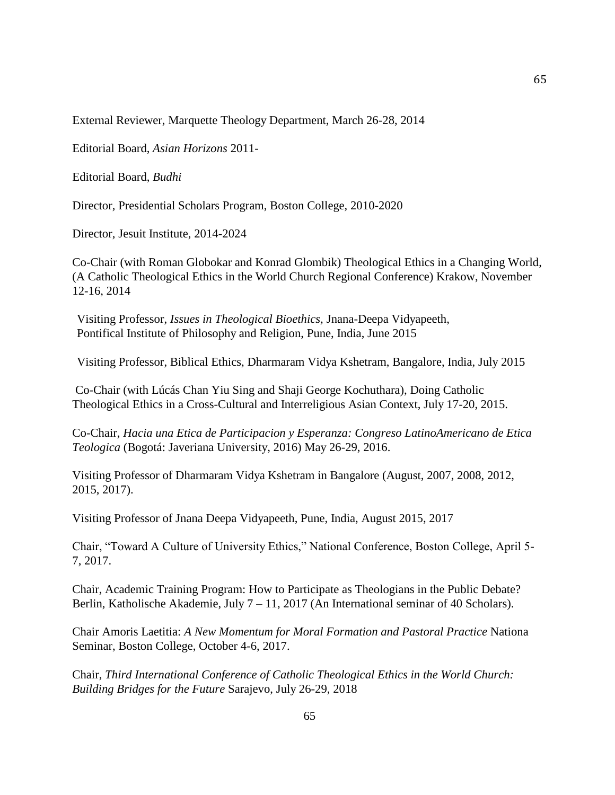External Reviewer, Marquette Theology Department, March 26-28, 2014

Editorial Board, *Asian Horizons* 2011-

Editorial Board, *Budhi* 

Director, Presidential Scholars Program, Boston College, 2010-2020

Director, Jesuit Institute, 2014-2024

Co-Chair (with Roman Globokar and Konrad Glombik) Theological Ethics in a Changing World, (A Catholic Theological Ethics in the World Church Regional Conference) Krakow, November 12-16, 2014

Visiting Professor, *Issues in Theological Bioethics,* Jnana-Deepa Vidyapeeth, Pontifical Institute of Philosophy and Religion, Pune, India, June 2015

Visiting Professor, Biblical Ethics, Dharmaram Vidya Kshetram, Bangalore, India, July 2015

Co-Chair (with Lúcás Chan Yiu Sing and Shaji George Kochuthara), Doing Catholic Theological Ethics in a Cross-Cultural and Interreligious Asian Context, July 17-20, 2015.

Co-Chair, *Hacia una Etica de Participacion y Esperanza: Congreso LatinoAmericano de Etica Teologica* (Bogotá: Javeriana University, 2016) May 26-29, 2016.

Visiting Professor of Dharmaram Vidya Kshetram in Bangalore (August, 2007, 2008, 2012, 2015, 2017).

Visiting Professor of Jnana Deepa Vidyapeeth, Pune, India, August 2015, 2017

Chair, "Toward A Culture of University Ethics," National Conference, Boston College, April 5- 7, 2017.

Chair, Academic Training Program: How to Participate as Theologians in the Public Debate? Berlin, Katholische Akademie, July 7 – 11, 2017 (An International seminar of 40 Scholars).

Chair Amoris Laetitia: *A New Momentum for Moral Formation and Pastoral Practice* Nationa Seminar, Boston College, October 4-6, 2017.

Chair, *Third International Conference of Catholic Theological Ethics in the World Church: Building Bridges for the Future* Sarajevo, July 26-29, 2018